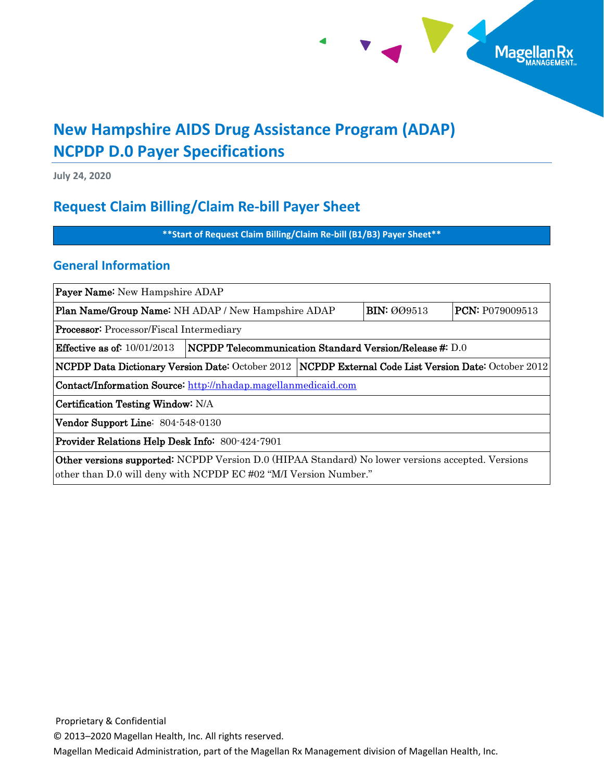

# **New Hampshire AIDS Drug Assistance Program (ADAP) NCPDP D.0 Payer Specifications**

**July 24, 2020**

## **Request Claim Billing/Claim Re-bill Payer Sheet**

**\*\*Start of Request Claim Billing/Claim Re-bill (B1/B3) Payer Sheet\*\***

### **General Information**

| <b>Payer Name:</b> New Hampshire ADAP                                                                                                                                        |                                                                 |  |                    |                 |  |
|------------------------------------------------------------------------------------------------------------------------------------------------------------------------------|-----------------------------------------------------------------|--|--------------------|-----------------|--|
| <b>Plan Name/Group Name:</b> NH ADAP / New Hampshire ADAP                                                                                                                    |                                                                 |  | <b>BIN: 009513</b> | PCN: P079009513 |  |
| <b>Processor:</b> Processor/Fiscal Intermediary                                                                                                                              |                                                                 |  |                    |                 |  |
| <b>Effective as of:</b> $10/01/2013$                                                                                                                                         | $\vert$ NCPDP Telecommunication Standard Version/Release #: D.0 |  |                    |                 |  |
| $\vert$ NCPDP Data Dictionary Version Date: October 2012 $\vert$ NCPDP External Code List Version Date: October 2012                                                         |                                                                 |  |                    |                 |  |
| Contact/Information Source: http://nhadap.magellanmedicaid.com                                                                                                               |                                                                 |  |                    |                 |  |
| Certification Testing Window: N/A                                                                                                                                            |                                                                 |  |                    |                 |  |
| Vendor Support Line: 804-548-0130                                                                                                                                            |                                                                 |  |                    |                 |  |
| <b>Provider Relations Help Desk Info: 800-424-7901</b>                                                                                                                       |                                                                 |  |                    |                 |  |
| <b>Other versions supported:</b> NCPDP Version D.0 (HIPAA Standard) No lower versions accepted. Versions<br>other than D.0 will deny with NCPDP EC #02 "M/I Version Number." |                                                                 |  |                    |                 |  |

Proprietary & Confidential

© 2013–2020 Magellan Health, Inc. All rights reserved.

Magellan Medicaid Administration, part of the Magellan Rx Management division of Magellan Health, Inc.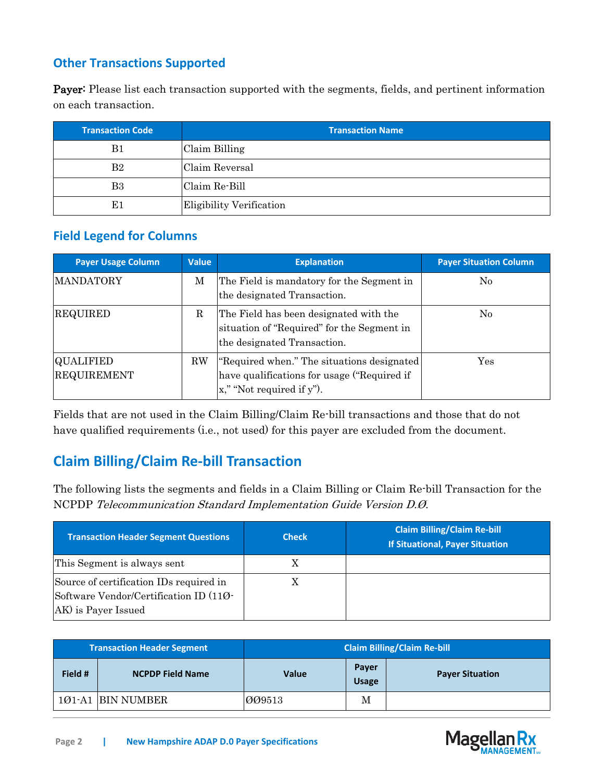### **Other Transactions Supported**

Payer: Please list each transaction supported with the segments, fields, and pertinent information on each transaction.

| <b>Transaction Code</b> | <b>Transaction Name</b>  |
|-------------------------|--------------------------|
| B1                      | Claim Billing            |
| B <sub>2</sub>          | Claim Reversal           |
| B <sub>3</sub>          | Claim Re-Bill            |
| E1                      | Eligibility Verification |

### **Field Legend for Columns**

| <b>Payer Usage Column</b>              | <b>Value</b> | <b>Explanation</b>                                                                                                                 | <b>Payer Situation Column</b> |
|----------------------------------------|--------------|------------------------------------------------------------------------------------------------------------------------------------|-------------------------------|
| MANDATORY                              | М            | The Field is mandatory for the Segment in<br>the designated Transaction.                                                           | No                            |
| <b>REQUIRED</b>                        | R            | The Field has been designated with the<br>situation of "Required" for the Segment in<br>the designated Transaction.                | No                            |
| <b>QUALIFIED</b><br><b>REQUIREMENT</b> | <b>RW</b>    | "Required when." The situations designated<br>have qualifications for usage ("Required if<br>$\mathbf{x}$ ," "Not required if y"). | Yes                           |

Fields that are not used in the Claim Billing/Claim Re-bill transactions and those that do not have qualified requirements (i.e., not used) for this payer are excluded from the document.

## **Claim Billing/Claim Re-bill Transaction**

The following lists the segments and fields in a Claim Billing or Claim Re-bill Transaction for the NCPDP Telecommunication Standard Implementation Guide Version D.Ø.

| <b>Transaction Header Segment Questions</b>                                                              | <b>Check</b> | <b>Claim Billing/Claim Re-bill</b><br><b>If Situational, Payer Situation</b> |
|----------------------------------------------------------------------------------------------------------|--------------|------------------------------------------------------------------------------|
| This Segment is always sent                                                                              | X            |                                                                              |
| Source of certification IDs required in<br>Software Vendor/Certification ID (110-<br>AK) is Payer Issued |              |                                                                              |

| <b>Transaction Header Segment</b> |                         |              |                       | <b>Claim Billing/Claim Re-bill</b> |
|-----------------------------------|-------------------------|--------------|-----------------------|------------------------------------|
| Field #                           | <b>NCPDP Field Name</b> | <b>Value</b> | Payer<br><b>Usage</b> | <b>Payer Situation</b>             |
|                                   | 101-A1  BIN NUMBER      | 009513       | М                     |                                    |

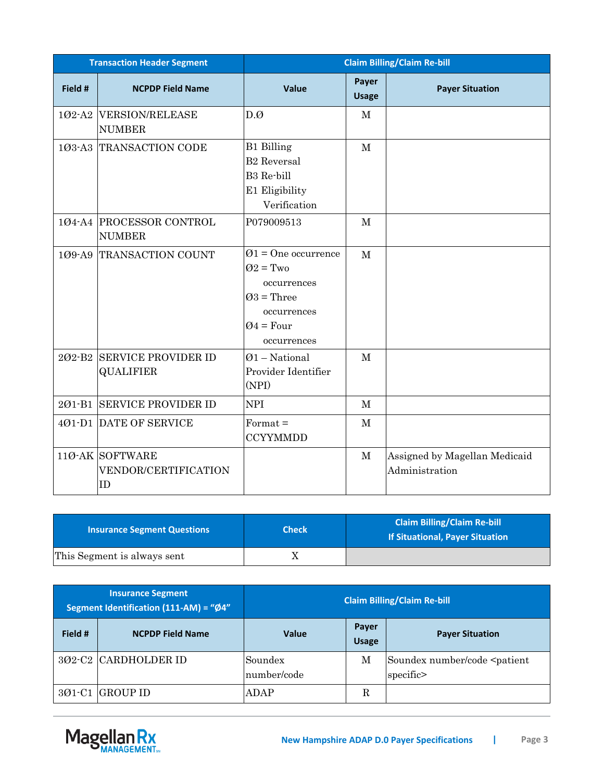|                    | <b>Transaction Header Segment</b>                | <b>Claim Billing/Claim Re-bill</b>                                                                                         |                       |                                                 |  |
|--------------------|--------------------------------------------------|----------------------------------------------------------------------------------------------------------------------------|-----------------------|-------------------------------------------------|--|
| Field #            | <b>NCPDP Field Name</b>                          | <b>Value</b>                                                                                                               | Payer<br><b>Usage</b> | <b>Payer Situation</b>                          |  |
| 102-A2             | <b>VERSION/RELEASE</b><br><b>NUMBER</b>          | D.Ø                                                                                                                        | $\mathbf{M}$          |                                                 |  |
| $103 - A3$         | <b>TRANSACTION CODE</b>                          | <b>B1</b> Billing<br><b>B2</b> Reversal<br>B3 Re-bill<br>E1 Eligibility<br>Verification                                    | $\mathbf{M}$          |                                                 |  |
|                    | 104-A4 PROCESSOR CONTROL<br><b>NUMBER</b>        | P079009513                                                                                                                 | $\mathbf M$           |                                                 |  |
| 109-A9             | TRANSACTION COUNT                                | $\varnothing$ 1 = One occurrence<br>$Q2 = Two$<br>occurrences<br>$Q3$ = Three<br>occurrences<br>$Q4 = Four$<br>occurrences | $\mathbf{M}$          |                                                 |  |
| 202-B <sub>2</sub> | <b>SERVICE PROVIDER ID</b><br><b>QUALIFIER</b>   | $Q1$ – National<br>Provider Identifier<br>(NPI)                                                                            | $\mathbf M$           |                                                 |  |
|                    | 201-B1 SERVICE PROVIDER ID                       | <b>NPI</b>                                                                                                                 | $\mathbf{M}$          |                                                 |  |
|                    | 401-D1 DATE OF SERVICE                           | $Format =$<br><b>CCYYMMDD</b>                                                                                              | $\mathbf{M}$          |                                                 |  |
|                    | $110$ -AK SOFTWARE<br>VENDOR/CERTIFICATION<br>ID |                                                                                                                            | $\mathbf{M}$          | Assigned by Magellan Medicaid<br>Administration |  |

| <b>Insurance Segment Questions</b> | <b>Check</b> | <b>Claim Billing/Claim Re-bill</b><br><b>If Situational, Payer Situation</b> |
|------------------------------------|--------------|------------------------------------------------------------------------------|
| This Segment is always sent        |              |                                                                              |

| <b>Insurance Segment</b><br>Segment Identification (111-AM) = "Ø4" |                         | <b>Claim Billing/Claim Re-bill</b> |                       |                                                           |
|--------------------------------------------------------------------|-------------------------|------------------------------------|-----------------------|-----------------------------------------------------------|
| Field #                                                            | <b>NCPDP Field Name</b> | Value                              | Payer<br><b>Usage</b> | <b>Payer Situation</b>                                    |
|                                                                    | 302-C2 CARDHOLDER ID    | Soundex<br>number/code             | М                     | Soundex number/code <patient<br>specific&gt;</patient<br> |
|                                                                    | 301-C1 GROUP ID         | ADAP                               | R                     |                                                           |

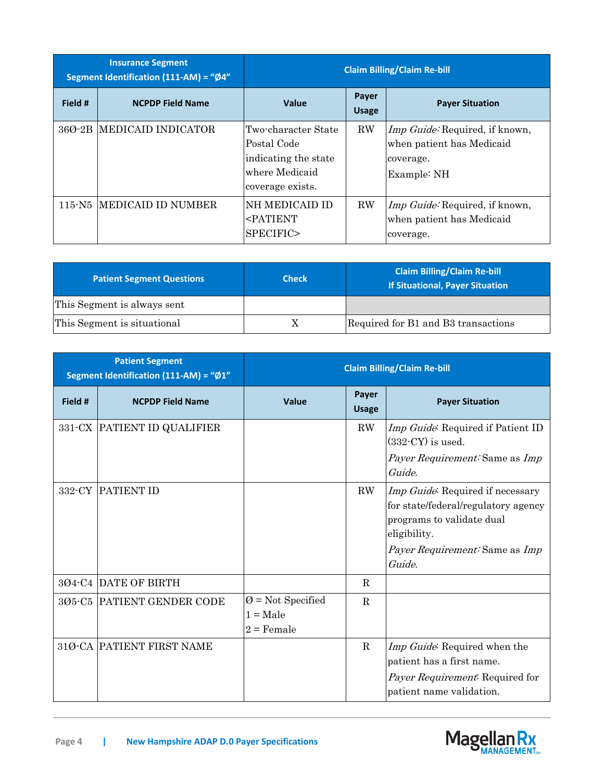| <b>Insurance Segment</b><br>Segment Identification (111-AM) = "Ø4" |                            | <b>Claim Billing/Claim Re-bill</b>                                                               |                       |                                                                                                |
|--------------------------------------------------------------------|----------------------------|--------------------------------------------------------------------------------------------------|-----------------------|------------------------------------------------------------------------------------------------|
| Field #                                                            | <b>NCPDP Field Name</b>    | <b>Value</b>                                                                                     | Payer<br><b>Usage</b> | <b>Payer Situation</b>                                                                         |
|                                                                    | 36Ø-2B IMEDICAID INDICATOR | Two-character State<br>Postal Code<br>indicating the state<br>where Medicaid<br>coverage exists. | $\rm RW$              | <i>Imp Guide:</i> Required, if known,<br>when patient has Medicaid<br>coverage.<br>Example: NH |
|                                                                    | 115-N5 MEDICAID ID NUMBER  | <b>NH MEDICAID ID</b><br><patient<br>SPECIFIC&gt;</patient<br>                                   | $\rm RW$              | <i>Imp Guide</i> : Required, if known,<br>when patient has Medicaid<br>coverage.               |

| <b>Patient Segment Questions</b> | <b>Check</b> | <b>Claim Billing/Claim Re-bill</b><br><b>If Situational, Payer Situation</b> |
|----------------------------------|--------------|------------------------------------------------------------------------------|
| This Segment is always sent      |              |                                                                              |
| This Segment is situational      |              | Required for B1 and B3 transactions                                          |

| <b>Patient Segment</b><br>Segment Identification (111-AM) = "Ø1" |                             | <b>Claim Billing/Claim Re-bill</b>                          |                       |                                                                                                                                                                                |  |
|------------------------------------------------------------------|-----------------------------|-------------------------------------------------------------|-----------------------|--------------------------------------------------------------------------------------------------------------------------------------------------------------------------------|--|
| Field #                                                          | <b>NCPDP Field Name</b>     | Value                                                       | Payer<br><b>Usage</b> | <b>Payer Situation</b>                                                                                                                                                         |  |
|                                                                  | 331-CX PATIENT ID QUALIFIER |                                                             | RW                    | Imp Guide: Required if Patient ID<br>$(332$ -CY $)$ is used.<br><i>Payer Requirement:</i> Same as <i>Imp</i><br>Guide.                                                         |  |
| 332-CY                                                           | <b>PATIENT ID</b>           |                                                             | RW                    | Imp Guide: Required if necessary<br>for state/federal/regulatory agency<br>programs to validate dual<br>eligibility.<br><i>Payer Requirement:</i> Same as <i>Imp</i><br>Guide. |  |
|                                                                  | 3Ø4-C4 DATE OF BIRTH        |                                                             | R                     |                                                                                                                                                                                |  |
|                                                                  | 305-C5 PATIENT GENDER CODE  | $\varnothing$ = Not Specified<br>$1 = Male$<br>$2$ = Female | R                     |                                                                                                                                                                                |  |
|                                                                  | 31Ø-CA PATIENT FIRST NAME   |                                                             | $\mathbf R$           | Imp Guide: Required when the<br>patient has a first name.<br>Payer Requirement: Required for<br>patient name validation.                                                       |  |

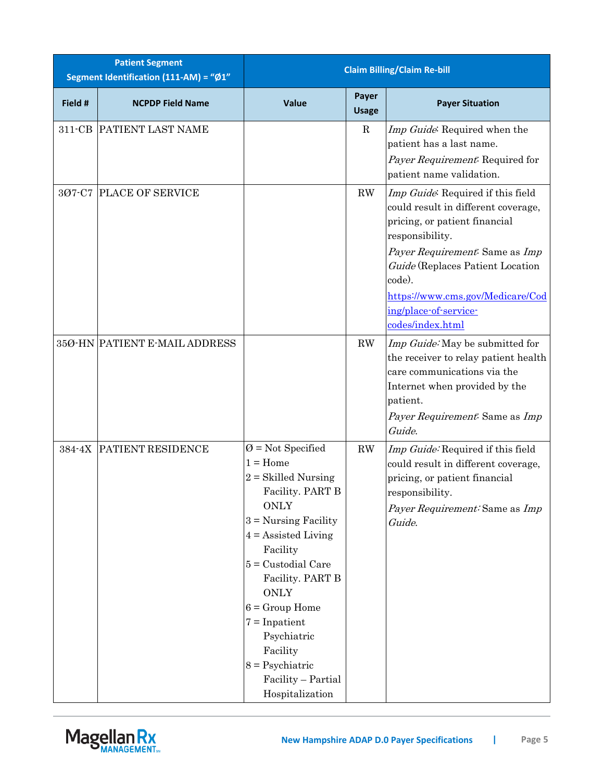| <b>Patient Segment</b><br>Segment Identification (111-AM) = "Ø1" |                               | <b>Claim Billing/Claim Re-bill</b>                                                                                                                                                                                                                                                                                                                              |                        |                                                                                                                                                                                                                                                                                               |
|------------------------------------------------------------------|-------------------------------|-----------------------------------------------------------------------------------------------------------------------------------------------------------------------------------------------------------------------------------------------------------------------------------------------------------------------------------------------------------------|------------------------|-----------------------------------------------------------------------------------------------------------------------------------------------------------------------------------------------------------------------------------------------------------------------------------------------|
| Field #                                                          | <b>NCPDP Field Name</b>       | Value                                                                                                                                                                                                                                                                                                                                                           | Payer<br><b>Usage</b>  | <b>Payer Situation</b>                                                                                                                                                                                                                                                                        |
| $311$ -CB                                                        | PATIENT LAST NAME             |                                                                                                                                                                                                                                                                                                                                                                 | $\mathbf R$            | Imp Guide: Required when the<br>patient has a last name.<br>Payer Requirement: Required for<br>patient name validation.                                                                                                                                                                       |
| 307-C7                                                           | <b>PLACE OF SERVICE</b>       |                                                                                                                                                                                                                                                                                                                                                                 | RW                     | Imp Guide: Required if this field<br>could result in different coverage,<br>pricing, or patient financial<br>responsibility.<br>Payer Requirement: Same as Imp<br>Guide (Replaces Patient Location<br>code).<br>https://www.cms.gov/Medicare/Cod<br>ing/place-of-service-<br>codes/index.html |
|                                                                  | 35Ø-HN PATIENT E-MAIL ADDRESS |                                                                                                                                                                                                                                                                                                                                                                 | $\mathbf{R}\mathbf{W}$ | Imp Guide: May be submitted for<br>the receiver to relay patient health<br>care communications via the<br>Internet when provided by the<br>patient.<br>Payer Requirement: Same as Imp<br>Guide.                                                                                               |
| 384-4X                                                           | PATIENT RESIDENCE             | $\emptyset$ = Not Specified<br>$1 =$ Home<br>$2 = Skilled Nursing$<br>Facility. PART B<br><b>ONLY</b><br>$3$ = Nursing Facility<br>$4 =$ Assisted Living<br>Facility<br>$5$ = Custodial Care<br>Facility. PART B<br><b>ONLY</b><br>$6 =$ Group Home<br>$7 = Inpatient$<br>Psychiatric<br>Facility<br>$8 =$ Psychiatric<br>Facility - Partial<br>Hospitalization | RW                     | Imp Guide: Required if this field<br>could result in different coverage,<br>pricing, or patient financial<br>responsibility.<br>Payer Requirement: Same as Imp<br>Guide.                                                                                                                      |

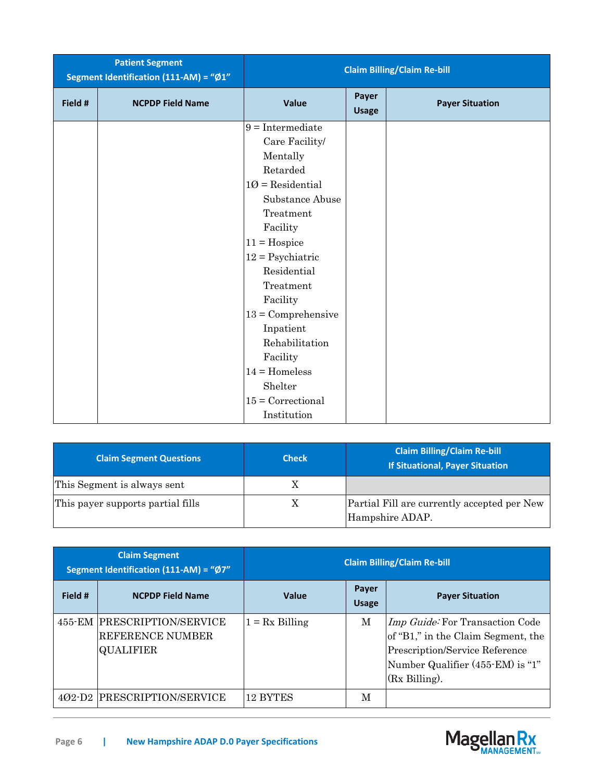|         | <b>Patient Segment</b><br>Segment Identification (111-AM) = "Ø1" |                      |                       | <b>Claim Billing/Claim Re-bill</b> |
|---------|------------------------------------------------------------------|----------------------|-----------------------|------------------------------------|
| Field # | <b>NCPDP Field Name</b>                                          | <b>Value</b>         | Payer<br><b>Usage</b> | <b>Payer Situation</b>             |
|         |                                                                  | $9 =$ Intermediate   |                       |                                    |
|         |                                                                  | Care Facility/       |                       |                                    |
|         |                                                                  | Mentally             |                       |                                    |
|         |                                                                  | Retarded             |                       |                                    |
|         |                                                                  | $10$ = Residential   |                       |                                    |
|         |                                                                  | Substance Abuse      |                       |                                    |
|         |                                                                  | Treatment            |                       |                                    |
|         |                                                                  | Facility             |                       |                                    |
|         |                                                                  | $11 = Hospice$       |                       |                                    |
|         |                                                                  | $12 =$ Psychiatric   |                       |                                    |
|         |                                                                  | Residential          |                       |                                    |
|         |                                                                  | Treatment            |                       |                                    |
|         |                                                                  | Facility             |                       |                                    |
|         |                                                                  | $13 =$ Comprehensive |                       |                                    |
|         |                                                                  | Inpatient            |                       |                                    |
|         |                                                                  | Rehabilitation       |                       |                                    |
|         |                                                                  | Facility             |                       |                                    |
|         |                                                                  | $14 =$ Homeless      |                       |                                    |
|         |                                                                  | Shelter              |                       |                                    |
|         |                                                                  | $15 =$ Correctional  |                       |                                    |
|         |                                                                  | Institution          |                       |                                    |

| <b>Claim Segment Questions</b>    | <b>Check</b> | <b>Claim Billing/Claim Re-bill</b><br><b>If Situational, Payer Situation</b> |
|-----------------------------------|--------------|------------------------------------------------------------------------------|
| This Segment is always sent       |              |                                                                              |
| This payer supports partial fills |              | Partial Fill are currently accepted per New<br>Hampshire ADAP.               |

|         | <b>Claim Segment</b><br>Segment Identification (111-AM) = "Ø7"      |                  |                       | <b>Claim Billing/Claim Re-bill</b>                                                                                                                                     |
|---------|---------------------------------------------------------------------|------------------|-----------------------|------------------------------------------------------------------------------------------------------------------------------------------------------------------------|
| Field # | <b>NCPDP Field Name</b>                                             | <b>Value</b>     | Payer<br><b>Usage</b> | <b>Payer Situation</b>                                                                                                                                                 |
|         | 455-EM PRESCRIPTION/SERVICE<br>REFERENCE NUMBER<br><b>QUALIFIER</b> | $1 = Rx Billing$ | M                     | Imp Guide: For Transaction Code<br>of "B1," in the Claim Segment, the<br>Prescription/Service Reference<br>Number Qualifier (455-EM) is "1"<br>$(Rx \text{ Billing}).$ |
|         | 402-D2 PRESCRIPTION/SERVICE                                         | 12 BYTES         | M                     |                                                                                                                                                                        |

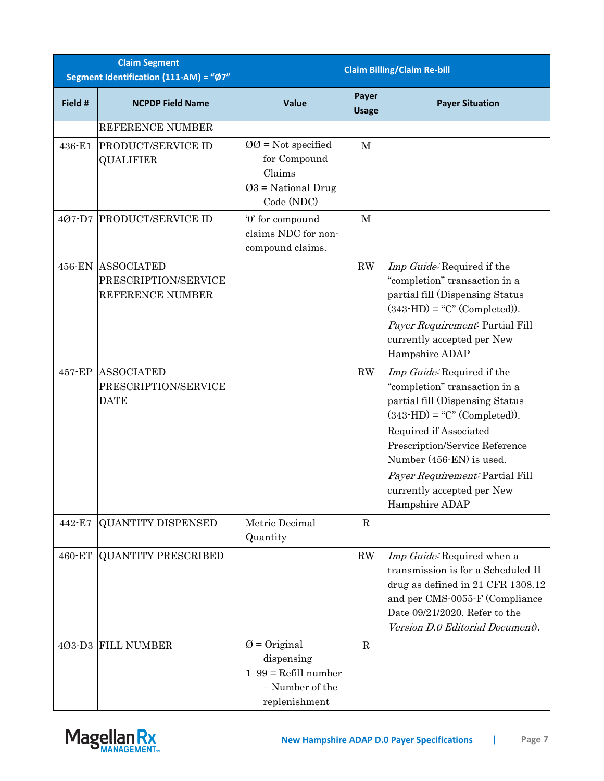| <b>Claim Segment</b><br>Segment Identification (111-AM) = "Ø7" |                                                               | <b>Claim Billing/Claim Re-bill</b>                                                                 |                       |                                                                                                                                                                                                                                                                                                                    |
|----------------------------------------------------------------|---------------------------------------------------------------|----------------------------------------------------------------------------------------------------|-----------------------|--------------------------------------------------------------------------------------------------------------------------------------------------------------------------------------------------------------------------------------------------------------------------------------------------------------------|
| Field #                                                        | <b>NCPDP Field Name</b>                                       | <b>Value</b>                                                                                       | Payer<br><b>Usage</b> | <b>Payer Situation</b>                                                                                                                                                                                                                                                                                             |
|                                                                | REFERENCE NUMBER                                              |                                                                                                    |                       |                                                                                                                                                                                                                                                                                                                    |
| 436-E1                                                         | PRODUCT/SERVICE ID<br><b>QUALIFIER</b>                        | $QQ = Not specified$<br>for Compound<br>Claims<br>$Q3$ = National Drug<br>Code (NDC)               | M                     |                                                                                                                                                                                                                                                                                                                    |
| 407-D7                                                         | <b>PRODUCT/SERVICE ID</b>                                     | '0' for compound<br>claims NDC for non-<br>compound claims.                                        | $\mathbf M$           |                                                                                                                                                                                                                                                                                                                    |
| 456-EN                                                         | <b>ASSOCIATED</b><br>PRESCRIPTION/SERVICE<br>REFERENCE NUMBER |                                                                                                    | RW                    | Imp Guide: Required if the<br>"completion" transaction in a<br>partial fill (Dispensing Status<br>$(343-HD) = "C" (Completed)).$<br>Payer Requirement: Partial Fill<br>currently accepted per New<br>Hampshire ADAP                                                                                                |
| 457-EP                                                         | <b>ASSOCIATED</b><br>PRESCRIPTION/SERVICE<br><b>DATE</b>      |                                                                                                    | RW                    | Imp Guide: Required if the<br>"completion" transaction in a<br>partial fill (Dispensing Status<br>$(343 \text{-} HD) = "C" (Complete).$<br>Required if Associated<br>Prescription/Service Reference<br>Number (456-EN) is used.<br>Payer Requirement: Partial Fill<br>currently accepted per New<br>Hampshire ADAP |
| 442-E7                                                         | <b>QUANTITY DISPENSED</b>                                     | Metric Decimal<br>Quantity                                                                         | $\mathbf R$           |                                                                                                                                                                                                                                                                                                                    |
| 460-ET                                                         | <b>QUANTITY PRESCRIBED</b>                                    |                                                                                                    | RW                    | Imp Guide: Required when a<br>transmission is for a Scheduled II<br>drug as defined in 21 CFR 1308.12<br>and per CMS-0055-F (Compliance<br>Date 09/21/2020. Refer to the<br>Version D.0 Editorial Document).                                                                                                       |
|                                                                | 403-D3 FILL NUMBER                                            | $\emptyset$ = Original<br>dispensing<br>$1-99$ = Refill number<br>- Number of the<br>replenishment | $\mathbf R$           |                                                                                                                                                                                                                                                                                                                    |

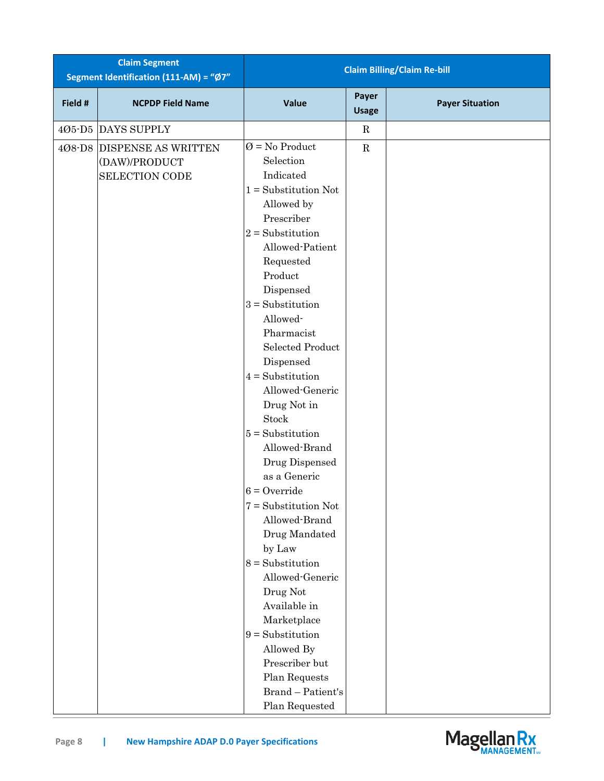|         | <b>Claim Segment</b><br>Segment Identification (111-AM) = "Ø7" |                                |                       | <b>Claim Billing/Claim Re-bill</b> |
|---------|----------------------------------------------------------------|--------------------------------|-----------------------|------------------------------------|
| Field # | <b>NCPDP Field Name</b>                                        | Value                          | Payer<br><b>Usage</b> | <b>Payer Situation</b>             |
|         | 405-D5 DAYS SUPPLY                                             |                                | $\mathbf R$           |                                    |
|         | 408-D8 DISPENSE AS WRITTEN                                     | $\varnothing$ = No Product     | $\mathbf R$           |                                    |
|         | (DAW)/PRODUCT                                                  | Selection                      |                       |                                    |
|         | <b>SELECTION CODE</b>                                          | Indicated                      |                       |                                    |
|         |                                                                | $1 =$ Substitution Not         |                       |                                    |
|         |                                                                | Allowed by                     |                       |                                    |
|         |                                                                | Prescriber                     |                       |                                    |
|         |                                                                | $2$ = Substitution             |                       |                                    |
|         |                                                                | Allowed-Patient                |                       |                                    |
|         |                                                                | Requested<br>Product           |                       |                                    |
|         |                                                                | Dispensed                      |                       |                                    |
|         |                                                                | $3 = Substitution$             |                       |                                    |
|         |                                                                | Allowed-                       |                       |                                    |
|         |                                                                | Pharmacist                     |                       |                                    |
|         |                                                                | <b>Selected Product</b>        |                       |                                    |
|         |                                                                | Dispensed                      |                       |                                    |
|         |                                                                | $4 = Substitution$             |                       |                                    |
|         |                                                                | Allowed-Generic                |                       |                                    |
|         |                                                                | Drug Not in                    |                       |                                    |
|         |                                                                | Stock                          |                       |                                    |
|         |                                                                | $5 =$ Substitution             |                       |                                    |
|         |                                                                | Allowed-Brand                  |                       |                                    |
|         |                                                                | Drug Dispensed                 |                       |                                    |
|         |                                                                | as a Generic                   |                       |                                    |
|         |                                                                | $6 =$ Override                 |                       |                                    |
|         |                                                                | $7 =$ Substitution Not         |                       |                                    |
|         |                                                                | Allowed-Brand<br>Drug Mandated |                       |                                    |
|         |                                                                | by Law                         |                       |                                    |
|         |                                                                | $8 =$ Substitution             |                       |                                    |
|         |                                                                | Allowed-Generic                |                       |                                    |
|         |                                                                | Drug Not                       |                       |                                    |
|         |                                                                | Available in                   |                       |                                    |
|         |                                                                | Marketplace                    |                       |                                    |
|         |                                                                | $9$ = Substitution             |                       |                                    |
|         |                                                                | Allowed By                     |                       |                                    |
|         |                                                                | Prescriber but                 |                       |                                    |
|         |                                                                | Plan Requests                  |                       |                                    |
|         |                                                                | Brand - Patient's              |                       |                                    |
|         |                                                                | Plan Requested                 |                       |                                    |

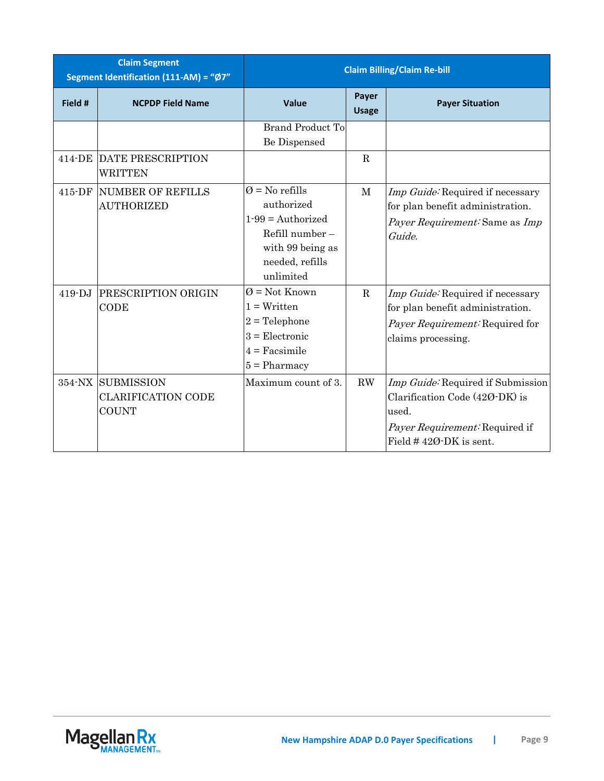| <b>Claim Segment</b><br>Segment Identification (111-AM) = "Ø7" |                                                                | <b>Claim Billing/Claim Re-bill</b>                                                                                                       |                       |                                                                                                                                                    |
|----------------------------------------------------------------|----------------------------------------------------------------|------------------------------------------------------------------------------------------------------------------------------------------|-----------------------|----------------------------------------------------------------------------------------------------------------------------------------------------|
| Field #                                                        | <b>NCPDP Field Name</b>                                        | Value                                                                                                                                    | Payer<br><b>Usage</b> | <b>Payer Situation</b>                                                                                                                             |
|                                                                |                                                                | <b>Brand Product To</b><br>Be Dispensed                                                                                                  |                       |                                                                                                                                                    |
|                                                                | 414-DE DATE PRESCRIPTION<br><b>WRITTEN</b>                     |                                                                                                                                          | $\mathbf R$           |                                                                                                                                                    |
| 415-DF                                                         | <b>NUMBER OF REFILLS</b><br><b>AUTHORIZED</b>                  | $\varnothing$ = No refills<br>authorized<br>$1-99$ = Authorized<br>Refill number $-$<br>with 99 being as<br>needed, refills<br>unlimited | $\mathbf M$           | Imp Guide: Required if necessary<br>for plan benefit administration.<br>Payer Requirement: Same as Imp<br>Guide.                                   |
| $419 - DJ$                                                     | PRESCRIPTION ORIGIN<br>CODE                                    | $\varnothing$ = Not Known<br>$1 = W$ ritten<br>$2 =$ Telephone<br>$3$ = Electronic<br>$4 =$ Facsimile<br>$5 =$ Pharmacy                  | $\mathbf R$           | Imp Guide: Required if necessary<br>for plan benefit administration.<br>Payer Requirement: Required for<br>claims processing.                      |
|                                                                | 354-NX SUBMISSION<br><b>CLARIFICATION CODE</b><br><b>COUNT</b> | Maximum count of 3.                                                                                                                      | RW                    | Imp Guide: Required if Submission<br>Clarification Code (420-DK) is<br>used.<br><i>Payer Requirement:</i> Required if<br>Field $#420$ -DK is sent. |

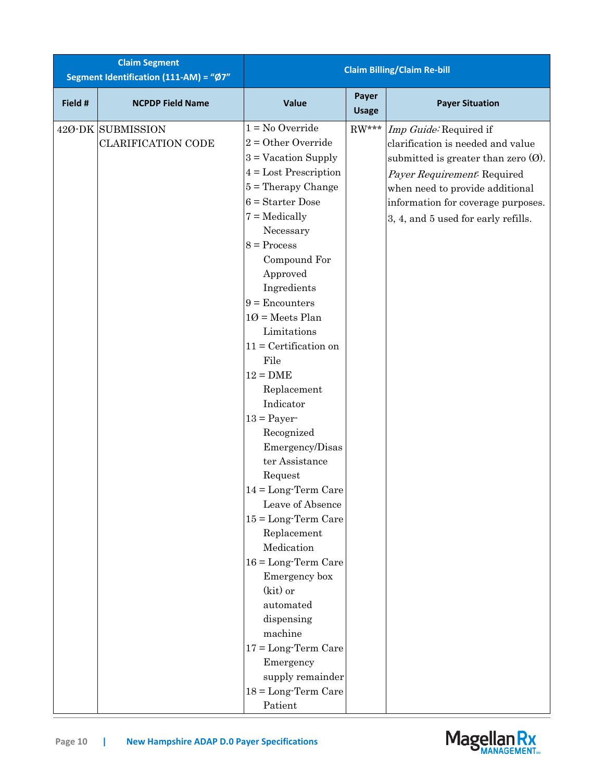| <b>Claim Segment</b><br>Segment Identification (111-AM) = "Ø7" |                                                |                                                                                                                                                                                                                                                                                                                                                                                                                                                                                                                                                                                                                                                                                                                                                 |                       | <b>Claim Billing/Claim Re-bill</b>                                                                                                                                                                                                                   |
|----------------------------------------------------------------|------------------------------------------------|-------------------------------------------------------------------------------------------------------------------------------------------------------------------------------------------------------------------------------------------------------------------------------------------------------------------------------------------------------------------------------------------------------------------------------------------------------------------------------------------------------------------------------------------------------------------------------------------------------------------------------------------------------------------------------------------------------------------------------------------------|-----------------------|------------------------------------------------------------------------------------------------------------------------------------------------------------------------------------------------------------------------------------------------------|
| Field #                                                        | <b>NCPDP Field Name</b>                        | Value                                                                                                                                                                                                                                                                                                                                                                                                                                                                                                                                                                                                                                                                                                                                           | Payer<br><b>Usage</b> | <b>Payer Situation</b>                                                                                                                                                                                                                               |
|                                                                | 420-DK SUBMISSION<br><b>CLARIFICATION CODE</b> | $1 = No$ Override<br>$2 =$ Other Override<br>$3 =$ Vacation Supply<br>$4 =$ Lost Prescription<br>$5$ = Therapy Change<br>$6 =$ Starter Dose<br>$7 =$ Medically<br>Necessary<br>$8 = Process$<br>Compound For<br>Approved<br>Ingredients<br>$9 =$ Encounters<br>$10 =$ Meets Plan<br>Limitations<br>$11 =$ Certification on<br>File<br>$12 = DME$<br>Replacement<br>Indicator<br>$13 =$ Payer-<br>Recognized<br>Emergency/Disas<br>ter Assistance<br>Request<br>$14 = Long-Term Care$<br>Leave of Absence<br>$15 = Long-Term Care$<br>Replacement<br>Medication<br>$16 = Long-Term Care$<br>Emergency box<br>$(kit)$ or<br>automated<br>dispensing<br>machine<br>$17 = Long-Term$ Care<br>Emergency<br>supply remainder<br>$18 = Long-Term Care$ | $RW***$               | Imp Guide: Required if<br>clarification is needed and value<br>submitted is greater than zero $(0)$ .<br>Payer Requirement: Required<br>when need to provide additional<br>information for coverage purposes.<br>3, 4, and 5 used for early refills. |
|                                                                |                                                | Patient                                                                                                                                                                                                                                                                                                                                                                                                                                                                                                                                                                                                                                                                                                                                         |                       |                                                                                                                                                                                                                                                      |

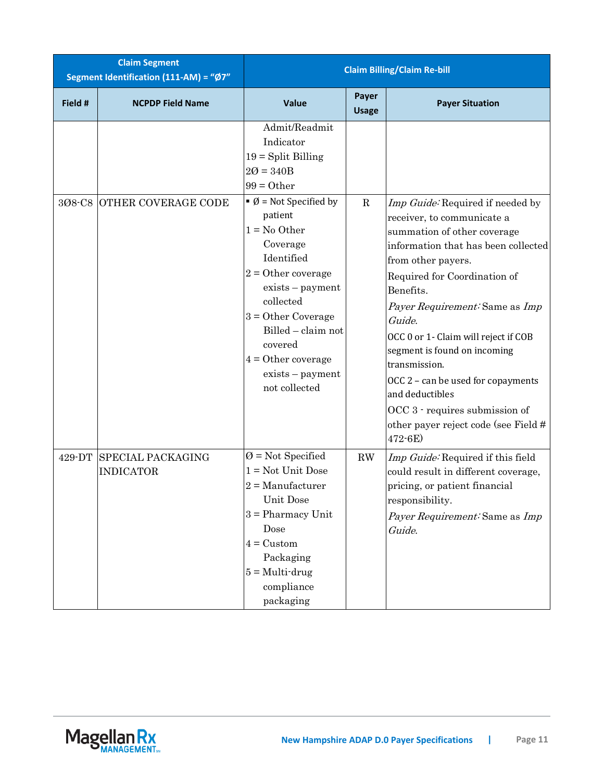| <b>Claim Segment</b><br>Segment Identification (111-AM) = "Ø7" |                                              | <b>Claim Billing/Claim Re-bill</b>                                                                                                                                                                                                                                                                                                                         |                       |                                                                                                                                                                                                                                                                                                                                                                                                                                                                                 |
|----------------------------------------------------------------|----------------------------------------------|------------------------------------------------------------------------------------------------------------------------------------------------------------------------------------------------------------------------------------------------------------------------------------------------------------------------------------------------------------|-----------------------|---------------------------------------------------------------------------------------------------------------------------------------------------------------------------------------------------------------------------------------------------------------------------------------------------------------------------------------------------------------------------------------------------------------------------------------------------------------------------------|
| Field #                                                        | <b>NCPDP Field Name</b>                      | Value                                                                                                                                                                                                                                                                                                                                                      | Payer<br><b>Usage</b> | <b>Payer Situation</b>                                                                                                                                                                                                                                                                                                                                                                                                                                                          |
| 308-C8                                                         | <b>OTHER COVERAGE CODE</b>                   | Admit/Readmit<br>Indicator<br>$19 = Split$ Billing<br>$20 = 340B$<br>$99 = 0$ ther<br>$\bullet$ Ø = Not Specified by<br>patient<br>$1 = No Other$<br>Coverage<br>Identified<br>$2 =$ Other coverage<br>exists - payment<br>collected<br>$3 = Other Coverage$<br>Billed - claim not<br>covered<br>$4 =$ Other coverage<br>exists - payment<br>not collected | $\mathbf R$           | Imp Guide: Required if needed by<br>receiver, to communicate a<br>summation of other coverage<br>information that has been collected<br>from other payers.<br>Required for Coordination of<br>Benefits.<br>Payer Requirement: Same as Imp<br>Guide.<br>OCC 0 or 1- Claim will reject if COB<br>segment is found on incoming<br>transmission.<br>OCC 2 - can be used for copayments<br>and deductibles<br>OCC 3 - requires submission of<br>other payer reject code (see Field # |
| 429-DT                                                         | <b>SPECIAL PACKAGING</b><br><b>INDICATOR</b> | $\varnothing$ = Not Specified<br>$1 = Not Unit Does$<br>$2 =$ Manufacturer<br>Unit Dose<br>$3$ = Pharmacy Unit<br>Dose<br>$4 =$ Custom<br>Packaging<br>$5 = Multi$ -drug<br>compliance<br>packaging                                                                                                                                                        | RW                    | 472-6E)<br>Imp Guide: Required if this field<br>could result in different coverage,<br>pricing, or patient financial<br>responsibility.<br>Payer Requirement: Same as Imp<br>Guide.                                                                                                                                                                                                                                                                                             |

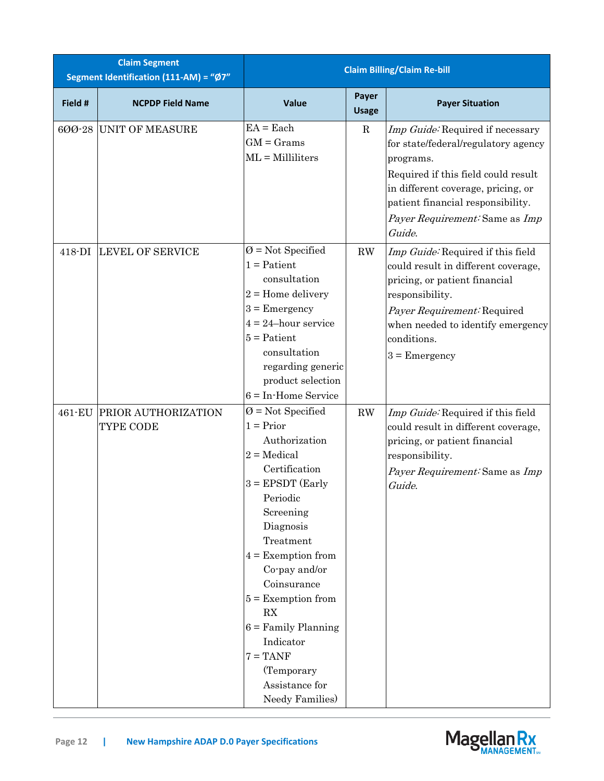| <b>Claim Segment</b><br>Segment Identification (111-AM) = "Ø7" |                                  | <b>Claim Billing/Claim Re-bill</b>                                                                                                                                                                                                                                                                                                                                     |                       |                                                                                                                                                                                                                                                    |
|----------------------------------------------------------------|----------------------------------|------------------------------------------------------------------------------------------------------------------------------------------------------------------------------------------------------------------------------------------------------------------------------------------------------------------------------------------------------------------------|-----------------------|----------------------------------------------------------------------------------------------------------------------------------------------------------------------------------------------------------------------------------------------------|
| Field #                                                        | <b>NCPDP Field Name</b>          | Value                                                                                                                                                                                                                                                                                                                                                                  | Payer<br><b>Usage</b> | <b>Payer Situation</b>                                                                                                                                                                                                                             |
| 600-28                                                         | <b>UNIT OF MEASURE</b>           | $EA = Each$<br>$GM =$ Grams<br>$ML =$ Milliliters                                                                                                                                                                                                                                                                                                                      | $\mathbf R$           | Imp Guide: Required if necessary<br>for state/federal/regulatory agency<br>programs.<br>Required if this field could result<br>in different coverage, pricing, or<br>patient financial responsibility.<br>Payer Requirement: Same as Imp<br>Guide. |
| 418-DI                                                         | <b>LEVEL OF SERVICE</b>          | $\varnothing$ = Not Specified<br>$1 =$ Patient<br>consultation<br>$2 =$ Home delivery<br>$3 =$ Emergency<br>$4 = 24$ -hour service<br>$5 =$ Patient<br>consultation<br>regarding generic<br>product selection<br>$6 = In$ -Home Service                                                                                                                                | RW                    | Imp Guide: Required if this field<br>could result in different coverage,<br>pricing, or patient financial<br>responsibility.<br>Payer Requirement: Required<br>when needed to identify emergency<br>conditions.<br>$3$ = Emergency                 |
| 461-EU                                                         | PRIOR AUTHORIZATION<br>TYPE CODE | $\varnothing$ = Not Specified<br>$1 = Prior$<br>Authorization<br>$2 = Medical$<br>Certification<br>$3 = EPSDT (Early)$<br>Periodic<br>Screening<br>Diagnosis<br>Treatment<br>$4 =$ Exemption from<br>Co-pay and/or<br>Coinsurance<br>$5 =$ Exemption from<br>RX<br>$6$ = Family Planning<br>Indicator<br>$7 = TANF$<br>(Temporary<br>Assistance for<br>Needy Families) | $\mathbf{RW}$         | Imp Guide: Required if this field<br>could result in different coverage,<br>pricing, or patient financial<br>responsibility.<br>Payer Requirement: Same as Imp<br>Guide.                                                                           |

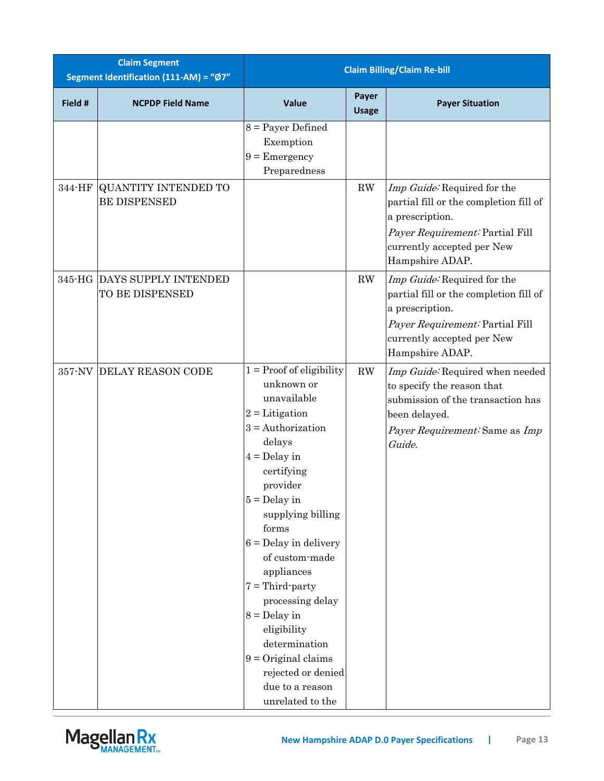| <b>Claim Segment</b><br>Segment Identification (111-AM) = "Ø7" |                                                    | <b>Claim Billing/Claim Re-bill</b>                                                                                                                                                                                                                                                                                                                                                                                                                   |                        |                                                                                                                                                                              |
|----------------------------------------------------------------|----------------------------------------------------|------------------------------------------------------------------------------------------------------------------------------------------------------------------------------------------------------------------------------------------------------------------------------------------------------------------------------------------------------------------------------------------------------------------------------------------------------|------------------------|------------------------------------------------------------------------------------------------------------------------------------------------------------------------------|
| Field #                                                        | <b>NCPDP Field Name</b>                            | <b>Value</b>                                                                                                                                                                                                                                                                                                                                                                                                                                         | Payer<br><b>Usage</b>  | <b>Payer Situation</b>                                                                                                                                                       |
|                                                                |                                                    | $8 =$ Payer Defined<br>Exemption<br>$9$ = Emergency<br>Preparedness                                                                                                                                                                                                                                                                                                                                                                                  |                        |                                                                                                                                                                              |
| 344-HF                                                         | <b>QUANTITY INTENDED TO</b><br><b>BE DISPENSED</b> |                                                                                                                                                                                                                                                                                                                                                                                                                                                      | RW                     | Imp Guide: Required for the<br>partial fill or the completion fill of<br>a prescription.<br>Payer Requirement: Partial Fill<br>currently accepted per New<br>Hampshire ADAP. |
|                                                                | 345-HG DAYS SUPPLY INTENDED<br>TO BE DISPENSED     |                                                                                                                                                                                                                                                                                                                                                                                                                                                      | RW                     | Imp Guide: Required for the<br>partial fill or the completion fill of<br>a prescription.<br>Payer Requirement: Partial Fill<br>currently accepted per New<br>Hampshire ADAP. |
|                                                                | 357-NV DELAY REASON CODE                           | $1 = Proof of eligibility$<br>unknown or<br>unavailable<br>$2 =$ Litigation<br>$3 =$ Authorization<br>delays<br>$4 =$ Delay in<br>certifying<br>provider<br>$5 =$ Delay in<br>supplying billing<br>forms<br>$6 =$ Delay in delivery<br>of custom-made<br>appliances<br>$7 =$ Third-party<br>processing delay<br>$8 =$ Delay in<br>eligibility<br>determination<br>$9 = Original claims$<br>rejected or denied<br>due to a reason<br>unrelated to the | $\mathbf{R}\mathbf{W}$ | Imp Guide: Required when needed<br>to specify the reason that<br>submission of the transaction has<br>been delayed.<br>Payer Requirement: Same as Imp<br>Guide.              |

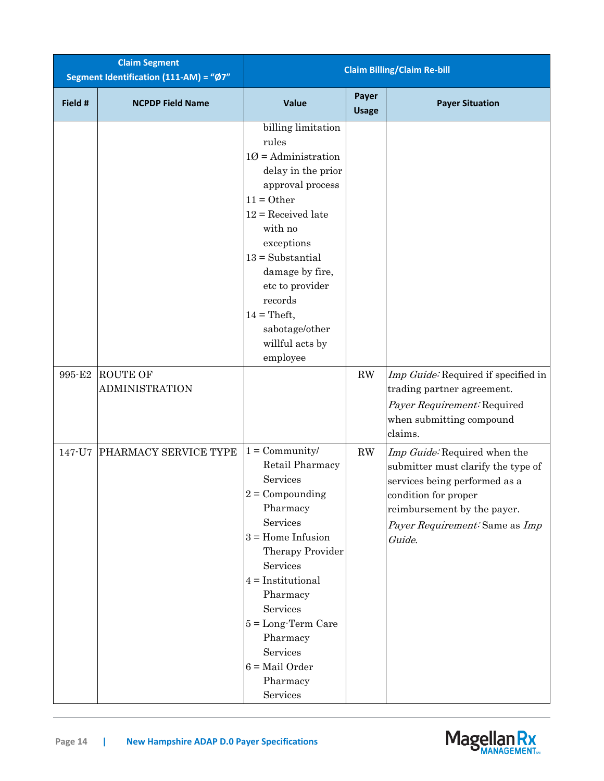| <b>Claim Segment</b><br>Segment Identification (111-AM) = "Ø7" |                         | <b>Claim Billing/Claim Re-bill</b>                                                                                                                                                                                                                                                                               |                       |                                                                                                                                                                                                        |
|----------------------------------------------------------------|-------------------------|------------------------------------------------------------------------------------------------------------------------------------------------------------------------------------------------------------------------------------------------------------------------------------------------------------------|-----------------------|--------------------------------------------------------------------------------------------------------------------------------------------------------------------------------------------------------|
| Field #                                                        | <b>NCPDP Field Name</b> | Value                                                                                                                                                                                                                                                                                                            | Payer<br><b>Usage</b> | <b>Payer Situation</b>                                                                                                                                                                                 |
| 995-E2                                                         | <b>ROUTE OF</b>         | billing limitation<br>rules<br>$10 =$ Administration<br>delay in the prior<br>approval process<br>$11 = 0$ ther<br>$12$ = Received late<br>with no<br>exceptions<br>$13 = Substantial$<br>damage by fire,<br>etc to provider<br>records<br>$14 = \text{Theft},$<br>sabotage/other<br>willful acts by<br>employee | RW                    | Imp Guide: Required if specified in                                                                                                                                                                    |
|                                                                | <b>ADMINISTRATION</b>   |                                                                                                                                                                                                                                                                                                                  |                       | trading partner agreement.<br>Payer Requirement: Required<br>when submitting compound<br>claims.                                                                                                       |
| 147-U7                                                         | PHARMACY SERVICE TYPE   | $1 = \text{Community}/$<br>Retail Pharmacy<br>Services<br>$2 =$ Compounding<br>Pharmacy<br>Services<br>$3 =$ Home Infusion<br>Therapy Provider<br>Services<br>$4 =$ Institutional<br>Pharmacy<br>Services<br>$5 = Long-Term Care$<br>Pharmacy<br>Services<br>$6 = Mail Order$<br>Pharmacy<br>Services            | RW                    | Imp Guide: Required when the<br>submitter must clarify the type of<br>services being performed as a<br>condition for proper<br>reimbursement by the payer.<br>Payer Requirement: Same as Imp<br>Guide. |

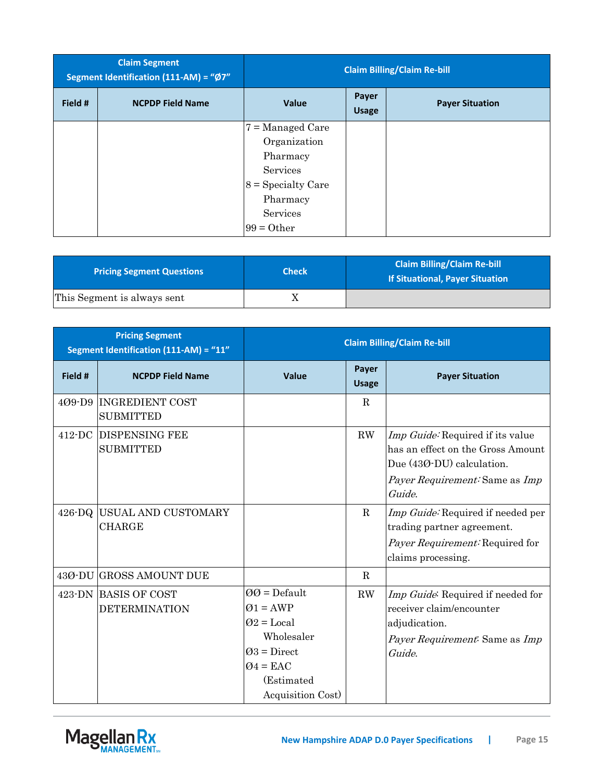|         | <b>Claim Segment</b><br>Segment Identification (111-AM) = "Ø7" |                      |                       | <b>Claim Billing/Claim Re-bill</b> |
|---------|----------------------------------------------------------------|----------------------|-----------------------|------------------------------------|
| Field # | <b>NCPDP Field Name</b>                                        | <b>Value</b>         | Payer<br><b>Usage</b> | <b>Payer Situation</b>             |
|         |                                                                | $7 =$ Managed Care   |                       |                                    |
|         |                                                                | Organization         |                       |                                    |
|         |                                                                | Pharmacy             |                       |                                    |
|         |                                                                | Services             |                       |                                    |
|         |                                                                | $8 =$ Specialty Care |                       |                                    |
|         |                                                                | Pharmacy             |                       |                                    |
|         |                                                                | Services             |                       |                                    |
|         |                                                                | $99 = Other$         |                       |                                    |

| <b>Pricing Segment Questions</b> | <b>Check</b> | <b>Claim Billing/Claim Re-bill</b><br><b>If Situational, Payer Situation</b> |
|----------------------------------|--------------|------------------------------------------------------------------------------|
| This Segment is always sent      |              |                                                                              |

|                 | <b>Pricing Segment</b><br>Segment Identification (111-AM) = "11" | <b>Claim Billing/Claim Re-bill</b>                                                                                                  |                       |                                                                                                                                                |
|-----------------|------------------------------------------------------------------|-------------------------------------------------------------------------------------------------------------------------------------|-----------------------|------------------------------------------------------------------------------------------------------------------------------------------------|
| Field #         | <b>NCPDP Field Name</b>                                          | Value                                                                                                                               | Payer<br><b>Usage</b> | <b>Payer Situation</b>                                                                                                                         |
|                 | 409-D9 INGREDIENT COST<br><b>SUBMITTED</b>                       |                                                                                                                                     | R                     |                                                                                                                                                |
|                 | 412-DC DISPENSING FEE<br><b>SUBMITTED</b>                        |                                                                                                                                     | RW                    | Imp Guide: Required if its value<br>has an effect on the Gross Amount<br>Due (430-DU) calculation.<br>Payer Requirement: Same as Imp<br>Guide. |
| $426\text{-}DQ$ | USUAL AND CUSTOMARY<br><b>CHARGE</b>                             |                                                                                                                                     | $\mathbf R$           | Imp Guide: Required if needed per<br>trading partner agreement.<br><i>Payer Requirement:</i> Required for<br>claims processing.                |
|                 | 430-DU GROSS AMOUNT DUE                                          |                                                                                                                                     | R                     |                                                                                                                                                |
|                 | 423-DN BASIS OF COST<br><b>DETERMINATION</b>                     | $00 = \text{Default}$<br>$Q1 = AWP$<br>$Q2 = Local$<br>Wholesaler<br>$Q3 = Direct$<br>$Q4 = EAC$<br>(Estimated<br>Acquisition Cost) | RW                    | Imp Guide: Required if needed for<br>receiver claim/encounter<br>adjudication.<br>Payer Requirement: Same as Imp<br>Guide.                     |

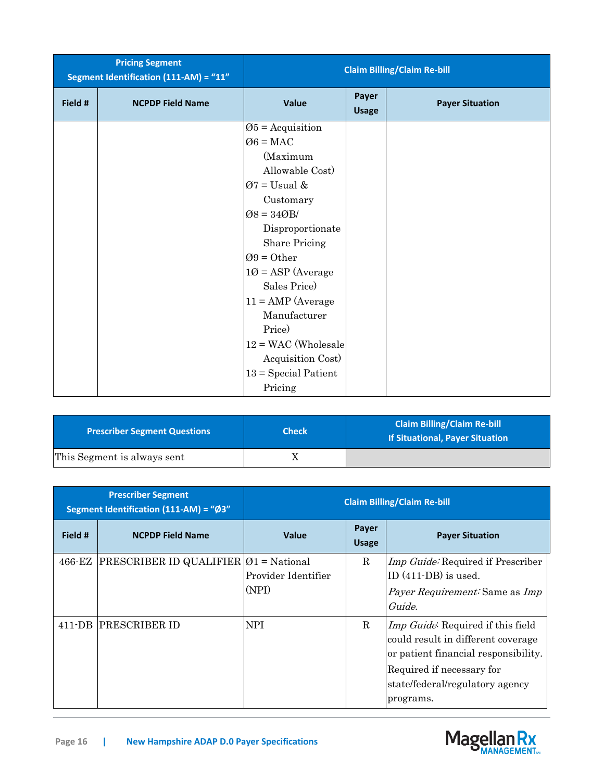|         | <b>Pricing Segment</b><br>Segment Identification (111-AM) = "11" | <b>Claim Billing/Claim Re-bill</b> |                       |                        |
|---------|------------------------------------------------------------------|------------------------------------|-----------------------|------------------------|
| Field # | <b>NCPDP Field Name</b>                                          | Value                              | Payer<br><b>Usage</b> | <b>Payer Situation</b> |
|         |                                                                  | $\varnothing$ 5 = Acquisition      |                       |                        |
|         |                                                                  | $\varnothing 6 = \text{MAC}$       |                       |                        |
|         |                                                                  | (Maximum                           |                       |                        |
|         |                                                                  | Allowable Cost)                    |                       |                        |
|         |                                                                  | $Ø7 =$ Usual &                     |                       |                        |
|         |                                                                  | Customary                          |                       |                        |
|         |                                                                  | $Ø8 = 34ØB/$                       |                       |                        |
|         |                                                                  | Disproportionate                   |                       |                        |
|         |                                                                  | <b>Share Pricing</b>               |                       |                        |
|         |                                                                  | $Q9 = 0$ ther                      |                       |                        |
|         |                                                                  | $10 = \text{ASP}$ (Average         |                       |                        |
|         |                                                                  | Sales Price)                       |                       |                        |
|         |                                                                  | $11 = AMP$ (Average                |                       |                        |
|         |                                                                  | Manufacturer                       |                       |                        |
|         |                                                                  | Price)                             |                       |                        |
|         |                                                                  | $12 = WAC$ (Wholesale              |                       |                        |
|         |                                                                  | Acquisition Cost)                  |                       |                        |
|         |                                                                  | $13 = Special Patient$             |                       |                        |
|         |                                                                  | Pricing                            |                       |                        |

| <b>Prescriber Segment Questions</b> | <b>Check</b> | <b>Claim Billing/Claim Re-bill</b><br><b>If Situational, Payer Situation</b> |
|-------------------------------------|--------------|------------------------------------------------------------------------------|
| This Segment is always sent         |              |                                                                              |

| <b>Prescriber Segment</b><br>Segment Identification (111-AM) = "Ø3" |                                                    | <b>Claim Billing/Claim Re-bill</b> |                       |                                                                                                                                                                                                      |
|---------------------------------------------------------------------|----------------------------------------------------|------------------------------------|-----------------------|------------------------------------------------------------------------------------------------------------------------------------------------------------------------------------------------------|
| Field #                                                             | <b>NCPDP Field Name</b>                            | <b>Value</b>                       | Payer<br><b>Usage</b> | <b>Payer Situation</b>                                                                                                                                                                               |
| 466-EZ                                                              | PRESCRIBER ID QUALIFIER $\varnothing$ 1 = National | Provider Identifier<br>(NPI)       | R.                    | Imp Guide: Required if Prescriber<br>ID (411-DB) is used.<br><i>Payer Requirement:</i> Same as <i>Imp</i><br>Guide.                                                                                  |
| 411-DB                                                              | <b>PRESCRIBER ID</b>                               | <b>NPI</b>                         | R                     | <i>Imp Guide</i> : Required if this field<br>could result in different coverage<br>or patient financial responsibility.<br>Required if necessary for<br>state/federal/regulatory agency<br>programs. |

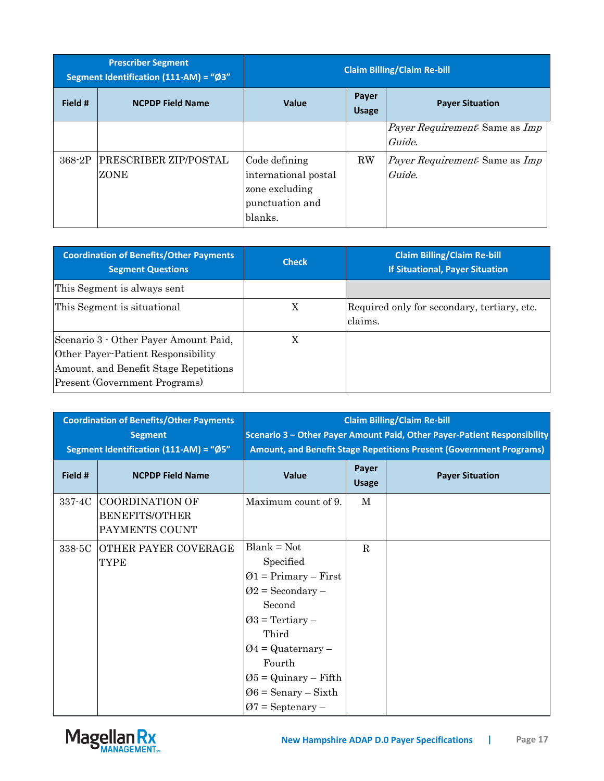| <b>Prescriber Segment</b><br>Segment Identification (111-AM) = "Ø3" |                               | <b>Claim Billing/Claim Re-bill</b>                                                    |                       |                                                        |
|---------------------------------------------------------------------|-------------------------------|---------------------------------------------------------------------------------------|-----------------------|--------------------------------------------------------|
| Field #                                                             | <b>NCPDP Field Name</b>       | <b>Value</b>                                                                          | Payer<br><b>Usage</b> | <b>Payer Situation</b>                                 |
|                                                                     |                               |                                                                                       |                       | <i>Payer Requirement:</i> Same as <i>Imp</i><br>Guide. |
| 368-2P                                                              | PRESCRIBER ZIP/POSTAL<br>ZONE | Code defining<br>international postal<br>zone excluding<br>punctuation and<br>blanks. | <b>RW</b>             | <i>Payer Requirement:</i> Same as <i>Imp</i><br>Guide. |

| <b>Coordination of Benefits/Other Payments</b><br><b>Segment Questions</b>                                                                                   | <b>Check</b> | <b>Claim Billing/Claim Re-bill</b><br><b>If Situational, Payer Situation</b> |
|--------------------------------------------------------------------------------------------------------------------------------------------------------------|--------------|------------------------------------------------------------------------------|
| This Segment is always sent                                                                                                                                  |              |                                                                              |
| This Segment is situational                                                                                                                                  | Χ            | Required only for secondary, tertiary, etc.<br>claims.                       |
| Scenario 3 - Other Payer Amount Paid,<br>Other Payer-Patient Responsibility<br>Amount, and Benefit Stage Repetitions<br><b>Present (Government Programs)</b> | X            |                                                                              |

| <b>Coordination of Benefits/Other Payments</b><br><b>Segment</b><br>Segment Identification (111-AM) = "Ø5" |                                                            | <b>Claim Billing/Claim Re-bill</b><br>Scenario 3 - Other Payer Amount Paid, Other Payer-Patient Responsibility<br>Amount, and Benefit Stage Repetitions Present (Government Programs)                                                              |                       |                        |
|------------------------------------------------------------------------------------------------------------|------------------------------------------------------------|----------------------------------------------------------------------------------------------------------------------------------------------------------------------------------------------------------------------------------------------------|-----------------------|------------------------|
| Field #                                                                                                    | <b>NCPDP Field Name</b>                                    | Value                                                                                                                                                                                                                                              | Payer<br><b>Usage</b> | <b>Payer Situation</b> |
| 337-4C                                                                                                     | COORDINATION OF<br><b>BENEFITS/OTHER</b><br>PAYMENTS COUNT | Maximum count of 9.                                                                                                                                                                                                                                | М                     |                        |
| 338-5C                                                                                                     | OTHER PAYER COVERAGE<br>TYPE                               | $Blank = Not$<br>Specified<br>$Q1 = Primary - First$<br>$Q2 =$ Secondary –<br>Second<br>$Q3$ = Tertiary –<br>Third<br>$\varnothing$ 4 = Quaternary –<br>Fourth<br>$\varnothing$ 5 = Quinary – Fifth<br>$06 =$ Senary – Sixth<br>$Q7 =$ Septenary – | $\mathbf R$           |                        |

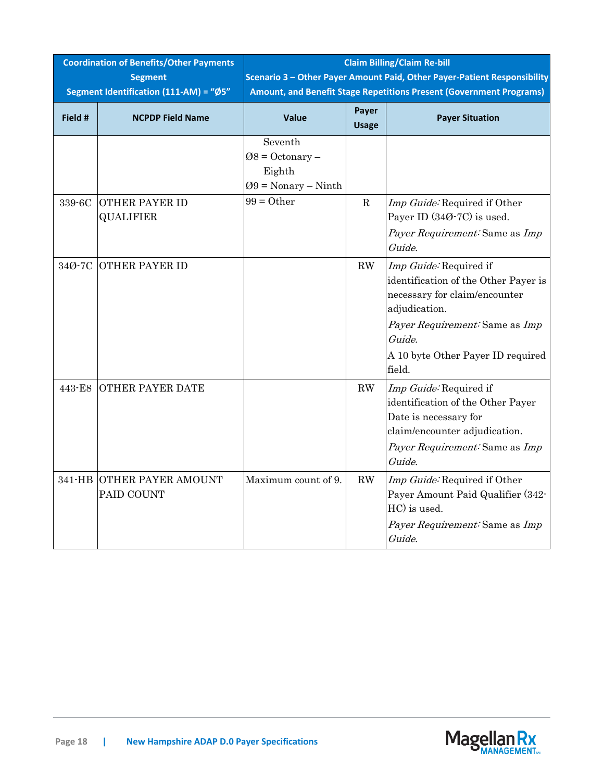| <b>Coordination of Benefits/Other Payments</b> |                                                          | <b>Claim Billing/Claim Re-bill</b>                                                                                                              |                        |                                                                                                                                                                                                             |  |
|------------------------------------------------|----------------------------------------------------------|-------------------------------------------------------------------------------------------------------------------------------------------------|------------------------|-------------------------------------------------------------------------------------------------------------------------------------------------------------------------------------------------------------|--|
|                                                | <b>Segment</b><br>Segment Identification (111-AM) = "Ø5" | Scenario 3 - Other Payer Amount Paid, Other Payer-Patient Responsibility<br>Amount, and Benefit Stage Repetitions Present (Government Programs) |                        |                                                                                                                                                                                                             |  |
| Field #                                        | <b>NCPDP Field Name</b>                                  | <b>Value</b>                                                                                                                                    | Payer<br><b>Usage</b>  | <b>Payer Situation</b>                                                                                                                                                                                      |  |
|                                                |                                                          | Seventh<br>$08 = Octonary -$<br>Eighth<br>$Q9 = Nonary - Ninth$                                                                                 |                        |                                                                                                                                                                                                             |  |
| 339-6C                                         | <b>OTHER PAYER ID</b><br><b>QUALIFIER</b>                | $99 = Other$                                                                                                                                    | $\mathbf R$            | Imp Guide: Required if Other<br>Payer ID (34Ø-7C) is used.<br>Payer Requirement: Same as Imp<br>Guide.                                                                                                      |  |
| 34Ø-7C                                         | <b>OTHER PAYER ID</b>                                    |                                                                                                                                                 | $\mathbf{R}\mathbf{W}$ | Imp Guide: Required if<br>identification of the Other Payer is<br>necessary for claim/encounter<br>adjudication.<br>Payer Requirement: Same as Imp<br>Guide.<br>A 10 byte Other Payer ID required<br>field. |  |
| 443-E8                                         | <b>OTHER PAYER DATE</b>                                  |                                                                                                                                                 | RW                     | Imp Guide: Required if<br>identification of the Other Payer<br>Date is necessary for<br>claim/encounter adjudication.<br>Payer Requirement: Same as Imp<br>Guide.                                           |  |
|                                                | 341-HB OTHER PAYER AMOUNT<br>PAID COUNT                  | Maximum count of 9.                                                                                                                             | $\mathbf{R}\mathbf{W}$ | Imp Guide: Required if Other<br>Payer Amount Paid Qualifier (342-<br>HC) is used.<br>Payer Requirement: Same as Imp<br>Guide.                                                                               |  |

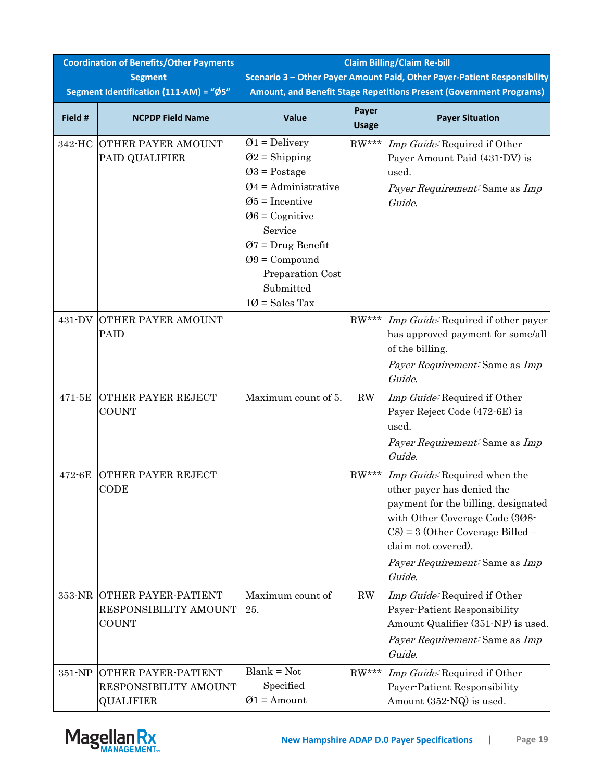| <b>Coordination of Benefits/Other Payments</b><br><b>Segment</b> |                                                                  | <b>Claim Billing/Claim Re-bill</b><br>Scenario 3 - Other Payer Amount Paid, Other Payer-Patient Responsibility                                                                                                                    |                       |                                                                                                                                                                                                                                             |  |
|------------------------------------------------------------------|------------------------------------------------------------------|-----------------------------------------------------------------------------------------------------------------------------------------------------------------------------------------------------------------------------------|-----------------------|---------------------------------------------------------------------------------------------------------------------------------------------------------------------------------------------------------------------------------------------|--|
|                                                                  | Segment Identification (111-AM) = "Ø5"                           |                                                                                                                                                                                                                                   |                       | Amount, and Benefit Stage Repetitions Present (Government Programs)                                                                                                                                                                         |  |
| Field #                                                          | <b>NCPDP Field Name</b>                                          | Value                                                                                                                                                                                                                             | Payer<br><b>Usage</b> | <b>Payer Situation</b>                                                                                                                                                                                                                      |  |
| 342-HC                                                           | <b>OTHER PAYER AMOUNT</b><br>PAID QUALIFIER                      | $\varnothing$ 1 = Delivery<br>$Q2 =$ Shipping<br>$Q3 = Postage$<br>$Q4 =$ Administrative<br>$\varnothing$ 5 = Incentive<br>$06 =$ Cognitive<br>Service<br>$07 = Drug$ Benefit<br>$Q9 =$ Compound<br>Preparation Cost<br>Submitted | $RW***$               | Imp Guide: Required if Other<br>Payer Amount Paid (431-DV) is<br>used.<br>Payer Requirement: Same as Imp<br>Guide.                                                                                                                          |  |
| 431-DV                                                           | OTHER PAYER AMOUNT<br>PAID                                       | $10 = Sales Tax$                                                                                                                                                                                                                  | $RW***$               | Imp Guide: Required if other payer<br>has approved payment for some/all<br>of the billing.<br>Payer Requirement: Same as Imp<br>Guide.                                                                                                      |  |
| 471-5E                                                           | <b>OTHER PAYER REJECT</b><br><b>COUNT</b>                        | Maximum count of 5.                                                                                                                                                                                                               | RW                    | Imp Guide: Required if Other<br>Payer Reject Code (472-6E) is<br>used.<br>Payer Requirement: Same as Imp<br>Guide.                                                                                                                          |  |
| 472-6E                                                           | OTHER PAYER REJECT<br>CODE                                       |                                                                                                                                                                                                                                   | $RW***$               | Imp Guide: Required when the<br>other payer has denied the<br>payment for the billing, designated<br>with Other Coverage Code (308-<br>$CS$ = 3 (Other Coverage Billed –<br>claim not covered).<br>Payer Requirement: Same as Imp<br>Guide. |  |
| 353-NR                                                           | OTHER PAYER-PATIENT<br>RESPONSIBILITY AMOUNT<br><b>COUNT</b>     | Maximum count of<br>25.                                                                                                                                                                                                           | RW                    | Imp Guide: Required if Other<br>Payer-Patient Responsibility<br>Amount Qualifier (351-NP) is used.<br>Payer Requirement: Same as Imp<br>Guide.                                                                                              |  |
| 351-NP                                                           | OTHER PAYER-PATIENT<br>RESPONSIBILITY AMOUNT<br><b>QUALIFIER</b> | $Blank = Not$<br>Specified<br>$Ø1 =$ Amount                                                                                                                                                                                       | $RW***$               | Imp Guide: Required if Other<br>Payer-Patient Responsibility<br>Amount (352-NQ) is used.                                                                                                                                                    |  |

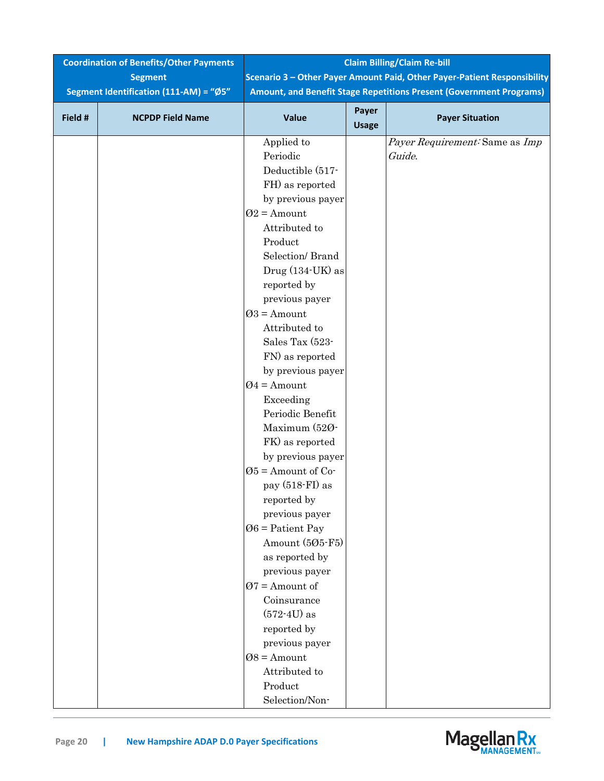| <b>Coordination of Benefits/Other Payments</b> |                                        | <b>Claim Billing/Claim Re-bill</b>                                       |              |                                                                     |  |
|------------------------------------------------|----------------------------------------|--------------------------------------------------------------------------|--------------|---------------------------------------------------------------------|--|
|                                                | <b>Segment</b>                         | Scenario 3 - Other Payer Amount Paid, Other Payer-Patient Responsibility |              |                                                                     |  |
|                                                | Segment Identification (111-AM) = "Ø5" |                                                                          |              | Amount, and Benefit Stage Repetitions Present (Government Programs) |  |
| Field #                                        | <b>NCPDP Field Name</b>                | Value                                                                    | Payer        | <b>Payer Situation</b>                                              |  |
|                                                |                                        |                                                                          | <b>Usage</b> |                                                                     |  |
|                                                |                                        | Applied to                                                               |              | Payer Requirement: Same as Imp                                      |  |
|                                                |                                        | Periodic                                                                 |              | Guide.                                                              |  |
|                                                |                                        | Deductible (517-                                                         |              |                                                                     |  |
|                                                |                                        | FH) as reported                                                          |              |                                                                     |  |
|                                                |                                        | by previous payer                                                        |              |                                                                     |  |
|                                                |                                        | $Q2$ = Amount                                                            |              |                                                                     |  |
|                                                |                                        | Attributed to                                                            |              |                                                                     |  |
|                                                |                                        | Product                                                                  |              |                                                                     |  |
|                                                |                                        | Selection/Brand                                                          |              |                                                                     |  |
|                                                |                                        | Drug (134-UK) as                                                         |              |                                                                     |  |
|                                                |                                        | reported by                                                              |              |                                                                     |  |
|                                                |                                        | previous payer                                                           |              |                                                                     |  |
|                                                |                                        | $Q3 =$ Amount                                                            |              |                                                                     |  |
|                                                |                                        | Attributed to                                                            |              |                                                                     |  |
|                                                |                                        | Sales Tax (523-                                                          |              |                                                                     |  |
|                                                |                                        | FN) as reported                                                          |              |                                                                     |  |
|                                                |                                        | by previous payer                                                        |              |                                                                     |  |
|                                                |                                        | $Q4 =$ Amount                                                            |              |                                                                     |  |
|                                                |                                        | Exceeding                                                                |              |                                                                     |  |
|                                                |                                        | Periodic Benefit                                                         |              |                                                                     |  |
|                                                |                                        | Maximum (520-                                                            |              |                                                                     |  |
|                                                |                                        | FK) as reported                                                          |              |                                                                     |  |
|                                                |                                        | by previous payer                                                        |              |                                                                     |  |
|                                                |                                        | $\varnothing$ 5 = Amount of Co-                                          |              |                                                                     |  |
|                                                |                                        | pay $(518\text{-}\mathrm{FI})$ as                                        |              |                                                                     |  |
|                                                |                                        | reported by                                                              |              |                                                                     |  |
|                                                |                                        | previous payer                                                           |              |                                                                     |  |
|                                                |                                        | $06$ = Patient Pay                                                       |              |                                                                     |  |
|                                                |                                        | Amount (505-F5)                                                          |              |                                                                     |  |
|                                                |                                        | as reported by<br>previous payer                                         |              |                                                                     |  |
|                                                |                                        | $Q7$ = Amount of                                                         |              |                                                                     |  |
|                                                |                                        | Coinsurance                                                              |              |                                                                     |  |
|                                                |                                        | $(572-4U)$ as                                                            |              |                                                                     |  |
|                                                |                                        | reported by                                                              |              |                                                                     |  |
|                                                |                                        | previous payer                                                           |              |                                                                     |  |
|                                                |                                        | $08 =$ Amount                                                            |              |                                                                     |  |
|                                                |                                        | Attributed to                                                            |              |                                                                     |  |
|                                                |                                        | Product                                                                  |              |                                                                     |  |
|                                                |                                        | Selection/Non-                                                           |              |                                                                     |  |
|                                                |                                        |                                                                          |              |                                                                     |  |

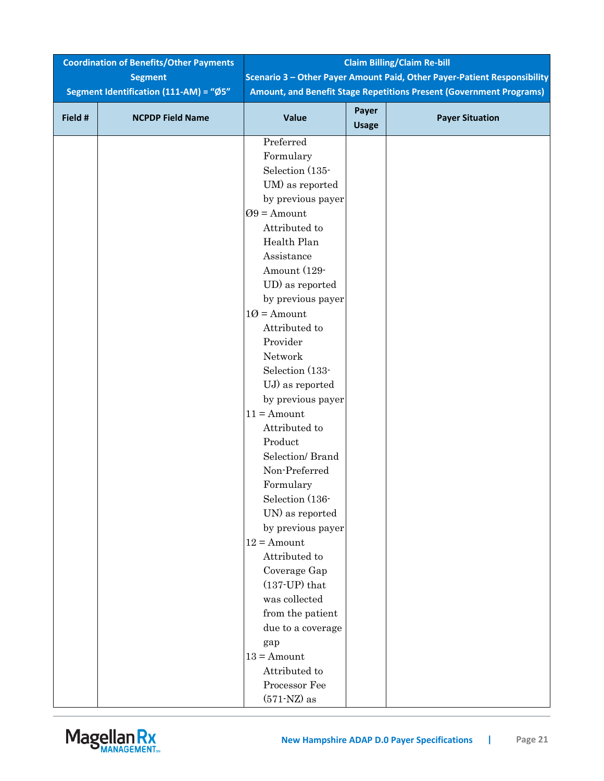| <b>Coordination of Benefits/Other Payments</b> |                                        | <b>Claim Billing/Claim Re-bill</b> |              |                                                                          |
|------------------------------------------------|----------------------------------------|------------------------------------|--------------|--------------------------------------------------------------------------|
|                                                | <b>Segment</b>                         |                                    |              | Scenario 3 - Other Payer Amount Paid, Other Payer-Patient Responsibility |
|                                                | Segment Identification (111-AM) = "Ø5" |                                    |              | Amount, and Benefit Stage Repetitions Present (Government Programs)      |
| Field #                                        | <b>NCPDP Field Name</b>                | Value                              | Payer        | <b>Payer Situation</b>                                                   |
|                                                |                                        |                                    | <b>Usage</b> |                                                                          |
|                                                |                                        | Preferred                          |              |                                                                          |
|                                                |                                        | Formulary                          |              |                                                                          |
|                                                |                                        | Selection (135-                    |              |                                                                          |
|                                                |                                        | UM) as reported                    |              |                                                                          |
|                                                |                                        | by previous payer                  |              |                                                                          |
|                                                |                                        | $Q9 =$ Amount                      |              |                                                                          |
|                                                |                                        | Attributed to                      |              |                                                                          |
|                                                |                                        | Health Plan                        |              |                                                                          |
|                                                |                                        | Assistance                         |              |                                                                          |
|                                                |                                        | Amount (129-                       |              |                                                                          |
|                                                |                                        | UD) as reported                    |              |                                                                          |
|                                                |                                        | by previous payer                  |              |                                                                          |
|                                                |                                        | $10 =$ Amount                      |              |                                                                          |
|                                                |                                        | Attributed to                      |              |                                                                          |
|                                                |                                        | Provider                           |              |                                                                          |
|                                                |                                        | Network                            |              |                                                                          |
|                                                |                                        | Selection (133-                    |              |                                                                          |
|                                                |                                        | UJ) as reported                    |              |                                                                          |
|                                                |                                        | by previous payer                  |              |                                                                          |
|                                                |                                        | $11 =$ Amount                      |              |                                                                          |
|                                                |                                        | Attributed to                      |              |                                                                          |
|                                                |                                        | Product                            |              |                                                                          |
|                                                |                                        | Selection/ Brand                   |              |                                                                          |
|                                                |                                        | Non-Preferred                      |              |                                                                          |
|                                                |                                        | Formulary                          |              |                                                                          |
|                                                |                                        | Selection (136-                    |              |                                                                          |
|                                                |                                        | UN) as reported                    |              |                                                                          |
|                                                |                                        | by previous payer                  |              |                                                                          |
|                                                |                                        | $12 =$ Amount                      |              |                                                                          |
|                                                |                                        | Attributed to                      |              |                                                                          |
|                                                |                                        | Coverage Gap                       |              |                                                                          |
|                                                |                                        | $(137-UP)$ that                    |              |                                                                          |
|                                                |                                        | was collected                      |              |                                                                          |
|                                                |                                        | from the patient                   |              |                                                                          |
|                                                |                                        | due to a coverage                  |              |                                                                          |
|                                                |                                        | gap                                |              |                                                                          |
|                                                |                                        | $13 =$ Amount                      |              |                                                                          |
|                                                |                                        | Attributed to                      |              |                                                                          |
|                                                |                                        | Processor Fee                      |              |                                                                          |
|                                                |                                        | $(571-NZ)$ as                      |              |                                                                          |

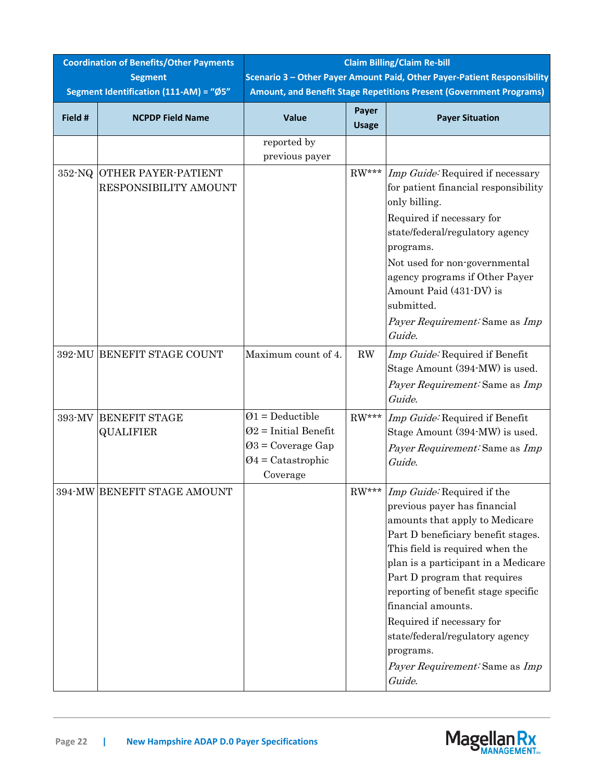| <b>Coordination of Benefits/Other Payments</b><br><b>Segment</b> |                                                     | <b>Claim Billing/Claim Re-bill</b><br>Scenario 3 - Other Payer Amount Paid, Other Payer-Patient Responsibility |                       |                                                                                                                                                                                                                                                                                                                                                                                                                                           |  |
|------------------------------------------------------------------|-----------------------------------------------------|----------------------------------------------------------------------------------------------------------------|-----------------------|-------------------------------------------------------------------------------------------------------------------------------------------------------------------------------------------------------------------------------------------------------------------------------------------------------------------------------------------------------------------------------------------------------------------------------------------|--|
|                                                                  | Segment Identification (111-AM) = "Ø5"              | Amount, and Benefit Stage Repetitions Present (Government Programs)                                            |                       |                                                                                                                                                                                                                                                                                                                                                                                                                                           |  |
| Field #                                                          | <b>NCPDP Field Name</b>                             | Value                                                                                                          | Payer<br><b>Usage</b> | <b>Payer Situation</b>                                                                                                                                                                                                                                                                                                                                                                                                                    |  |
|                                                                  |                                                     | reported by<br>previous payer                                                                                  |                       |                                                                                                                                                                                                                                                                                                                                                                                                                                           |  |
|                                                                  | 352-NQ OTHER PAYER-PATIENT<br>RESPONSIBILITY AMOUNT |                                                                                                                | $RW***$               | Imp Guide: Required if necessary<br>for patient financial responsibility<br>only billing.<br>Required if necessary for<br>state/federal/regulatory agency<br>programs.<br>Not used for non-governmental<br>agency programs if Other Payer<br>Amount Paid (431-DV) is<br>submitted.<br>Payer Requirement: Same as Imp<br>Guide.                                                                                                            |  |
|                                                                  | 392-MU BENEFIT STAGE COUNT                          | Maximum count of 4.                                                                                            | RW                    | Imp Guide: Required if Benefit<br>Stage Amount (394-MW) is used.<br>Payer Requirement: Same as Imp<br>Guide.                                                                                                                                                                                                                                                                                                                              |  |
| 393-MV                                                           | <b>BENEFIT STAGE</b><br><b>QUALIFIER</b>            | $Ø1 = Deductible$<br>$Q2$ = Initial Benefit<br>$Q3$ = Coverage Gap<br>$Q4 =$ Catastrophic<br>Coverage          | $RW***$               | Imp Guide: Required if Benefit<br>Stage Amount (394-MW) is used.<br>Payer Requirement: Same as Imp<br>Guide.                                                                                                                                                                                                                                                                                                                              |  |
|                                                                  | 394-MW BENEFIT STAGE AMOUNT                         |                                                                                                                | $RW***$               | <i>Imp Guide:</i> Required if the<br>previous payer has financial<br>amounts that apply to Medicare<br>Part D beneficiary benefit stages.<br>This field is required when the<br>plan is a participant in a Medicare<br>Part D program that requires<br>reporting of benefit stage specific<br>financial amounts.<br>Required if necessary for<br>state/federal/regulatory agency<br>programs.<br>Payer Requirement: Same as Imp<br>Guide. |  |

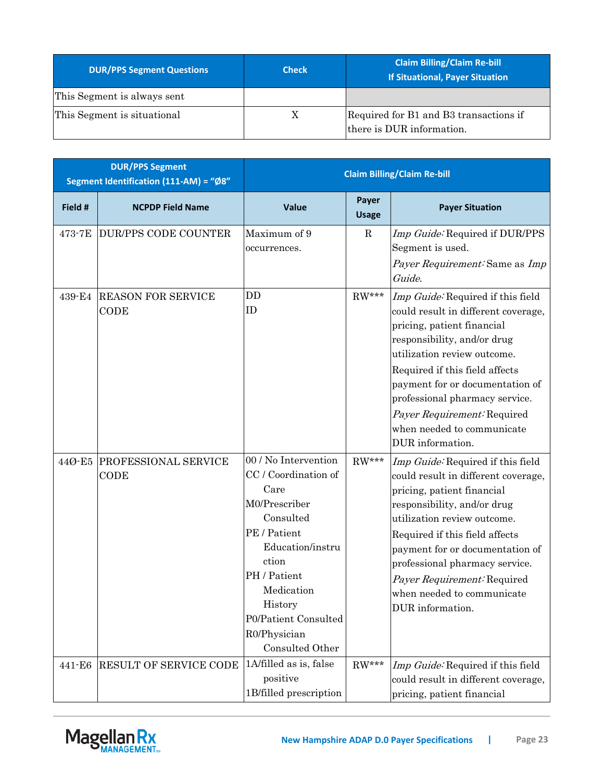| <b>DUR/PPS Segment Questions</b> | <b>Check</b> | <b>Claim Billing/Claim Re-bill</b><br><b>If Situational, Payer Situation</b> |
|----------------------------------|--------------|------------------------------------------------------------------------------|
| This Segment is always sent      |              |                                                                              |
| This Segment is situational      | X            | Required for B1 and B3 transactions if<br>there is DUR information.          |

| <b>DUR/PPS Segment</b><br>Segment Identification (111-AM) = "Ø8" |                                            | <b>Claim Billing/Claim Re-bill</b>                                                                                                                                                                                                  |                       |                                                                                                                                                                                                                                                                                                                                                              |
|------------------------------------------------------------------|--------------------------------------------|-------------------------------------------------------------------------------------------------------------------------------------------------------------------------------------------------------------------------------------|-----------------------|--------------------------------------------------------------------------------------------------------------------------------------------------------------------------------------------------------------------------------------------------------------------------------------------------------------------------------------------------------------|
| Field #                                                          | <b>NCPDP Field Name</b>                    | <b>Value</b>                                                                                                                                                                                                                        | Payer<br><b>Usage</b> | <b>Payer Situation</b>                                                                                                                                                                                                                                                                                                                                       |
| 473-7E                                                           | <b>DUR/PPS CODE COUNTER</b>                | Maximum of 9<br>occurrences.                                                                                                                                                                                                        | $\mathbf R$           | Imp Guide: Required if DUR/PPS<br>Segment is used.<br>Payer Requirement: Same as Imp<br>Guide.                                                                                                                                                                                                                                                               |
| 439-E4                                                           | <b>REASON FOR SERVICE</b><br>CODE          | DD<br>ID                                                                                                                                                                                                                            | $RW***$               | Imp Guide: Required if this field<br>could result in different coverage,<br>pricing, patient financial<br>responsibility, and/or drug<br>utilization review outcome.<br>Required if this field affects<br>payment for or documentation of<br>professional pharmacy service.<br>Payer Requirement: Required<br>when needed to communicate<br>DUR information. |
| 44Ø-E5                                                           | <b>PROFESSIONAL SERVICE</b><br><b>CODE</b> | 00 / No Intervention<br>CC / Coordination of<br>Care<br>M0/Prescriber<br>Consulted<br>PE / Patient<br>Education/instru<br>ction<br>PH / Patient<br>Medication<br>History<br>P0/Patient Consulted<br>R0/Physician<br>Consulted Other | $RW***$               | Imp Guide: Required if this field<br>could result in different coverage,<br>pricing, patient financial<br>responsibility, and/or drug<br>utilization review outcome.<br>Required if this field affects<br>payment for or documentation of<br>professional pharmacy service.<br>Payer Requirement: Required<br>when needed to communicate<br>DUR information. |
| 441-E6                                                           | RESULT OF SERVICE CODE                     | 1A/filled as is, false<br>positive<br>1B/filled prescription                                                                                                                                                                        | $RW***$               | Imp Guide: Required if this field<br>could result in different coverage,<br>pricing, patient financial                                                                                                                                                                                                                                                       |

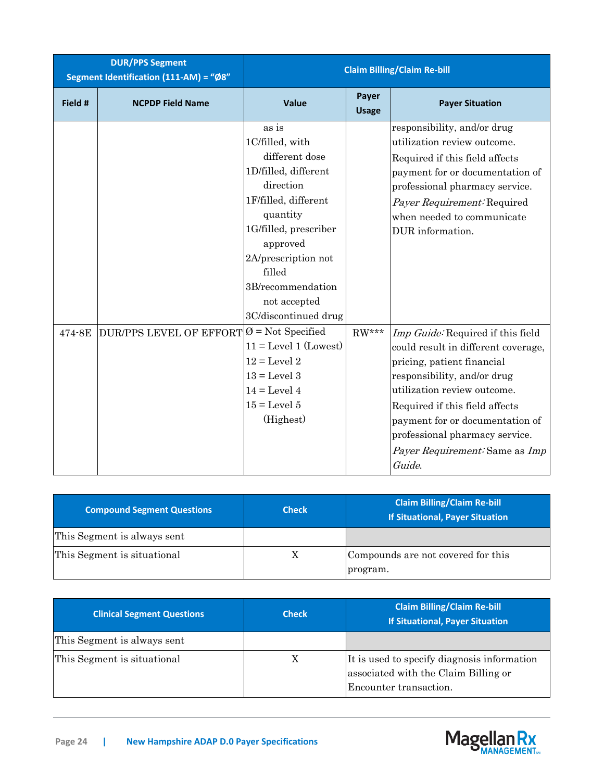| <b>DUR/PPS Segment</b><br>Segment Identification (111-AM) = "Ø8" |                                                        | <b>Claim Billing/Claim Re-bill</b>                                                                                                                                                                                                                     |                       |                                                                                                                                                                                                                                                                                                                         |  |
|------------------------------------------------------------------|--------------------------------------------------------|--------------------------------------------------------------------------------------------------------------------------------------------------------------------------------------------------------------------------------------------------------|-----------------------|-------------------------------------------------------------------------------------------------------------------------------------------------------------------------------------------------------------------------------------------------------------------------------------------------------------------------|--|
| Field #                                                          | <b>NCPDP Field Name</b>                                | Value                                                                                                                                                                                                                                                  | Payer<br><b>Usage</b> | <b>Payer Situation</b>                                                                                                                                                                                                                                                                                                  |  |
|                                                                  |                                                        | as is<br>1C/filled, with<br>different dose<br>1D/filled, different<br>direction<br>1F/filled, different<br>quantity<br>1G/filled, prescriber<br>approved<br>2A/prescription not<br>filled<br>3B/recommendation<br>not accepted<br>3C/discontinued drug |                       | responsibility, and/or drug<br>utilization review outcome.<br>Required if this field affects<br>payment for or documentation of<br>professional pharmacy service.<br>Payer Requirement: Required<br>when needed to communicate<br>DUR information.                                                                      |  |
| 474-8E                                                           | $DUR/PPS$ LEVEL OF EFFORT $ \emptyset$ = Not Specified | $11 = \text{Level } 1 \text{ (Lowest)}$<br>$12 = \text{Level } 2$<br>$13 = Level 3$<br>$14 = Level 4$<br>$15 =$ Level $5$<br>(Highest)                                                                                                                 | $\mathrm{RW^{***}}$   | Imp Guide: Required if this field<br>could result in different coverage,<br>pricing, patient financial<br>responsibility, and/or drug<br>utilization review outcome.<br>Required if this field affects<br>payment for or documentation of<br>professional pharmacy service.<br>Payer Requirement: Same as Imp<br>Guide. |  |

| <b>Compound Segment Questions</b> | <b>Check</b> | <b>Claim Billing/Claim Re-bill</b><br><b>If Situational, Payer Situation</b> |
|-----------------------------------|--------------|------------------------------------------------------------------------------|
| This Segment is always sent       |              |                                                                              |
| This Segment is situational       | Χ            | Compounds are not covered for this<br>program.                               |

| <b>Clinical Segment Questions</b> | <b>Check</b> | <b>Claim Billing/Claim Re-bill</b><br><b>If Situational, Payer Situation</b>                                  |
|-----------------------------------|--------------|---------------------------------------------------------------------------------------------------------------|
| This Segment is always sent       |              |                                                                                                               |
| This Segment is situational       | Χ            | It is used to specify diagnosis information<br>associated with the Claim Billing or<br>Encounter transaction. |

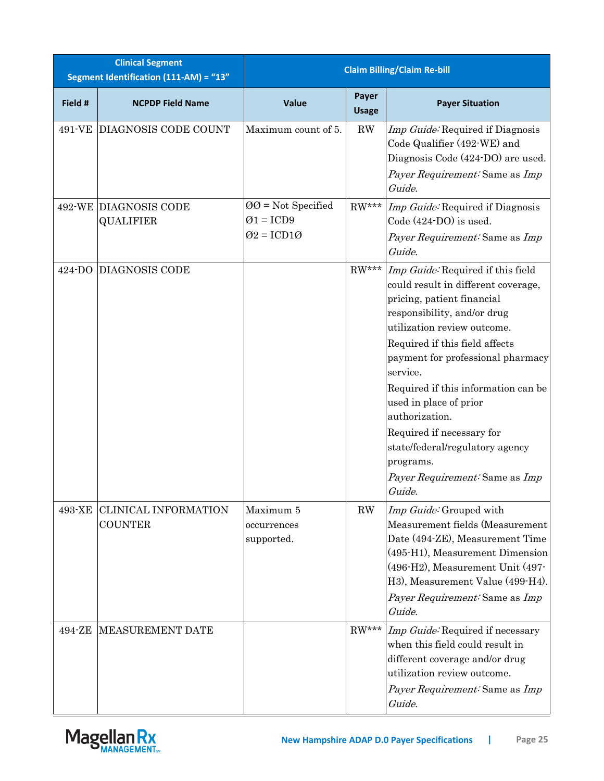| <b>Clinical Segment</b><br>Segment Identification (111-AM) = "13" |                                               | <b>Claim Billing/Claim Re-bill</b>                                                     |                        |                                                                                                                                                                                                                                                                                                                                                                                                                                                                     |
|-------------------------------------------------------------------|-----------------------------------------------|----------------------------------------------------------------------------------------|------------------------|---------------------------------------------------------------------------------------------------------------------------------------------------------------------------------------------------------------------------------------------------------------------------------------------------------------------------------------------------------------------------------------------------------------------------------------------------------------------|
| Field #                                                           | <b>NCPDP Field Name</b>                       | Value                                                                                  | Payer<br><b>Usage</b>  | <b>Payer Situation</b>                                                                                                                                                                                                                                                                                                                                                                                                                                              |
| 491-VE                                                            | DIAGNOSIS CODE COUNT                          | Maximum count of 5.                                                                    | $\mathbf{R}\mathbf{W}$ | Imp Guide: Required if Diagnosis<br>Code Qualifier (492-WE) and<br>Diagnosis Code (424-DO) are used.<br>Payer Requirement: Same as Imp<br>Guide.                                                                                                                                                                                                                                                                                                                    |
|                                                                   | 492-WE DIAGNOSIS CODE<br><b>QUALIFIER</b>     | $QQ = Not$ Specified<br>$\varnothing$ 1 = ICD9<br>$\varnothing$ 2 = ICD1 $\varnothing$ | $RW***$                | Imp Guide: Required if Diagnosis<br>Code (424-DO) is used.<br>Payer Requirement: Same as Imp<br>Guide.                                                                                                                                                                                                                                                                                                                                                              |
| 424-DO                                                            | <b>DIAGNOSIS CODE</b>                         |                                                                                        | $RW***$                | Imp Guide: Required if this field<br>could result in different coverage,<br>pricing, patient financial<br>responsibility, and/or drug<br>utilization review outcome.<br>Required if this field affects<br>payment for professional pharmacy<br>service.<br>Required if this information can be<br>used in place of prior<br>authorization.<br>Required if necessary for<br>state/federal/regulatory agency<br>programs.<br>Payer Requirement: Same as Imp<br>Guide. |
| 493-XE                                                            | <b>CLINICAL INFORMATION</b><br><b>COUNTER</b> | Maximum 5<br>occurrences<br>supported.                                                 | RW                     | Imp Guide: Grouped with<br>Measurement fields (Measurement<br>Date (494-ZE), Measurement Time<br>(495-H1), Measurement Dimension<br>(496-H2), Measurement Unit (497-<br>H3), Measurement Value (499-H4).<br>Payer Requirement: Same as Imp<br>Guide.                                                                                                                                                                                                                |
| 494-ZE                                                            | MEASUREMENT DATE                              |                                                                                        | $RW***$                | Imp Guide: Required if necessary<br>when this field could result in<br>different coverage and/or drug<br>utilization review outcome.<br>Payer Requirement: Same as Imp<br>Guide.                                                                                                                                                                                                                                                                                    |

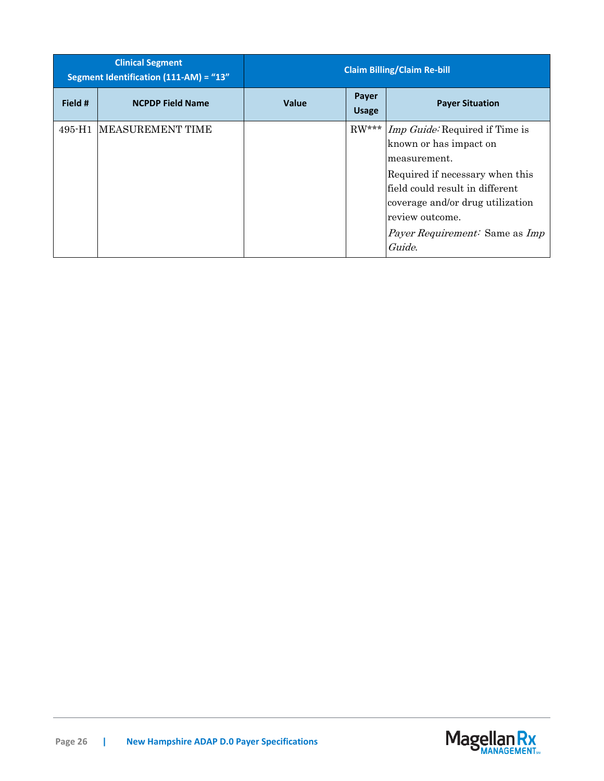| <b>Clinical Segment</b><br>Segment Identification (111-AM) = "13" |                          | <b>Claim Billing/Claim Re-bill</b>                              |  |                                                                                                                                                                                                                                                                                |
|-------------------------------------------------------------------|--------------------------|-----------------------------------------------------------------|--|--------------------------------------------------------------------------------------------------------------------------------------------------------------------------------------------------------------------------------------------------------------------------------|
| Field #                                                           | <b>NCPDP Field Name</b>  | Payer<br><b>Value</b><br><b>Payer Situation</b><br><b>Usage</b> |  |                                                                                                                                                                                                                                                                                |
| 495-H1                                                            | <b>IMEASUREMENT TIME</b> |                                                                 |  | RW*** <i>Imp Guide</i> : Required if Time is<br>known or has impact on<br>lmeasurement.<br>Required if necessary when this<br>field could result in different<br>coverage and/or drug utilization<br>review outcome.<br><i>Payer Requirement:</i> Same as <i>Imp</i><br>Guide. |

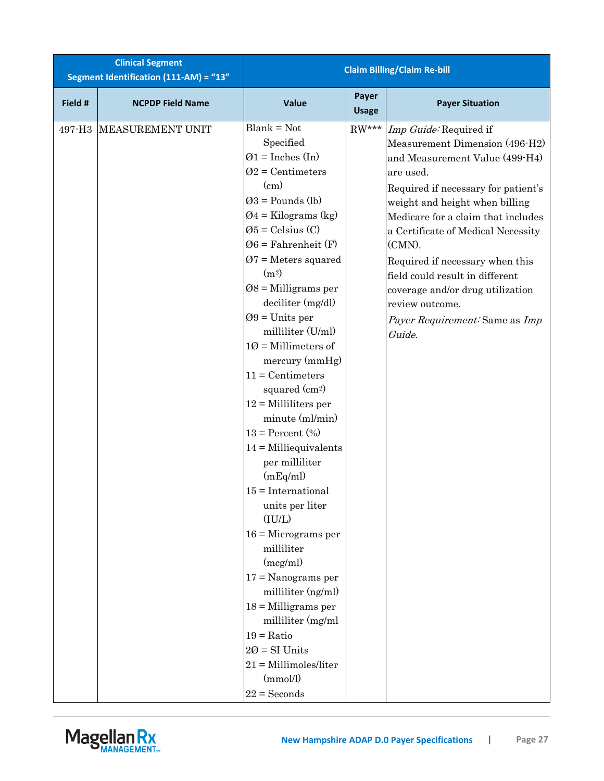| <b>Clinical Segment</b><br>Segment Identification (111-AM) = "13" |                         | <b>Claim Billing/Claim Re-bill</b>                                                                                                                                                                                                                                                                                                                                                                                                                                                                                                                                                                                                                                                                                                                                                                                                                                                  |                       |                                                                                                                                                                                                                                                                                                                                                                                                                                                 |  |
|-------------------------------------------------------------------|-------------------------|-------------------------------------------------------------------------------------------------------------------------------------------------------------------------------------------------------------------------------------------------------------------------------------------------------------------------------------------------------------------------------------------------------------------------------------------------------------------------------------------------------------------------------------------------------------------------------------------------------------------------------------------------------------------------------------------------------------------------------------------------------------------------------------------------------------------------------------------------------------------------------------|-----------------------|-------------------------------------------------------------------------------------------------------------------------------------------------------------------------------------------------------------------------------------------------------------------------------------------------------------------------------------------------------------------------------------------------------------------------------------------------|--|
| Field #                                                           | <b>NCPDP Field Name</b> | Value                                                                                                                                                                                                                                                                                                                                                                                                                                                                                                                                                                                                                                                                                                                                                                                                                                                                               | Payer<br><b>Usage</b> | <b>Payer Situation</b>                                                                                                                                                                                                                                                                                                                                                                                                                          |  |
| 497-H <sub>3</sub>                                                | MEASUREMENT UNIT        | $Blank = Not$<br>Specified<br>$\varnothing$ 1 = Inches (In)<br>$Q2$ = Centimeters<br>$\rm (cm)$<br>$Q3 =$ Pounds (lb)<br>$Q4 =$ Kilograms (kg)<br>$\varnothing$ 5 = Celsius (C)<br>$\varnothing 6$ = Fahrenheit (F)<br>$Q7$ = Meters squared<br>(m <sup>2</sup> )<br>$08 =$ Milligrams per<br>deciliter (mg/dl)<br>$09 =$ Units per<br>milliliter (U/ml)<br>$10 =$ Millimeters of<br>mercury (mmHg)<br>$11 =$ Centimeters<br>squared $(cm2)$<br>$12 =$ Milliliters per<br>minute (ml/min)<br>$13 = Percent (\% )$<br>$14 =$ Milliequivalents<br>per milliliter<br>(mEq/ml)<br>$15 = International$<br>units per liter<br>(IU/L)<br>$16 =$ Micrograms per<br>milliliter<br>(mcg/ml)<br>$17 =$ Nanograms per<br>milliliter (ng/ml)<br>$18 =$ Milligrams per<br>milliliter (mg/ml<br>$19 = \mathrm{Ratio}$<br>$20 = SI$ Units<br>$21 =$ Millimoles/liter<br>(mmol/l)<br>$22 =$ Seconds | ${\rm RW^{***}}$      | Imp Guide: Required if<br>Measurement Dimension (496-H2)<br>and Measurement Value (499-H4)<br>are used.<br>Required if necessary for patient's<br>weight and height when billing<br>Medicare for a claim that includes<br>a Certificate of Medical Necessity<br>(CMN).<br>Required if necessary when this<br>field could result in different<br>coverage and/or drug utilization<br>review outcome.<br>Payer Requirement: Same as Imp<br>Guide. |  |

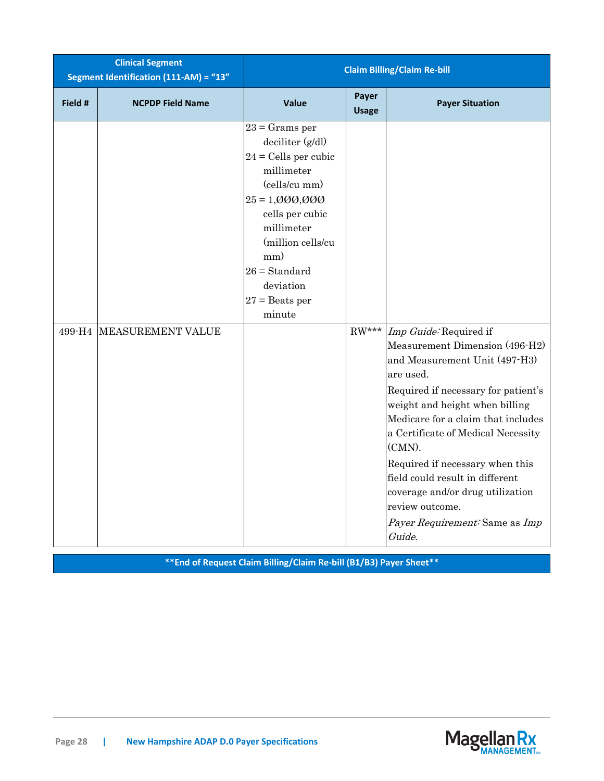| <b>Clinical Segment</b><br>Segment Identification (111-AM) = "13" |                          | <b>Claim Billing/Claim Re-bill</b>                                                                                                                                                                                                           |                       |                                                                                                                                                                                                                                                                                                                                                                                                                                                |  |
|-------------------------------------------------------------------|--------------------------|----------------------------------------------------------------------------------------------------------------------------------------------------------------------------------------------------------------------------------------------|-----------------------|------------------------------------------------------------------------------------------------------------------------------------------------------------------------------------------------------------------------------------------------------------------------------------------------------------------------------------------------------------------------------------------------------------------------------------------------|--|
| Field #                                                           | <b>NCPDP Field Name</b>  | Value                                                                                                                                                                                                                                        | Payer<br><b>Usage</b> | <b>Payer Situation</b>                                                                                                                                                                                                                                                                                                                                                                                                                         |  |
| 499-H4                                                            | <b>MEASUREMENT VALUE</b> | $23$ = Grams per<br>deciliter (g/dl)<br>$24$ = Cells per cubic<br>millimeter<br>(cells/cu mm)<br>$25 = 1,000,000$<br>cells per cubic<br>millimeter<br>(million cells/cu<br>mm)<br>$26 = Standard$<br>deviation<br>$27$ = Beats per<br>minute | $\mathrm{RW^{***}}$   | Imp Guide: Required if<br>Measurement Dimension (496-H2)<br>and Measurement Unit (497-H3)<br>are used.<br>Required if necessary for patient's<br>weight and height when billing<br>Medicare for a claim that includes<br>a Certificate of Medical Necessity<br>(CMN).<br>Required if necessary when this<br>field could result in different<br>coverage and/or drug utilization<br>review outcome.<br>Payer Requirement: Same as Imp<br>Guide. |  |

**\*\*End of Request Claim Billing/Claim Re-bill (B1/B3) Payer Sheet\*\***

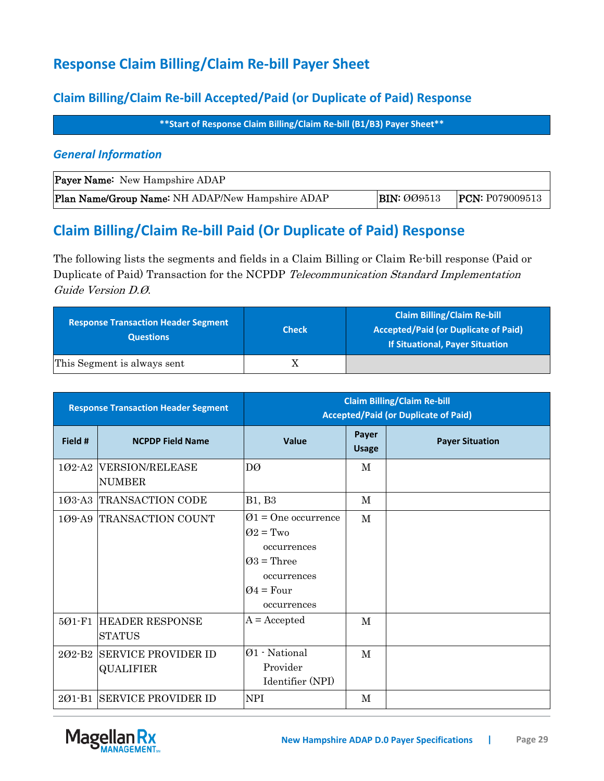## **Response Claim Billing/Claim Re-bill Payer Sheet**

### **Claim Billing/Claim Re-bill Accepted/Paid (or Duplicate of Paid) Response**

**\*\*Start of Response Claim Billing/Claim Re-bill (B1/B3) Payer Sheet\*\***

### *General Information*

| <b>Payer Name:</b> New Hampshire ADAP            |                    |                        |
|--------------------------------------------------|--------------------|------------------------|
| Plan Name/Group Name: NH ADAP/New Hampshire ADAP | <b>BIN: 009513</b> | <b>PCN:</b> P079009513 |

## **Claim Billing/Claim Re-bill Paid (Or Duplicate of Paid) Response**

The following lists the segments and fields in a Claim Billing or Claim Re-bill response (Paid or Duplicate of Paid) Transaction for the NCPDP Telecommunication Standard Implementation Guide Version D.Ø.

| <b>Response Transaction Header Segment</b><br><b>Questions</b> | <b>Check</b> | <b>Claim Billing/Claim Re-bill</b><br><b>Accepted/Paid (or Duplicate of Paid)</b><br><b>If Situational, Payer Situation</b> |
|----------------------------------------------------------------|--------------|-----------------------------------------------------------------------------------------------------------------------------|
| This Segment is always sent                                    |              |                                                                                                                             |

| <b>Response Transaction Header Segment</b> |                                                | <b>Claim Billing/Claim Re-bill</b><br><b>Accepted/Paid (or Duplicate of Paid)</b>                                          |                       |                        |
|--------------------------------------------|------------------------------------------------|----------------------------------------------------------------------------------------------------------------------------|-----------------------|------------------------|
| Field #                                    | <b>NCPDP Field Name</b>                        | Value                                                                                                                      | Payer<br><b>Usage</b> | <b>Payer Situation</b> |
| 102-A2                                     | <b>VERSION/RELEASE</b><br><b>NUMBER</b>        | DØ                                                                                                                         | М                     |                        |
| $103 - A3$                                 | TRANSACTION CODE                               | <b>B1</b> , <b>B3</b>                                                                                                      | M                     |                        |
| 109-A9                                     | TRANSACTION COUNT                              | $\varnothing$ 1 = One occurrence<br>$Q2 = Two$<br>occurrences<br>$Q3$ = Three<br>occurrences<br>$Q4 = Four$<br>occurrences | $\mathbf M$           |                        |
| 501-F1                                     | <b>HEADER RESPONSE</b><br><b>STATUS</b>        | $A = Accepted$                                                                                                             | M                     |                        |
| 202-B2                                     | <b>SERVICE PROVIDER ID</b><br><b>QUALIFIER</b> | Ø1 - National<br>Provider<br>Identifier (NPI)                                                                              | M                     |                        |
| 201-B1                                     | <b>SERVICE PROVIDER ID</b>                     | <b>NPI</b>                                                                                                                 | М                     |                        |

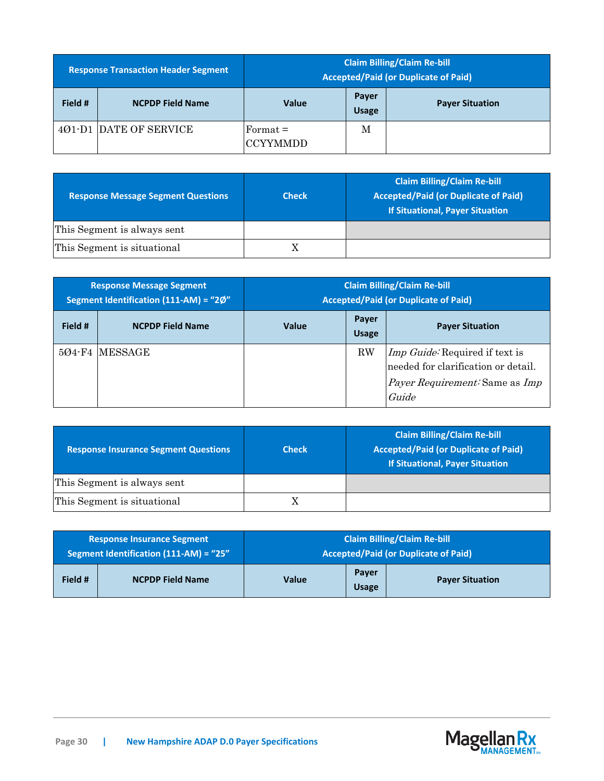| <b>Response Transaction Header Segment</b> |                               | <b>Claim Billing/Claim Re-bill</b><br><b>Accepted/Paid (or Duplicate of Paid)</b> |                       |                        |
|--------------------------------------------|-------------------------------|-----------------------------------------------------------------------------------|-----------------------|------------------------|
| Field #                                    | <b>NCPDP Field Name</b>       | <b>Value</b>                                                                      | Payer<br><b>Usage</b> | <b>Payer Situation</b> |
|                                            | <b>401-D1 DATE OF SERVICE</b> | $\text{Format} =$<br><b>CCYYMMDD</b>                                              | M                     |                        |

| <b>Response Message Segment Questions</b> | <b>Check</b> | <b>Claim Billing/Claim Re-bill</b><br><b>Accepted/Paid (or Duplicate of Paid)</b><br><b>If Situational, Payer Situation</b> |
|-------------------------------------------|--------------|-----------------------------------------------------------------------------------------------------------------------------|
| This Segment is always sent               |              |                                                                                                                             |
| This Segment is situational               |              |                                                                                                                             |

| <b>Response Message Segment</b><br>Segment Identification (111-AM) = "2Ø" |                         | <b>Claim Billing/Claim Re-bill</b><br><b>Accepted/Paid (or Duplicate of Paid)</b> |                       |                                                                                                                                       |
|---------------------------------------------------------------------------|-------------------------|-----------------------------------------------------------------------------------|-----------------------|---------------------------------------------------------------------------------------------------------------------------------------|
| Field #                                                                   | <b>NCPDP Field Name</b> | <b>Value</b>                                                                      | Payer<br><b>Usage</b> | <b>Payer Situation</b>                                                                                                                |
|                                                                           | 504-F4 MESSAGE          |                                                                                   | RW                    | <i>Imp Guide:</i> Required if text is<br>needed for clarification or detail.<br><i>Payer Requirement:</i> Same as <i>Imp</i><br>Guide |

| <b>Response Insurance Segment Questions</b> | <b>Check</b> | <b>Claim Billing/Claim Re-bill</b><br><b>Accepted/Paid (or Duplicate of Paid)</b><br><b>If Situational, Payer Situation</b> |
|---------------------------------------------|--------------|-----------------------------------------------------------------------------------------------------------------------------|
| This Segment is always sent                 |              |                                                                                                                             |
| This Segment is situational                 |              |                                                                                                                             |

| <b>Response Insurance Segment</b>      |                         | <b>Claim Billing/Claim Re-bill</b>          |                       |                        |
|----------------------------------------|-------------------------|---------------------------------------------|-----------------------|------------------------|
| Segment Identification (111-AM) = "25" |                         | <b>Accepted/Paid (or Duplicate of Paid)</b> |                       |                        |
| Field #                                | <b>NCPDP Field Name</b> | Value                                       | Payer<br><b>Usage</b> | <b>Payer Situation</b> |

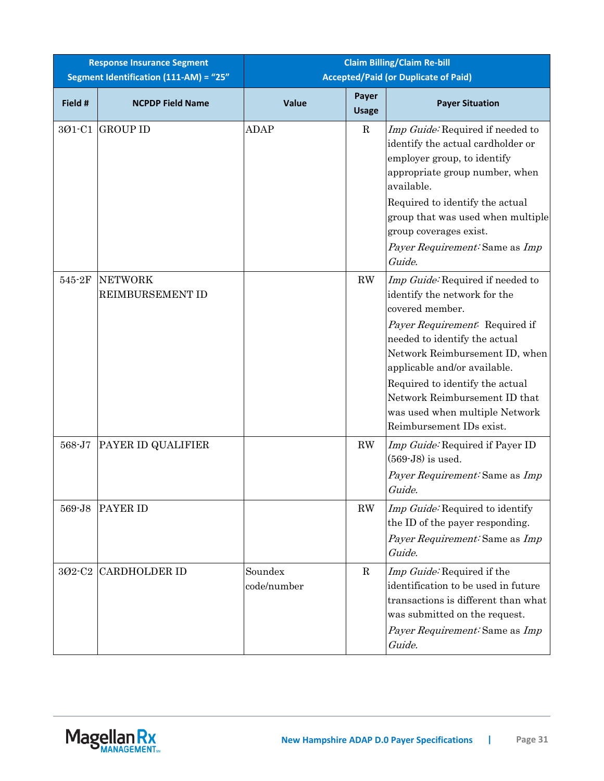| <b>Response Insurance Segment</b><br>Segment Identification (111-AM) = "25" |                             | <b>Claim Billing/Claim Re-bill</b><br><b>Accepted/Paid (or Duplicate of Paid)</b> |                        |                                                                                                                                                                                                                                                                                                                                                            |  |
|-----------------------------------------------------------------------------|-----------------------------|-----------------------------------------------------------------------------------|------------------------|------------------------------------------------------------------------------------------------------------------------------------------------------------------------------------------------------------------------------------------------------------------------------------------------------------------------------------------------------------|--|
| Field #                                                                     | <b>NCPDP Field Name</b>     | <b>Value</b>                                                                      | Payer<br><b>Usage</b>  | <b>Payer Situation</b>                                                                                                                                                                                                                                                                                                                                     |  |
| 301-C1                                                                      | <b>GROUP ID</b>             | <b>ADAP</b>                                                                       | $\mathbf R$            | Imp Guide: Required if needed to<br>identify the actual cardholder or<br>employer group, to identify<br>appropriate group number, when<br>available.<br>Required to identify the actual<br>group that was used when multiple<br>group coverages exist.<br>Payer Requirement: Same as Imp<br>Guide.                                                         |  |
| 545-2F                                                                      | NETWORK<br>REIMBURSEMENT ID |                                                                                   | $\mathbf{R}\mathbf{W}$ | Imp Guide: Required if needed to<br>identify the network for the<br>covered member.<br>Payer Requirement: Required if<br>needed to identify the actual<br>Network Reimbursement ID, when<br>applicable and/or available.<br>Required to identify the actual<br>Network Reimbursement ID that<br>was used when multiple Network<br>Reimbursement IDs exist. |  |
| 568-J7                                                                      | PAYER ID QUALIFIER          |                                                                                   | $\mathbf{R}\mathbf{W}$ | <i>Imp Guide:</i> Required if Payer ID<br>$(569-J8)$ is used.<br>Payer Requirement: Same as Imp<br>Guide.                                                                                                                                                                                                                                                  |  |
| 569-J8                                                                      | <b>PAYER ID</b>             |                                                                                   | RW                     | Imp Guide: Required to identify<br>the ID of the payer responding.<br>Payer Requirement: Same as Imp<br>Guide.                                                                                                                                                                                                                                             |  |
| 302-C2                                                                      | <b>CARDHOLDER ID</b>        | Soundex<br>code/number                                                            | $\mathbf R$            | Imp Guide: Required if the<br>identification to be used in future<br>transactions is different than what<br>was submitted on the request.<br>Payer Requirement: Same as Imp<br>Guide.                                                                                                                                                                      |  |

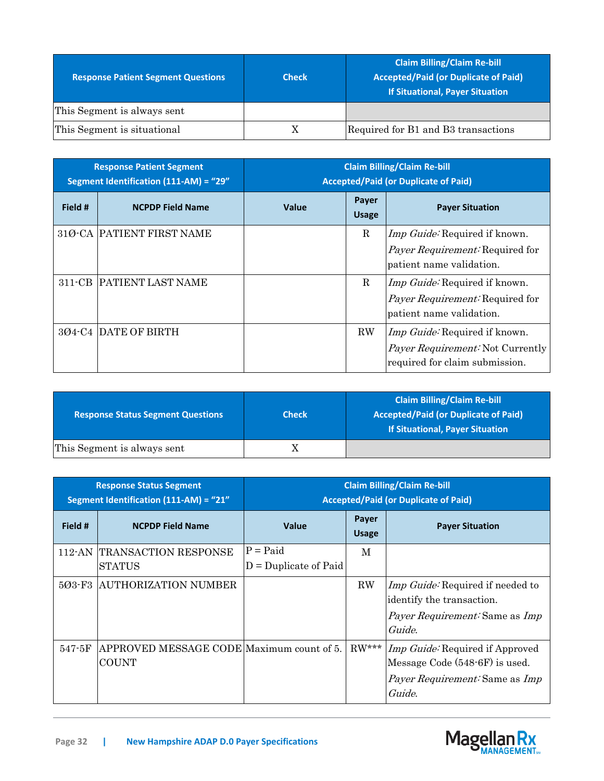| <b>Response Patient Segment Questions</b> | <b>Check</b> | <b>Claim Billing/Claim Re-bill</b><br><b>Accepted/Paid (or Duplicate of Paid)</b><br>If Situational, Payer Situation |
|-------------------------------------------|--------------|----------------------------------------------------------------------------------------------------------------------|
| This Segment is always sent               |              |                                                                                                                      |
| This Segment is situational               |              | Required for B1 and B3 transactions                                                                                  |

| <b>Response Patient Segment</b><br>Segment Identification (111-AM) = "29" |                           | <b>Claim Billing/Claim Re-bill</b><br><b>Accepted/Paid (or Duplicate of Paid)</b> |                       |                                                                                                                   |
|---------------------------------------------------------------------------|---------------------------|-----------------------------------------------------------------------------------|-----------------------|-------------------------------------------------------------------------------------------------------------------|
| Field #                                                                   | <b>NCPDP Field Name</b>   | <b>Value</b>                                                                      | Payer<br><b>Usage</b> | <b>Payer Situation</b>                                                                                            |
|                                                                           | 31Ø-CA PATIENT FIRST NAME |                                                                                   | R                     | <i>Imp Guide:</i> Required if known.<br><i>Payer Requirement:</i> Required for<br>patient name validation.        |
|                                                                           | 311-CB PATIENT LAST NAME  |                                                                                   | R                     | <i>Imp Guide:</i> Required if known.<br><i>Payer Requirement:</i> Required for<br>patient name validation.        |
|                                                                           | 304-C4 DATE OF BIRTH      |                                                                                   | RW                    | <i>Imp Guide:</i> Required if known.<br><i>Payer Requirement:</i> Not Currently<br>required for claim submission. |

| <b>Response Status Segment Questions</b> | <b>Check</b> | <b>Claim Billing/Claim Re-bill</b><br><b>Accepted/Paid (or Duplicate of Paid)</b><br><b>If Situational, Payer Situation</b> |
|------------------------------------------|--------------|-----------------------------------------------------------------------------------------------------------------------------|
| This Segment is always sent              |              |                                                                                                                             |

| <b>Response Status Segment</b><br>Segment Identification (111-AM) = "21" |                                                           | <b>Claim Billing/Claim Re-bill</b><br><b>Accepted/Paid (or Duplicate of Paid)</b> |                       |                                                                                                                             |
|--------------------------------------------------------------------------|-----------------------------------------------------------|-----------------------------------------------------------------------------------|-----------------------|-----------------------------------------------------------------------------------------------------------------------------|
| Field #                                                                  | <b>NCPDP Field Name</b>                                   | Value                                                                             | Payer<br><b>Usage</b> | <b>Payer Situation</b>                                                                                                      |
|                                                                          | 112-AN TRANSACTION RESPONSE<br><b>STATUS</b>              | $P =$ Paid<br>$D =$ Duplicate of Paid                                             | M                     |                                                                                                                             |
|                                                                          | 503-F3 AUTHORIZATION NUMBER                               |                                                                                   | $\rm RW$              | Imp Guide: Required if needed to<br>identify the transaction.<br><i>Payer Requirement:</i> Same as <i>Imp</i><br>Guide.     |
| $547 - 5F$                                                               | APPROVED MESSAGE CODE Maximum count of 5.<br><b>COUNT</b> |                                                                                   | $RW***$               | Imp Guide: Required if Approved<br>Message Code (548-6F) is used.<br><i>Payer Requirement:</i> Same as <i>Imp</i><br>Guide. |

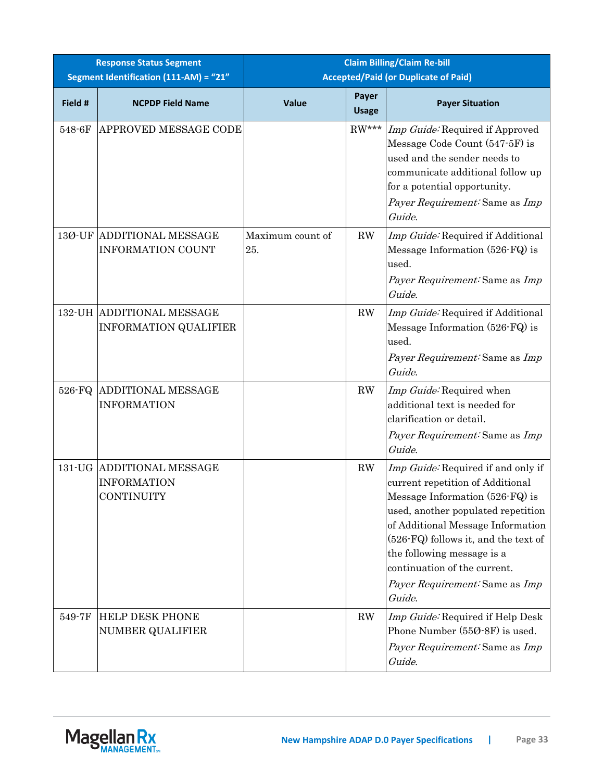|         | <b>Response Status Segment</b><br>Segment Identification (111-AM) = "21" |                         | <b>Claim Billing/Claim Re-bill</b><br><b>Accepted/Paid (or Duplicate of Paid)</b> |                                                                                                                                                                                                                                                                                                                                        |  |
|---------|--------------------------------------------------------------------------|-------------------------|-----------------------------------------------------------------------------------|----------------------------------------------------------------------------------------------------------------------------------------------------------------------------------------------------------------------------------------------------------------------------------------------------------------------------------------|--|
| Field # | <b>NCPDP Field Name</b>                                                  | Value                   | Payer<br><b>Usage</b>                                                             | <b>Payer Situation</b>                                                                                                                                                                                                                                                                                                                 |  |
| 548-6F  | APPROVED MESSAGE CODE                                                    |                         | $RW***$                                                                           | Imp Guide: Required if Approved<br>Message Code Count (547-5F) is<br>used and the sender needs to<br>communicate additional follow up<br>for a potential opportunity.<br>Payer Requirement: Same as Imp<br>Guide.                                                                                                                      |  |
| 13Ø-UF  | <b>ADDITIONAL MESSAGE</b><br><b>INFORMATION COUNT</b>                    | Maximum count of<br>25. | RW                                                                                | Imp Guide: Required if Additional<br>Message Information (526-FQ) is<br>used.<br>Payer Requirement: Same as Imp<br>Guide.                                                                                                                                                                                                              |  |
|         | 132-UH ADDITIONAL MESSAGE<br><b>INFORMATION QUALIFIER</b>                |                         | RW                                                                                | Imp Guide: Required if Additional<br>Message Information (526-FQ) is<br>used.<br>Payer Requirement: Same as Imp<br>Guide.                                                                                                                                                                                                              |  |
| 526-FQ  | <b>ADDITIONAL MESSAGE</b><br><b>INFORMATION</b>                          |                         | RW                                                                                | Imp Guide: Required when<br>additional text is needed for<br>clarification or detail.<br>Payer Requirement: Same as Imp<br>Guide.                                                                                                                                                                                                      |  |
|         | 131-UG ADDITIONAL MESSAGE<br><b>INFORMATION</b><br>CONTINUITY            |                         | RW                                                                                | Imp Guide: Required if and only if<br>current repetition of Additional<br>Message Information (526-FQ) is<br>used, another populated repetition<br>of Additional Message Information<br>(526-FQ) follows it, and the text of<br>the following message is a<br>continuation of the current.<br>Payer Requirement: Same as Imp<br>Guide. |  |
| 549-7F  | <b>HELP DESK PHONE</b><br>NUMBER QUALIFIER                               |                         | RW                                                                                | Imp Guide: Required if Help Desk<br>Phone Number (550-8F) is used.<br>Payer Requirement: Same as Imp<br>Guide.                                                                                                                                                                                                                         |  |

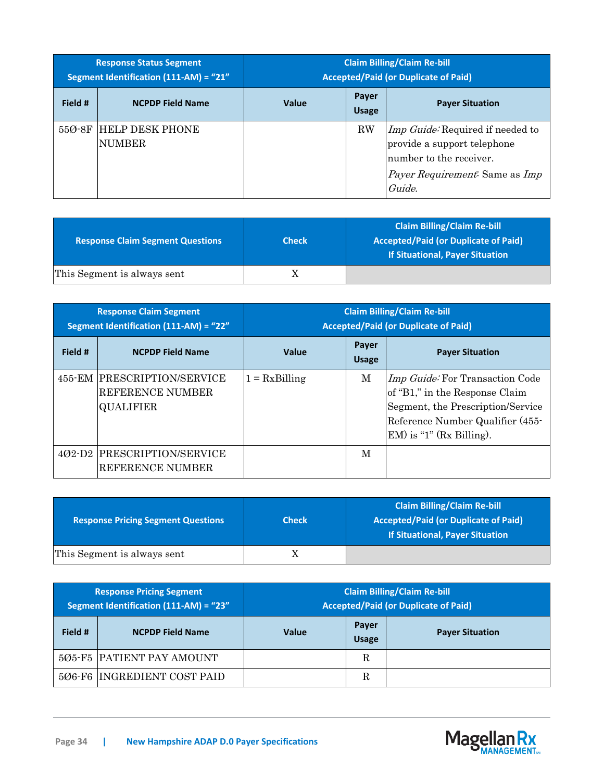| <b>Response Status Segment</b><br><b>Segment Identification (111-AM) = "21"</b> |                                         | <b>Claim Billing/Claim Re-bill</b><br><b>Accepted/Paid (or Duplicate of Paid)</b> |                       |                                                                                                                                                      |
|---------------------------------------------------------------------------------|-----------------------------------------|-----------------------------------------------------------------------------------|-----------------------|------------------------------------------------------------------------------------------------------------------------------------------------------|
| Field #                                                                         | <b>NCPDP Field Name</b>                 | <b>Value</b>                                                                      | Payer<br><b>Usage</b> | <b>Payer Situation</b>                                                                                                                               |
| $550-8F$                                                                        | <b>HELP DESK PHONE</b><br><b>NUMBER</b> |                                                                                   | <b>RW</b>             | Imp Guide: Required if needed to<br>provide a support telephone<br>number to the receiver.<br><i>Payer Requirement:</i> Same as <i>Imp</i><br>Guide. |

| <b>Response Claim Segment Questions</b> | <b>Check</b> | <b>Claim Billing/Claim Re-bill</b><br><b>Accepted/Paid (or Duplicate of Paid)</b><br><b>If Situational, Payer Situation</b> |
|-----------------------------------------|--------------|-----------------------------------------------------------------------------------------------------------------------------|
| This Segment is always sent             |              |                                                                                                                             |

| <b>Response Claim Segment</b><br>Segment Identification (111-AM) = "22" |                                                                     | <b>Claim Billing/Claim Re-bill</b><br><b>Accepted/Paid (or Duplicate of Paid)</b> |                       |                                                                                                                                                                           |
|-------------------------------------------------------------------------|---------------------------------------------------------------------|-----------------------------------------------------------------------------------|-----------------------|---------------------------------------------------------------------------------------------------------------------------------------------------------------------------|
| Field #                                                                 | <b>NCPDP Field Name</b>                                             | <b>Value</b>                                                                      | Payer<br><b>Usage</b> | <b>Payer Situation</b>                                                                                                                                                    |
|                                                                         | 455-EM PRESCRIPTION/SERVICE<br>REFERENCE NUMBER<br><b>QUALIFIER</b> | $1 = RxBilling$                                                                   | M                     | Imp Guide: For Transaction Code<br>of "B1," in the Response Claim<br>Segment, the Prescription/Service<br>Reference Number Qualifier (455-<br>$EM$ ) is "1" (Rx Billing). |
| $402-D2$                                                                | <b>PRESCRIPTION/SERVICE</b><br>REFERENCE NUMBER                     |                                                                                   | M                     |                                                                                                                                                                           |

| <b>Response Pricing Segment Questions</b> | <b>Check</b> | <b>Claim Billing/Claim Re-bill</b><br><b>Accepted/Paid (or Duplicate of Paid)</b><br><b>If Situational, Payer Situation</b> |
|-------------------------------------------|--------------|-----------------------------------------------------------------------------------------------------------------------------|
| This Segment is always sent               |              |                                                                                                                             |

| <b>Response Pricing Segment</b><br>Segment Identification (111-AM) = "23" |                             | <b>Claim Billing/Claim Re-bill</b><br><b>Accepted/Paid (or Duplicate of Paid)</b> |                       |                        |
|---------------------------------------------------------------------------|-----------------------------|-----------------------------------------------------------------------------------|-----------------------|------------------------|
| Field #                                                                   | <b>NCPDP Field Name</b>     | <b>Value</b>                                                                      | Payer<br><b>Usage</b> | <b>Payer Situation</b> |
|                                                                           | 505-F5 PATIENT PAY AMOUNT   |                                                                                   | R                     |                        |
|                                                                           | 506-F6 INGREDIENT COST PAID |                                                                                   | R                     |                        |

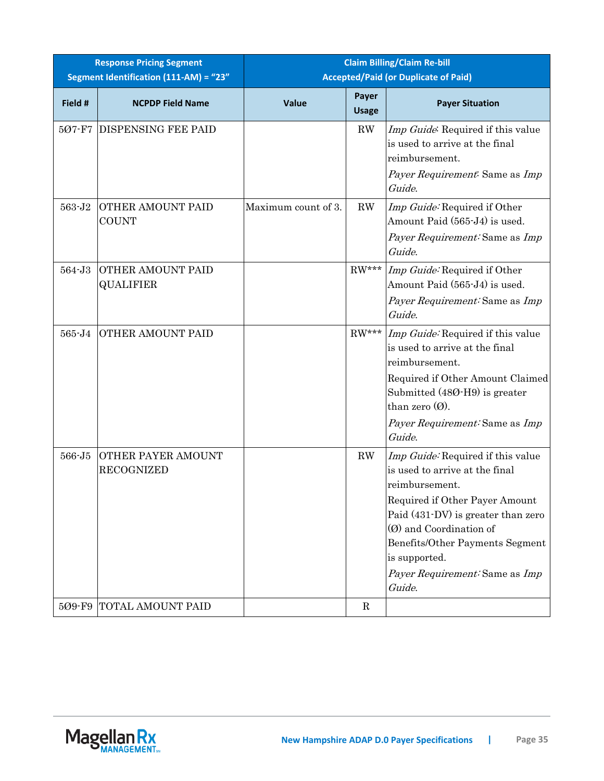| <b>Response Pricing Segment</b> |                                              | <b>Claim Billing/Claim Re-bill</b>          |                        |                                                                                                                                                                                                                                                                                          |  |
|---------------------------------|----------------------------------------------|---------------------------------------------|------------------------|------------------------------------------------------------------------------------------------------------------------------------------------------------------------------------------------------------------------------------------------------------------------------------------|--|
|                                 | Segment Identification (111-AM) = "23"       | <b>Accepted/Paid (or Duplicate of Paid)</b> |                        |                                                                                                                                                                                                                                                                                          |  |
| Field #                         | <b>NCPDP Field Name</b>                      | Value                                       | Payer<br><b>Usage</b>  | <b>Payer Situation</b>                                                                                                                                                                                                                                                                   |  |
| 507-F7                          | <b>DISPENSING FEE PAID</b>                   |                                             | $\mathbf{R}\mathbf{W}$ | Imp Guide: Required if this value<br>is used to arrive at the final<br>reimbursement.<br>Payer Requirement: Same as Imp<br>Guide.                                                                                                                                                        |  |
| 563-J2                          | <b>OTHER AMOUNT PAID</b><br><b>COUNT</b>     | Maximum count of 3.                         | RW                     | Imp Guide: Required if Other<br>Amount Paid (565-J4) is used.<br>Payer Requirement: Same as Imp<br>Guide.                                                                                                                                                                                |  |
| 564-J3                          | <b>OTHER AMOUNT PAID</b><br><b>QUALIFIER</b> |                                             | $RW***$                | Imp Guide: Required if Other<br>Amount Paid (565-J4) is used.<br>Payer Requirement: Same as Imp<br>Guide.                                                                                                                                                                                |  |
| 565-J4                          | <b>OTHER AMOUNT PAID</b>                     |                                             |                        | RW*** <i>Imp Guide</i> : Required if this value<br>is used to arrive at the final<br>reimbursement.<br>Required if Other Amount Claimed<br>Submitted (480-H9) is greater<br>than zero $(0)$ .<br>Payer Requirement: Same as Imp<br>Guide.                                                |  |
| 566-J5                          | OTHER PAYER AMOUNT<br><b>RECOGNIZED</b>      |                                             | ${\rm RW}$             | Imp Guide: Required if this value<br>is used to arrive at the final<br>reimbursement.<br>Required if Other Payer Amount<br>Paid (431-DV) is greater than zero<br>(Ø) and Coordination of<br>Benefits/Other Payments Segment<br>is supported.<br>Payer Requirement: Same as Imp<br>Guide. |  |
| 5Ø9-F9                          | TOTAL AMOUNT PAID                            |                                             | $\mathbf R$            |                                                                                                                                                                                                                                                                                          |  |

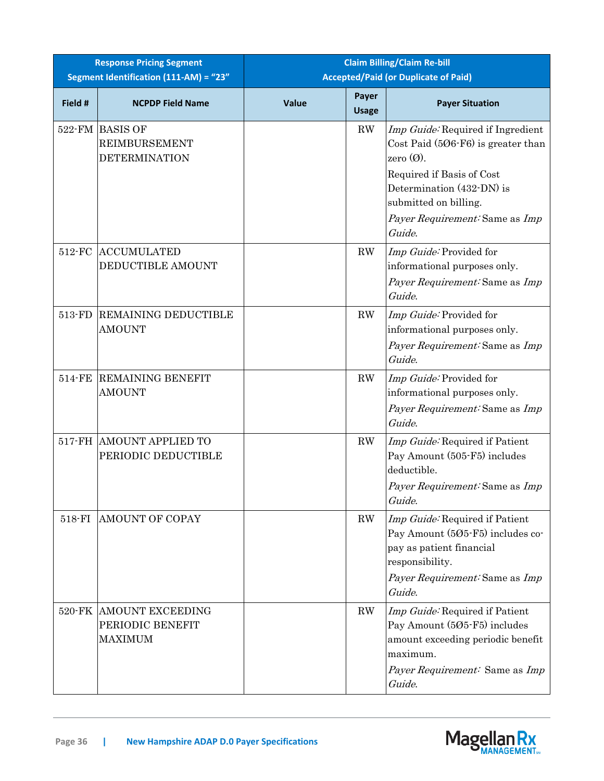| <b>Response Pricing Segment</b><br>Segment Identification (111-AM) = "23" |                                                                 |       |                        | <b>Claim Billing/Claim Re-bill</b><br><b>Accepted/Paid (or Duplicate of Paid)</b>                                                                                                                                        |
|---------------------------------------------------------------------------|-----------------------------------------------------------------|-------|------------------------|--------------------------------------------------------------------------------------------------------------------------------------------------------------------------------------------------------------------------|
| Field #                                                                   | <b>NCPDP Field Name</b>                                         | Value | Payer<br><b>Usage</b>  | <b>Payer Situation</b>                                                                                                                                                                                                   |
|                                                                           | 522-FM BASIS OF<br><b>REIMBURSEMENT</b><br><b>DETERMINATION</b> |       | RW                     | Imp Guide: Required if Ingredient<br>Cost Paid $(506-F6)$ is greater than<br>zero $(Q)$ .<br>Required if Basis of Cost<br>Determination (432-DN) is<br>submitted on billing.<br>Payer Requirement: Same as Imp<br>Guide. |
| 512-FC                                                                    | <b>ACCUMULATED</b><br>DEDUCTIBLE AMOUNT                         |       | RW                     | Imp Guide: Provided for<br>informational purposes only.<br>Payer Requirement: Same as Imp<br>Guide.                                                                                                                      |
| 513-FD                                                                    | <b>REMAINING DEDUCTIBLE</b><br><b>AMOUNT</b>                    |       | $\mathbf{R}\mathbf{W}$ | Imp Guide: Provided for<br>informational purposes only.<br>Payer Requirement: Same as Imp<br>Guide.                                                                                                                      |
| 514-FE                                                                    | <b>REMAINING BENEFIT</b><br><b>AMOUNT</b>                       |       | RW                     | Imp Guide: Provided for<br>informational purposes only.<br>Payer Requirement: Same as Imp<br>Guide.                                                                                                                      |
|                                                                           | 517-FH AMOUNT APPLIED TO<br>PERIODIC DEDUCTIBLE                 |       | RW                     | Imp Guide: Required if Patient<br>Pay Amount (505-F5) includes<br>deductible.<br>Payer Requirement: Same as Imp<br>Guide.                                                                                                |
| 518-FI                                                                    | <b>AMOUNT OF COPAY</b>                                          |       | RW                     | Imp Guide: Required if Patient<br>Pay Amount (505-F5) includes co-<br>pay as patient financial<br>responsibility.<br>Payer Requirement: Same as Imp<br>Guide.                                                            |
|                                                                           | 520-FK AMOUNT EXCEEDING<br>PERIODIC BENEFIT<br><b>MAXIMUM</b>   |       | RW                     | Imp Guide: Required if Patient<br>Pay Amount (505-F5) includes<br>amount exceeding periodic benefit<br>maximum.<br>Payer Requirement: Same as Imp<br>Guide.                                                              |

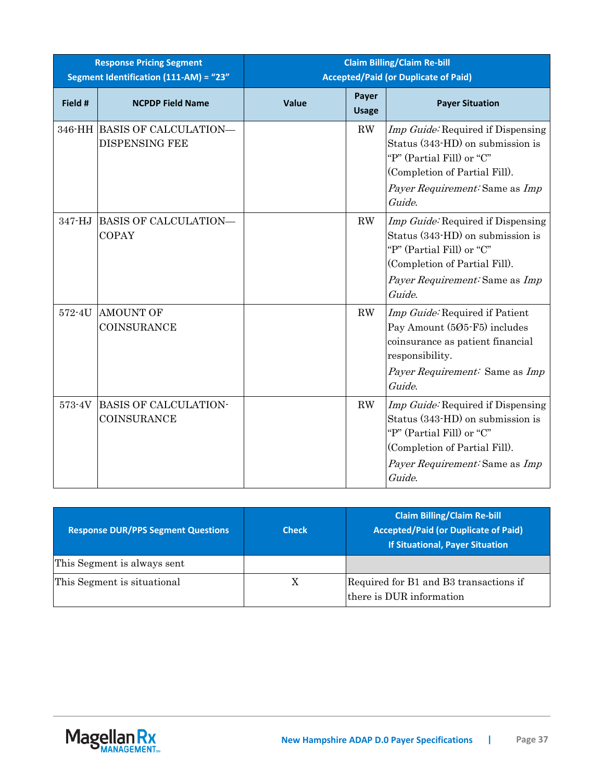| <b>Response Pricing Segment</b><br>Segment Identification (111-AM) = "23" |                                                       | <b>Claim Billing/Claim Re-bill</b><br><b>Accepted/Paid (or Duplicate of Paid)</b> |                        |                                                                                                                                                                                         |
|---------------------------------------------------------------------------|-------------------------------------------------------|-----------------------------------------------------------------------------------|------------------------|-----------------------------------------------------------------------------------------------------------------------------------------------------------------------------------------|
| Field #                                                                   | <b>NCPDP Field Name</b>                               | Value                                                                             | Payer<br><b>Usage</b>  | <b>Payer Situation</b>                                                                                                                                                                  |
|                                                                           | 346-HH BASIS OF CALCULATION-<br><b>DISPENSING FEE</b> |                                                                                   | RW                     | <i>Imp Guide</i> : Required if Dispensing<br>Status (343-HD) on submission is<br>"P" (Partial Fill) or "C"<br>(Completion of Partial Fill).<br>Payer Requirement: Same as Imp<br>Guide. |
| 347-HJ                                                                    | BASIS OF CALCULATION—<br><b>COPAY</b>                 |                                                                                   | RW                     | <i>Imp Guide:</i> Required if Dispensing<br>Status (343-HD) on submission is<br>"P" (Partial Fill) or "C"<br>(Completion of Partial Fill).<br>Payer Requirement: Same as Imp<br>Guide.  |
| 572-4U                                                                    | <b>AMOUNT OF</b><br><b>COINSURANCE</b>                |                                                                                   | $\mathbf{R}\mathbf{W}$ | Imp Guide: Required if Patient<br>Pay Amount (505-F5) includes<br>coinsurance as patient financial<br>responsibility.<br>Payer Requirement: Same as Imp<br>Guide.                       |
| 573-4V                                                                    | <b>BASIS OF CALCULATION-</b><br><b>COINSURANCE</b>    |                                                                                   | RW                     | Imp Guide: Required if Dispensing<br>Status (343-HD) on submission is<br>"P" (Partial Fill) or "C"<br>(Completion of Partial Fill).<br>Payer Requirement: Same as Imp<br>Guide.         |

| <b>Response DUR/PPS Segment Questions</b> | <b>Check</b> | <b>Claim Billing/Claim Re-bill</b><br><b>Accepted/Paid (or Duplicate of Paid)</b><br><b>If Situational, Payer Situation</b> |
|-------------------------------------------|--------------|-----------------------------------------------------------------------------------------------------------------------------|
| This Segment is always sent               |              |                                                                                                                             |
| This Segment is situational               | X            | Required for B1 and B3 transactions if<br>there is DUR information                                                          |

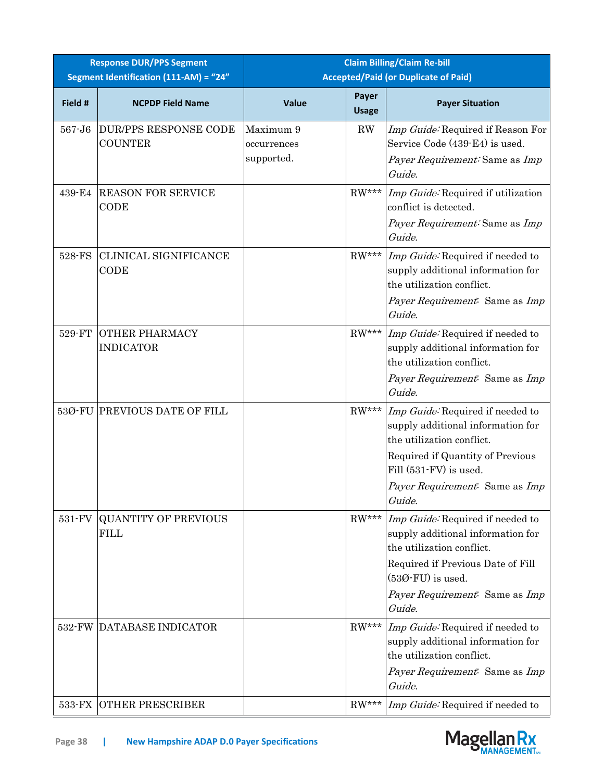| <b>Response DUR/PPS Segment</b><br>Segment Identification (111-AM) = "24" |                                                | <b>Claim Billing/Claim Re-bill</b><br><b>Accepted/Paid (or Duplicate of Paid)</b> |                       |                                                                                                                                                                                                              |
|---------------------------------------------------------------------------|------------------------------------------------|-----------------------------------------------------------------------------------|-----------------------|--------------------------------------------------------------------------------------------------------------------------------------------------------------------------------------------------------------|
| Field #                                                                   | <b>NCPDP Field Name</b>                        | Value                                                                             | Payer<br><b>Usage</b> | <b>Payer Situation</b>                                                                                                                                                                                       |
| 567-J6                                                                    | <b>DUR/PPS RESPONSE CODE</b><br><b>COUNTER</b> | Maximum 9<br>occurrences<br>supported.                                            | $\rm RW$              | Imp Guide: Required if Reason For<br>Service Code (439-E4) is used.<br>Payer Requirement: Same as Imp<br>Guide.                                                                                              |
| 439-E4                                                                    | <b>REASON FOR SERVICE</b><br>CODE              |                                                                                   | $RW***$               | Imp Guide: Required if utilization<br>conflict is detected.<br>Payer Requirement: Same as Imp<br>Guide.                                                                                                      |
| 528-FS                                                                    | CLINICAL SIGNIFICANCE<br>CODE                  |                                                                                   | $RW***$               | <i>Imp Guide:</i> Required if needed to<br>supply additional information for<br>the utilization conflict.<br>Payer Requirement: Same as Imp<br>Guide.                                                        |
| 529-FT                                                                    | <b>OTHER PHARMACY</b><br><b>INDICATOR</b>      |                                                                                   |                       | RW*** <i>Imp Guide</i> : Required if needed to<br>supply additional information for<br>the utilization conflict.<br>Payer Requirement: Same as Imp<br>Guide.                                                 |
| 53Ø-FU                                                                    | PREVIOUS DATE OF FILL                          |                                                                                   | $RW***$               | Imp Guide: Required if needed to<br>supply additional information for<br>the utilization conflict.<br>Required if Quantity of Previous<br>Fill (531-FV) is used.<br>Payer Requirement: Same as Imp<br>Guide. |
| 531-FV                                                                    | <b>QUANTITY OF PREVIOUS</b><br><b>FILL</b>     |                                                                                   | $RW***$               | Imp Guide: Required if needed to<br>supply additional information for<br>the utilization conflict.<br>Required if Previous Date of Fill<br>$(530$ -FU) is used.<br>Payer Requirement: Same as Imp<br>Guide.  |
| 532-FW                                                                    | DATABASE INDICATOR                             |                                                                                   | $RW***$               | Imp Guide: Required if needed to<br>supply additional information for<br>the utilization conflict.<br>Payer Requirement: Same as Imp<br>Guide.                                                               |
| 533-FX                                                                    | <b>OTHER PRESCRIBER</b>                        |                                                                                   | $RW***$               | Imp Guide: Required if needed to                                                                                                                                                                             |

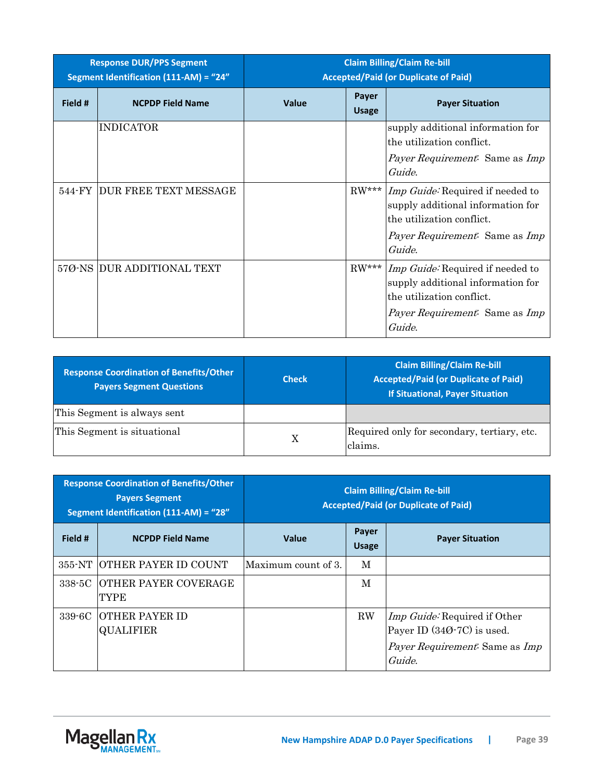| <b>Response DUR/PPS Segment</b><br>Segment Identification (111-AM) = "24" |                            | <b>Claim Billing/Claim Re-bill</b><br><b>Accepted/Paid (or Duplicate of Paid)</b> |                       |                                                                                                                                                                            |
|---------------------------------------------------------------------------|----------------------------|-----------------------------------------------------------------------------------|-----------------------|----------------------------------------------------------------------------------------------------------------------------------------------------------------------------|
| Field #                                                                   | <b>NCPDP Field Name</b>    | Value                                                                             | Payer<br><b>Usage</b> | <b>Payer Situation</b>                                                                                                                                                     |
|                                                                           | <b>INDICATOR</b>           |                                                                                   |                       | supply additional information for<br>the utilization conflict.<br>Payer Requirement: Same as Imp<br>Guide.                                                                 |
| 544-FY                                                                    | DUR FREE TEXT MESSAGE      |                                                                                   |                       | RW*** <i>Imp Guide</i> : Required if needed to<br>supply additional information for<br>the utilization conflict.<br><i>Payer Requirement.</i> Same as <i>Imp</i><br>Guide. |
|                                                                           | 57Ø-NS DUR ADDITIONAL TEXT |                                                                                   |                       | RW*** <i>Imp Guide</i> : Required if needed to<br>supply additional information for<br>the utilization conflict.<br><i>Payer Requirement.</i> Same as <i>Imp</i><br>Guide. |

| <b>Response Coordination of Benefits/Other</b><br><b>Payers Segment Questions</b> | <b>Check</b> | <b>Claim Billing/Claim Re-bill</b><br><b>Accepted/Paid (or Duplicate of Paid)</b><br><b>If Situational, Payer Situation</b> |
|-----------------------------------------------------------------------------------|--------------|-----------------------------------------------------------------------------------------------------------------------------|
| This Segment is always sent                                                       |              |                                                                                                                             |
| This Segment is situational                                                       | X            | Required only for secondary, tertiary, etc.<br>claims.                                                                      |

| <b>Response Coordination of Benefits/Other</b><br><b>Payers Segment</b><br>Segment Identification (111-AM) = "28" |                                           | <b>Claim Billing/Claim Re-bill</b><br><b>Accepted/Paid (or Duplicate of Paid)</b> |                              |                                                                                                                               |
|-------------------------------------------------------------------------------------------------------------------|-------------------------------------------|-----------------------------------------------------------------------------------|------------------------------|-------------------------------------------------------------------------------------------------------------------------------|
| Field #                                                                                                           | <b>NCPDP Field Name</b>                   | <b>Value</b>                                                                      | <b>Payer</b><br><b>Usage</b> | <b>Payer Situation</b>                                                                                                        |
|                                                                                                                   | 355-NT OTHER PAYER ID COUNT               | lMaximum count of 3.                                                              | M                            |                                                                                                                               |
| 338-5C                                                                                                            | <b>IOTHER PAYER COVERAGE</b><br>TYPE      |                                                                                   | M                            |                                                                                                                               |
| 339-6C                                                                                                            | <b>OTHER PAYER ID</b><br><b>QUALIFIER</b> |                                                                                   | $\rm RW$                     | <i>Imp Guide:</i> Required if Other<br>Payer ID $(340-7C)$ is used.<br><i>Payer Requirement:</i> Same as <i>Imp</i><br>Guide. |

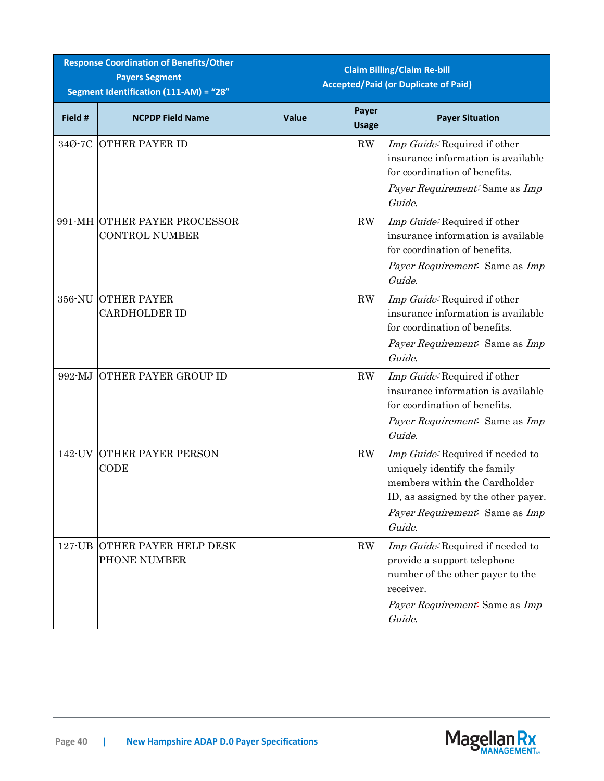| <b>Response Coordination of Benefits/Other</b><br><b>Payers Segment</b><br>Segment Identification (111-AM) = "28" |                                                       | <b>Claim Billing/Claim Re-bill</b><br><b>Accepted/Paid (or Duplicate of Paid)</b> |                        |                                                                                                                                                                                      |
|-------------------------------------------------------------------------------------------------------------------|-------------------------------------------------------|-----------------------------------------------------------------------------------|------------------------|--------------------------------------------------------------------------------------------------------------------------------------------------------------------------------------|
| Field #                                                                                                           | <b>NCPDP Field Name</b>                               | Value                                                                             | Payer<br><b>Usage</b>  | <b>Payer Situation</b>                                                                                                                                                               |
| 34Ø-7C                                                                                                            | <b>OTHER PAYER ID</b>                                 |                                                                                   | $\mathbf{R}\mathbf{W}$ | Imp Guide: Required if other<br>insurance information is available<br>for coordination of benefits.<br>Payer Requirement: Same as Imp<br>Guide.                                      |
|                                                                                                                   | 991-MH OTHER PAYER PROCESSOR<br><b>CONTROL NUMBER</b> |                                                                                   | RW                     | Imp Guide: Required if other<br>insurance information is available<br>for coordination of benefits.<br>Payer Requirement: Same as Imp<br>Guide.                                      |
| 356-NU                                                                                                            | <b>OTHER PAYER</b><br><b>CARDHOLDER ID</b>            |                                                                                   | $\mathbf{R}\mathbf{W}$ | Imp Guide: Required if other<br>insurance information is available<br>for coordination of benefits.<br>Payer Requirement: Same as Imp<br>Guide.                                      |
| 992-MJ                                                                                                            | OTHER PAYER GROUP ID                                  |                                                                                   | RW                     | Imp Guide: Required if other<br>insurance information is available<br>for coordination of benefits.<br>Payer Requirement: Same as Imp<br>Guide.                                      |
| 142-UV                                                                                                            | <b>OTHER PAYER PERSON</b><br>CODE                     |                                                                                   | RW                     | Imp Guide: Required if needed to<br>uniquely identify the family<br>members within the Cardholder<br>ID, as assigned by the other payer.<br>Payer Requirement: Same as Imp<br>Guide. |
| $127 - UB$                                                                                                        | <b>OTHER PAYER HELP DESK</b><br>PHONE NUMBER          |                                                                                   | RW                     | Imp Guide: Required if needed to<br>provide a support telephone<br>number of the other payer to the<br>receiver.<br>Payer Requirement: Same as Imp<br>Guide.                         |

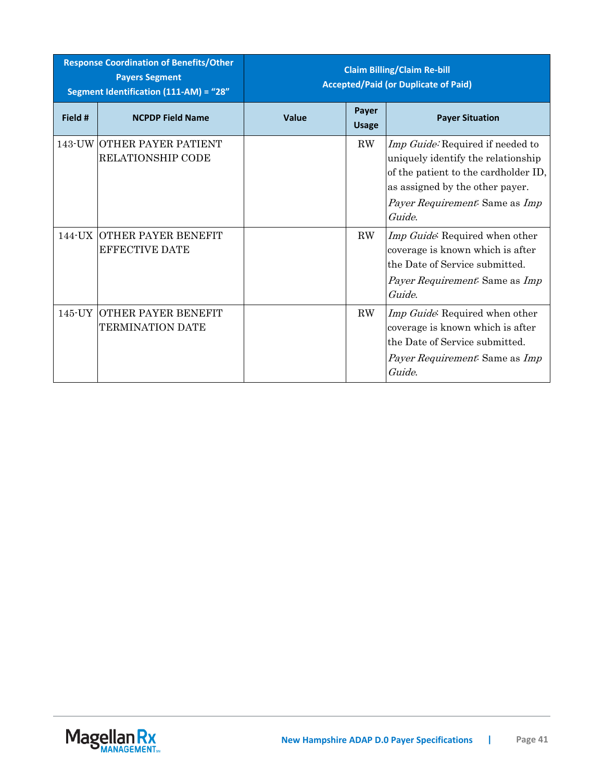| <b>Response Coordination of Benefits/Other</b><br><b>Payers Segment</b><br>Segment Identification (111-AM) = "28" |                                                            | <b>Claim Billing/Claim Re-bill</b><br><b>Accepted/Paid (or Duplicate of Paid)</b> |                       |                                                                                                                                                                                               |
|-------------------------------------------------------------------------------------------------------------------|------------------------------------------------------------|-----------------------------------------------------------------------------------|-----------------------|-----------------------------------------------------------------------------------------------------------------------------------------------------------------------------------------------|
| Field #                                                                                                           | <b>NCPDP Field Name</b>                                    | Value                                                                             | Payer<br><b>Usage</b> | <b>Payer Situation</b>                                                                                                                                                                        |
|                                                                                                                   | 143-UW OTHER PAYER PATIENT<br><b>RELATIONSHIP CODE</b>     |                                                                                   | $\rm RW$              | Imp Guide: Required if needed to<br>uniquely identify the relationship<br>of the patient to the cardholder ID,<br>as assigned by the other payer.<br>Payer Requirement: Same as Imp<br>Guide. |
|                                                                                                                   | <b>144-UX OTHER PAYER BENEFIT</b><br><b>EFFECTIVE DATE</b> |                                                                                   | $\rm RW$              | Imp Guide: Required when other<br>coverage is known which is after<br>the Date of Service submitted.<br><i>Payer Requirement:</i> Same as <i>Imp</i><br>Guide.                                |
| $145$ -UY                                                                                                         | <b>OTHER PAYER BENEFIT</b><br>TERMINATION DATE             |                                                                                   | $\rm RW$              | Imp Guide: Required when other<br>coverage is known which is after<br>the Date of Service submitted.<br>Payer Requirement: Same as Imp<br>Guide.                                              |

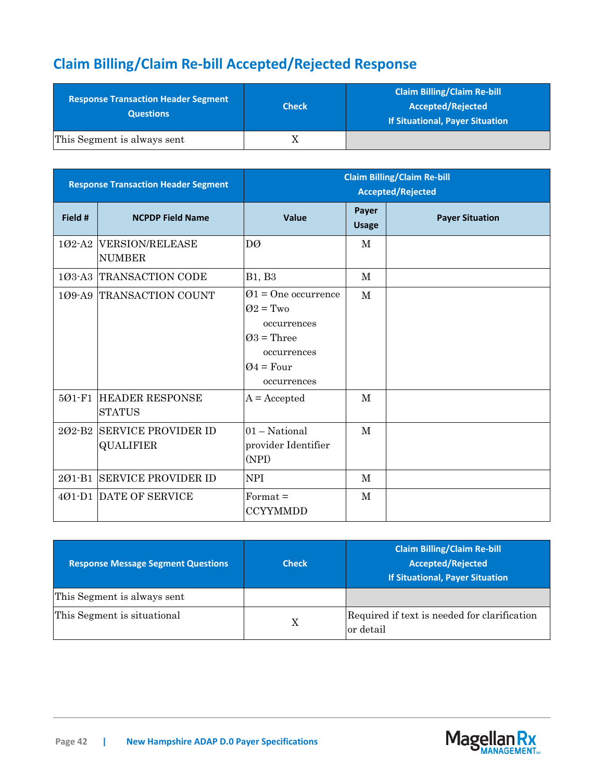# **Claim Billing/Claim Re-bill Accepted/Rejected Response**

| <b>Response Transaction Header Segment</b><br><b>Questions</b> | <b>Check</b> | <b>Claim Billing/Claim Re-bill</b><br>Accepted/Rejected<br><b>If Situational, Payer Situation</b> |
|----------------------------------------------------------------|--------------|---------------------------------------------------------------------------------------------------|
| This Segment is always sent                                    |              |                                                                                                   |

| <b>Response Transaction Header Segment</b> |                                                | <b>Claim Billing/Claim Re-bill</b><br><b>Accepted/Rejected</b>                                                             |                       |                        |
|--------------------------------------------|------------------------------------------------|----------------------------------------------------------------------------------------------------------------------------|-----------------------|------------------------|
| Field #                                    | <b>NCPDP Field Name</b>                        | Value                                                                                                                      | Payer<br><b>Usage</b> | <b>Payer Situation</b> |
| 102-A2                                     | <b>VERSION/RELEASE</b><br><b>NUMBER</b>        | DØ                                                                                                                         | $\mathbf{M}$          |                        |
| 103-A3                                     | <b>TRANSACTION CODE</b>                        | <b>B1</b> , <b>B3</b>                                                                                                      | M                     |                        |
|                                            | 109-A9 TRANSACTION COUNT                       | $\varnothing$ 1 = One occurrence<br>$Q2 = Two$<br>occurrences<br>$Q3$ = Three<br>occurrences<br>$Q4 = Four$<br>occurrences | $\mathbf{M}$          |                        |
| 501-F1                                     | <b>HEADER RESPONSE</b><br><b>STATUS</b>        | $A = Accepted$                                                                                                             | M                     |                        |
| 202-B2                                     | <b>SERVICE PROVIDER ID</b><br><b>QUALIFIER</b> | $01 - National$<br>provider Identifier<br>(NPI)                                                                            | $\mathbf{M}$          |                        |
| $201 - B1$                                 | <b>SERVICE PROVIDER ID</b>                     | <b>NPI</b>                                                                                                                 | M                     |                        |
|                                            | 401-D1 DATE OF SERVICE                         | $Format =$<br><b>CCYYMMDD</b>                                                                                              | M                     |                        |

| <b>Response Message Segment Questions</b> | <b>Check</b> | <b>Claim Billing/Claim Re-bill</b><br><b>Accepted/Rejected</b><br><b>If Situational, Payer Situation</b> |
|-------------------------------------------|--------------|----------------------------------------------------------------------------------------------------------|
| This Segment is always sent               |              |                                                                                                          |
| This Segment is situational               | X            | Required if text is needed for clarification<br>or detail                                                |

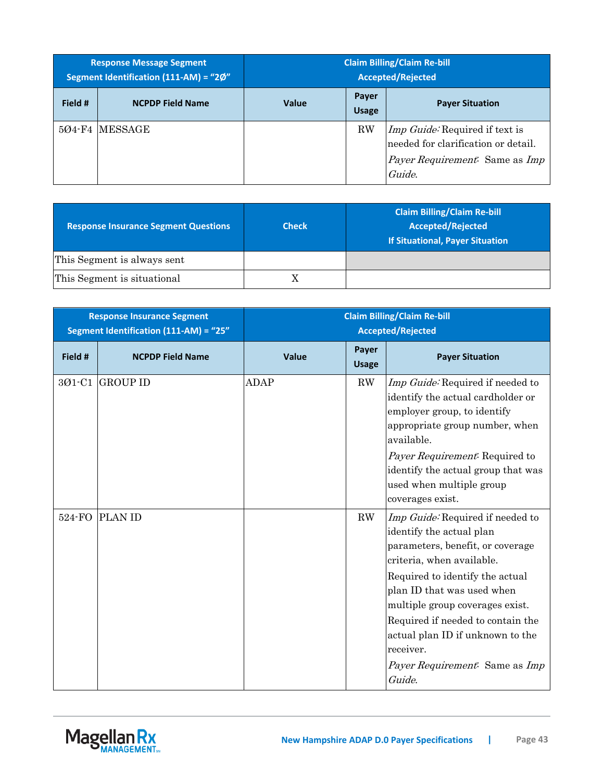| <b>Response Message Segment</b><br>Segment Identification (111-AM) = "2Ø" |                         | <b>Claim Billing/Claim Re-bill</b><br><b>Accepted/Rejected</b> |                       |                                                                                                                                        |
|---------------------------------------------------------------------------|-------------------------|----------------------------------------------------------------|-----------------------|----------------------------------------------------------------------------------------------------------------------------------------|
| Field #                                                                   | <b>NCPDP Field Name</b> | <b>Value</b>                                                   | Payer<br><b>Usage</b> | <b>Payer Situation</b>                                                                                                                 |
|                                                                           | 504-F4 IMESSAGE         |                                                                | <b>RW</b>             | <i>Imp Guide:</i> Required if text is<br>needed for clarification or detail.<br><i>Payer Requirement.</i> Same as <i>Imp</i><br>Guide. |

| <b>Response Insurance Segment Questions</b> | <b>Check</b> | <b>Claim Billing/Claim Re-bill</b><br><b>Accepted/Rejected</b><br><b>If Situational, Payer Situation</b> |
|---------------------------------------------|--------------|----------------------------------------------------------------------------------------------------------|
| This Segment is always sent                 |              |                                                                                                          |
| This Segment is situational                 |              |                                                                                                          |

| <b>Response Insurance Segment</b><br>Segment Identification (111-AM) = "25" |                         | <b>Claim Billing/Claim Re-bill</b><br><b>Accepted/Rejected</b> |                       |                                                                                                                                                                                                                                                                                                                                                                     |
|-----------------------------------------------------------------------------|-------------------------|----------------------------------------------------------------|-----------------------|---------------------------------------------------------------------------------------------------------------------------------------------------------------------------------------------------------------------------------------------------------------------------------------------------------------------------------------------------------------------|
| Field #                                                                     | <b>NCPDP Field Name</b> | <b>Value</b>                                                   | Payer<br><b>Usage</b> | <b>Payer Situation</b>                                                                                                                                                                                                                                                                                                                                              |
|                                                                             | 301-C1 GROUP ID         | <b>ADAP</b>                                                    | $\rm RW$              | Imp Guide: Required if needed to<br>identify the actual cardholder or<br>employer group, to identify<br>appropriate group number, when<br>available.<br>Payer Requirement: Required to<br>identify the actual group that was<br>used when multiple group<br>coverages exist.                                                                                        |
| 524-FO                                                                      | <b>PLAN ID</b>          |                                                                | RW                    | Imp Guide: Required if needed to<br>identify the actual plan<br>parameters, benefit, or coverage<br>criteria, when available.<br>Required to identify the actual<br>plan ID that was used when<br>multiple group coverages exist.<br>Required if needed to contain the<br>actual plan ID if unknown to the<br>receiver.<br>Payer Requirement: Same as Imp<br>Guide. |

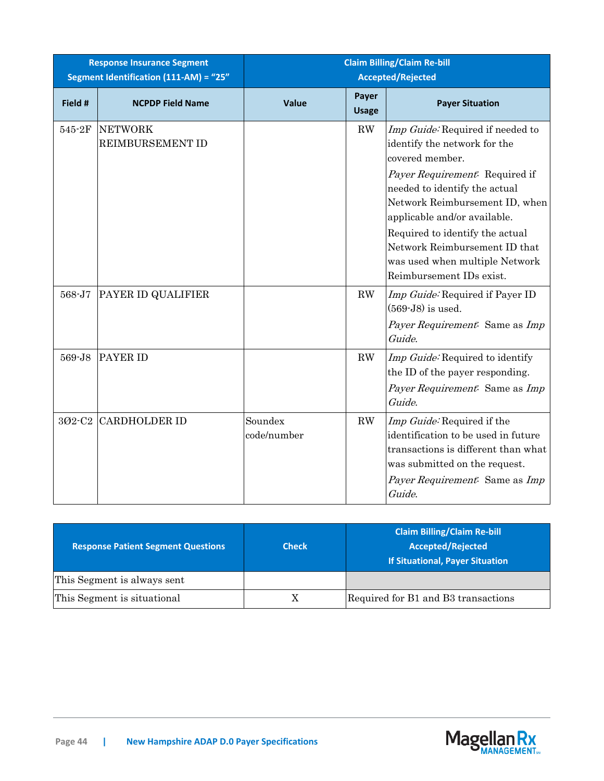| <b>Response Insurance Segment</b><br>Segment Identification (111-AM) = "25" |                                    | <b>Claim Billing/Claim Re-bill</b><br><b>Accepted/Rejected</b> |                       |                                                                                                                                                                                                                                                                                                                                                            |
|-----------------------------------------------------------------------------|------------------------------------|----------------------------------------------------------------|-----------------------|------------------------------------------------------------------------------------------------------------------------------------------------------------------------------------------------------------------------------------------------------------------------------------------------------------------------------------------------------------|
| Field #                                                                     | <b>NCPDP Field Name</b>            | Value                                                          | Payer<br><b>Usage</b> | <b>Payer Situation</b>                                                                                                                                                                                                                                                                                                                                     |
| 545-2F                                                                      | <b>NETWORK</b><br>REIMBURSEMENT ID |                                                                | RW                    | Imp Guide: Required if needed to<br>identify the network for the<br>covered member.<br>Payer Requirement: Required if<br>needed to identify the actual<br>Network Reimbursement ID, when<br>applicable and/or available.<br>Required to identify the actual<br>Network Reimbursement ID that<br>was used when multiple Network<br>Reimbursement IDs exist. |
| 568-J7                                                                      | PAYER ID QUALIFIER                 |                                                                | RW                    | Imp Guide: Required if Payer ID<br>$(569-J8)$ is used.<br>Payer Requirement: Same as Imp<br>Guide.                                                                                                                                                                                                                                                         |
| 569-J8                                                                      | PAYER ID                           |                                                                | RW                    | Imp Guide: Required to identify<br>the ID of the payer responding.<br>Payer Requirement: Same as Imp<br>Guide.                                                                                                                                                                                                                                             |
| 302-C2                                                                      | <b>CARDHOLDER ID</b>               | Soundex<br>code/number                                         | RW                    | Imp Guide: Required if the<br>identification to be used in future<br>transactions is different than what<br>was submitted on the request.<br>Payer Requirement: Same as Imp<br>Guide.                                                                                                                                                                      |

| <b>Response Patient Segment Questions</b> | <b>Check</b> | <b>Claim Billing/Claim Re-bill</b><br><b>Accepted/Rejected</b><br><b>If Situational, Payer Situation</b> |
|-------------------------------------------|--------------|----------------------------------------------------------------------------------------------------------|
| This Segment is always sent               |              |                                                                                                          |
| This Segment is situational               |              | Required for B1 and B3 transactions                                                                      |

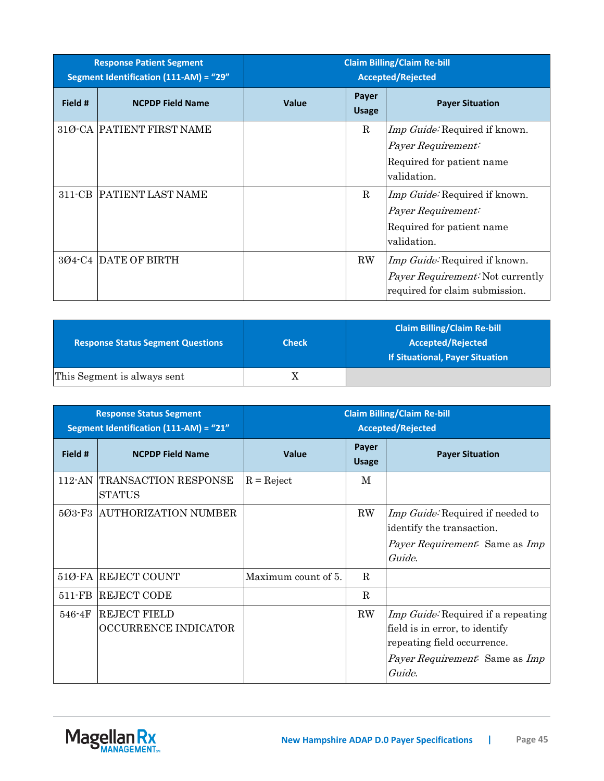| <b>Response Patient Segment</b><br>Segment Identification (111-AM) = "29" |                            | <b>Claim Billing/Claim Re-bill</b><br><b>Accepted/Rejected</b> |                       |                                                                                                                   |
|---------------------------------------------------------------------------|----------------------------|----------------------------------------------------------------|-----------------------|-------------------------------------------------------------------------------------------------------------------|
| Field #                                                                   | <b>NCPDP Field Name</b>    | <b>Value</b>                                                   | Payer<br><b>Usage</b> | <b>Payer Situation</b>                                                                                            |
|                                                                           | 31Ø-CA  PATIENT FIRST NAME |                                                                | $\mathbf R$           | <i>Imp Guide</i> : Required if known.<br>Payer Requirement:<br>Required for patient name<br>validation.           |
| 311-CB                                                                    | PATIENT LAST NAME          |                                                                | R                     | <i>Imp Guide</i> : Required if known.<br>Payer Requirement:<br>Required for patient name<br>validation.           |
|                                                                           | 3Ø4-C4 DATE OF BIRTH       |                                                                | $\rm RW$              | <i>Imp Guide:</i> Required if known.<br><i>Payer Requirement:</i> Not currently<br>required for claim submission. |

| <b>Response Status Segment Questions</b> | <b>Check</b> | <b>Claim Billing/Claim Re-bill</b><br>Accepted/Rejected<br><b>If Situational, Payer Situation</b> |
|------------------------------------------|--------------|---------------------------------------------------------------------------------------------------|
| This Segment is always sent              |              |                                                                                                   |

|            | <b>Response Status Segment</b><br>Segment Identification (111-AM) = "21" |                     |                       | <b>Claim Billing/Claim Re-bill</b><br><b>Accepted/Rejected</b>                                                                                                |
|------------|--------------------------------------------------------------------------|---------------------|-----------------------|---------------------------------------------------------------------------------------------------------------------------------------------------------------|
| Field #    | <b>NCPDP Field Name</b>                                                  | <b>Value</b>        | Payer<br><b>Usage</b> | <b>Payer Situation</b>                                                                                                                                        |
| $112$ -AN  | TRANSACTION RESPONSE<br><b>STATUS</b>                                    | $R = Reject$        | M                     |                                                                                                                                                               |
| 5Ø3-F3     | <b>AUTHORIZATION NUMBER</b>                                              |                     | $\rm RW$              | <i>Imp Guide:</i> Required if needed to<br>identify the transaction.<br>Payer Requirement: Same as Imp<br>Guide.                                              |
|            | 510-FA REJECT COUNT                                                      | Maximum count of 5. | R                     |                                                                                                                                                               |
| 511-FB     | <b>REJECT CODE</b>                                                       |                     | R                     |                                                                                                                                                               |
| $546 - 4F$ | <b>REJECT FIELD</b><br>OCCURRENCE INDICATOR                              |                     | $\rm RW$              | Imp Guide: Required if a repeating<br>field is in error, to identify<br>repeating field occurrence.<br><i>Payer Requirement.</i> Same as <i>Imp</i><br>Guide. |

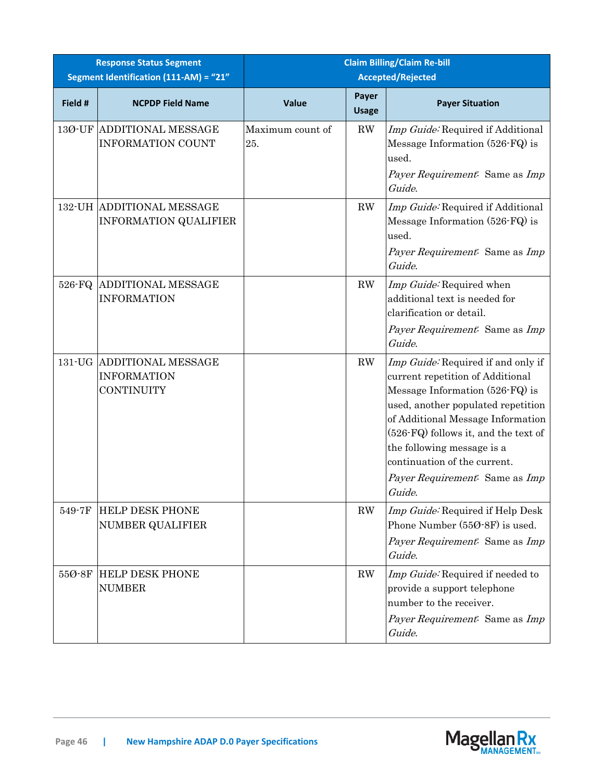|         | <b>Response Status Segment</b><br>Segment Identification (111-AM) = "21" | <b>Claim Billing/Claim Re-bill</b><br><b>Accepted/Rejected</b> |                        |                                                                                                                                                                                                                                                                                                                                        |
|---------|--------------------------------------------------------------------------|----------------------------------------------------------------|------------------------|----------------------------------------------------------------------------------------------------------------------------------------------------------------------------------------------------------------------------------------------------------------------------------------------------------------------------------------|
| Field # | <b>NCPDP Field Name</b>                                                  | <b>Value</b>                                                   | Payer<br><b>Usage</b>  | <b>Payer Situation</b>                                                                                                                                                                                                                                                                                                                 |
| 13Ø-UF  | <b>ADDITIONAL MESSAGE</b><br><b>INFORMATION COUNT</b>                    | Maximum count of<br>25.                                        | $\mathbf{R}\mathbf{W}$ | Imp Guide: Required if Additional<br>Message Information (526-FQ) is<br>used.<br>Payer Requirement: Same as Imp<br>Guide.                                                                                                                                                                                                              |
|         | 132-UH ADDITIONAL MESSAGE<br><b>INFORMATION QUALIFIER</b>                |                                                                | RW                     | Imp Guide: Required if Additional<br>Message Information (526-FQ) is<br>used.<br>Payer Requirement: Same as Imp<br>Guide.                                                                                                                                                                                                              |
| 526-FQ  | <b>ADDITIONAL MESSAGE</b><br><b>INFORMATION</b>                          |                                                                | RW                     | Imp Guide: Required when<br>additional text is needed for<br>clarification or detail.<br>Payer Requirement: Same as Imp<br>Guide.                                                                                                                                                                                                      |
|         | 131-UG ADDITIONAL MESSAGE<br><b>INFORMATION</b><br><b>CONTINUITY</b>     |                                                                | RW                     | Imp Guide: Required if and only if<br>current repetition of Additional<br>Message Information (526-FQ) is<br>used, another populated repetition<br>of Additional Message Information<br>(526-FQ) follows it, and the text of<br>the following message is a<br>continuation of the current.<br>Payer Requirement: Same as Imp<br>Guide. |
| 549-7F  | <b>HELP DESK PHONE</b><br><b>NUMBER QUALIFIER</b>                        |                                                                | $\mathbf{R}\mathbf{W}$ | Imp Guide: Required if Help Desk<br>Phone Number (550-8F) is used.<br>Payer Requirement: Same as Imp<br>Guide.                                                                                                                                                                                                                         |
| 55Ø-8F  | <b>HELP DESK PHONE</b><br><b>NUMBER</b>                                  |                                                                | RW                     | Imp Guide: Required if needed to<br>provide a support telephone<br>number to the receiver.<br>Payer Requirement: Same as Imp<br>Guide.                                                                                                                                                                                                 |

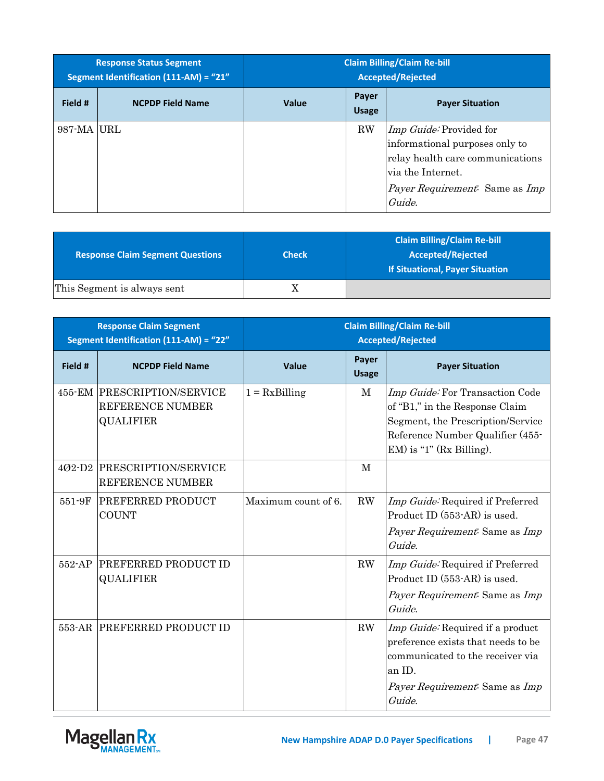|             | <b>Response Status Segment</b><br>Segment Identification (111-AM) = "21" | <b>Claim Billing/Claim Re-bill</b><br><b>Accepted/Rejected</b> |                       |                                                                                                                                                                                     |
|-------------|--------------------------------------------------------------------------|----------------------------------------------------------------|-----------------------|-------------------------------------------------------------------------------------------------------------------------------------------------------------------------------------|
| Field #     | <b>NCPDP Field Name</b>                                                  | <b>Value</b>                                                   | Payer<br><b>Usage</b> | <b>Payer Situation</b>                                                                                                                                                              |
| 987-MA  URL |                                                                          |                                                                | RW                    | <i>Imp Guide:</i> Provided for<br>informational purposes only to<br>relay health care communications<br>via the Internet.<br><i>Payer Requirement.</i> Same as <i>Imp</i><br>Guide. |

| <b>Response Claim Segment Questions</b> | <b>Check</b> | <b>Claim Billing/Claim Re-bill</b><br><b>Accepted/Rejected</b><br><b>If Situational, Payer Situation</b> |
|-----------------------------------------|--------------|----------------------------------------------------------------------------------------------------------|
| This Segment is always sent             | Χ            |                                                                                                          |

|            | <b>Response Claim Segment</b><br>Segment Identification (111-AM) = "22" | <b>Claim Billing/Claim Re-bill</b><br><b>Accepted/Rejected</b> |                       |                                                                                                                                                                           |
|------------|-------------------------------------------------------------------------|----------------------------------------------------------------|-----------------------|---------------------------------------------------------------------------------------------------------------------------------------------------------------------------|
| Field #    | <b>NCPDP Field Name</b>                                                 | <b>Value</b>                                                   | Payer<br><b>Usage</b> | <b>Payer Situation</b>                                                                                                                                                    |
|            | 455-EM PRESCRIPTION/SERVICE<br>REFERENCE NUMBER<br><b>QUALIFIER</b>     | $1 = Rx \times B$ illing                                       | M                     | Imp Guide: For Transaction Code<br>of "B1," in the Response Claim<br>Segment, the Prescription/Service<br>Reference Number Qualifier (455-<br>$EM$ ) is "1" (Rx Billing). |
| $402 - D2$ | PRESCRIPTION/SERVICE<br>REFERENCE NUMBER                                |                                                                | $\mathbf{M}$          |                                                                                                                                                                           |
| 551-9F     | PREFERRED PRODUCT<br><b>COUNT</b>                                       | Maximum count of 6.                                            | RW                    | Imp Guide: Required if Preferred<br>Product ID (553-AR) is used.<br>Payer Requirement: Same as Imp<br>Guide.                                                              |
| 552-AP     | PREFERRED PRODUCT ID<br><b>QUALIFIER</b>                                |                                                                | RW                    | Imp Guide: Required if Preferred<br>Product ID (553-AR) is used.<br>Payer Requirement: Same as Imp<br>Guide.                                                              |
| 553-AR     | <b>PREFERRED PRODUCT ID</b>                                             |                                                                | $\rm RW$              | Imp Guide: Required if a product<br>preference exists that needs to be<br>communicated to the receiver via<br>an ID.<br>Payer Requirement: Same as Imp<br>Guide.          |

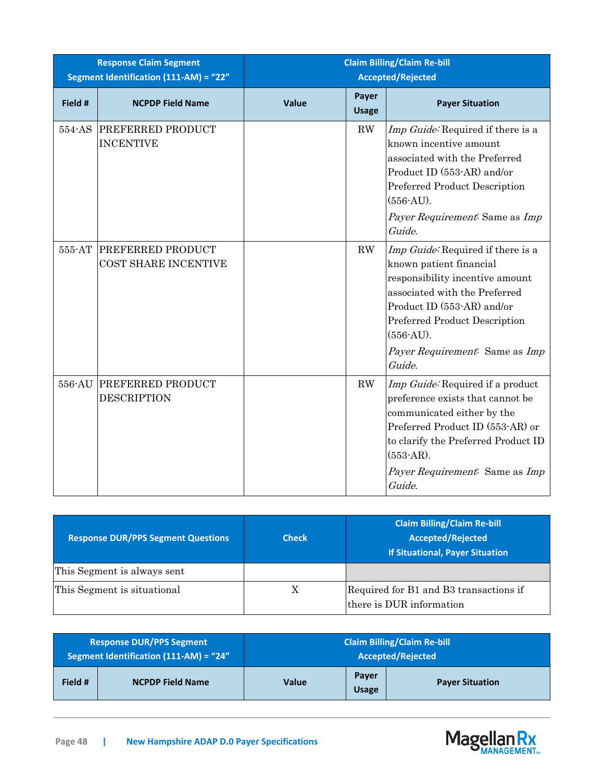|         | <b>Response Claim Segment</b><br>Segment Identification (111-AM) = "22" | <b>Claim Billing/Claim Re-bill</b><br><b>Accepted/Rejected</b> |                        |                                                                                                                                                                                                                                                            |
|---------|-------------------------------------------------------------------------|----------------------------------------------------------------|------------------------|------------------------------------------------------------------------------------------------------------------------------------------------------------------------------------------------------------------------------------------------------------|
| Field # | <b>NCPDP Field Name</b>                                                 | Value                                                          | Payer<br><b>Usage</b>  | <b>Payer Situation</b>                                                                                                                                                                                                                                     |
| 554-AS  | <b>PREFERRED PRODUCT</b><br><b>INCENTIVE</b>                            |                                                                | $\mathbf{R}\mathbf{W}$ | Imp Guide: Required if there is a<br>known incentive amount<br>associated with the Preferred<br>Product ID (553-AR) and/or<br>Preferred Product Description<br>$(556-AU)$ .<br>Payer Requirement: Same as Imp<br>Guide.                                    |
| 555-AT  | <b>PREFERRED PRODUCT</b><br>COST SHARE INCENTIVE                        |                                                                | RW                     | Imp Guide: Required if there is a<br>known patient financial<br>responsibility incentive amount<br>associated with the Preferred<br>Product ID (553-AR) and/or<br>Preferred Product Description<br>$(556-AU).$<br>Payer Requirement: Same as Imp<br>Guide. |
| 556-AU  | PREFERRED PRODUCT<br><b>DESCRIPTION</b>                                 |                                                                | RW                     | Imp Guide: Required if a product<br>preference exists that cannot be<br>communicated either by the<br>Preferred Product ID (553-AR) or<br>to clarify the Preferred Product ID<br>$(553-AR)$ .<br>Payer Requirement: Same as Imp<br>Guide.                  |

| <b>Response DUR/PPS Segment Questions</b> | <b>Check</b> | <b>Claim Billing/Claim Re-bill</b><br><b>Accepted/Rejected</b><br><b>If Situational, Payer Situation</b> |
|-------------------------------------------|--------------|----------------------------------------------------------------------------------------------------------|
| This Segment is always sent               |              |                                                                                                          |
| This Segment is situational               | Х            | Required for B1 and B3 transactions if<br>there is DUR information                                       |

|         | <b>Response DUR/PPS Segment</b><br>Segment Identification $(111-AM) = "24"$ | <b>Claim Billing/Claim Re-bill</b><br><b>Accepted/Rejected</b> |                       |                        |
|---------|-----------------------------------------------------------------------------|----------------------------------------------------------------|-----------------------|------------------------|
| Field # | <b>NCPDP Field Name</b>                                                     | <b>Value</b>                                                   | Payer<br><b>Usage</b> | <b>Payer Situation</b> |

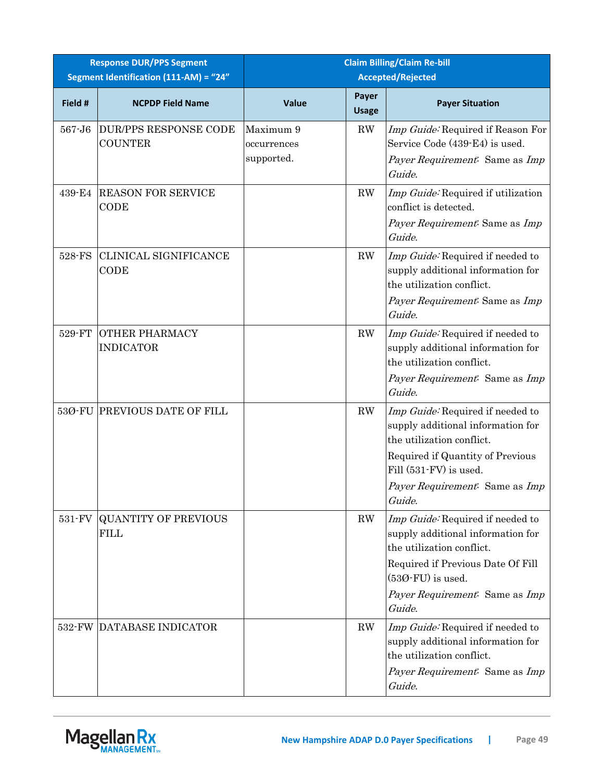|         | <b>Response DUR/PPS Segment</b><br>Segment Identification (111-AM) = "24" |                                        |                        | <b>Claim Billing/Claim Re-bill</b><br><b>Accepted/Rejected</b>                                                                                                                                               |
|---------|---------------------------------------------------------------------------|----------------------------------------|------------------------|--------------------------------------------------------------------------------------------------------------------------------------------------------------------------------------------------------------|
| Field # | <b>NCPDP Field Name</b>                                                   | Value                                  | Payer<br><b>Usage</b>  | <b>Payer Situation</b>                                                                                                                                                                                       |
| 567-J6  | <b>DUR/PPS RESPONSE CODE</b><br><b>COUNTER</b>                            | Maximum 9<br>occurrences<br>supported. | $\mathbf{R}\mathbf{W}$ | Imp Guide: Required if Reason For<br>Service Code (439-E4) is used.<br>Payer Requirement: Same as Imp<br>Guide.                                                                                              |
| 439-E4  | <b>REASON FOR SERVICE</b><br>CODE                                         |                                        | RW                     | Imp Guide: Required if utilization<br>conflict is detected.<br>Payer Requirement: Same as Imp<br>Guide.                                                                                                      |
| 528-FS  | CLINICAL SIGNIFICANCE<br>CODE                                             |                                        | RW                     | Imp Guide: Required if needed to<br>supply additional information for<br>the utilization conflict.<br>Payer Requirement: Same as Imp<br>Guide.                                                               |
| 529-FT  | <b>OTHER PHARMACY</b><br><b>INDICATOR</b>                                 |                                        | RW                     | Imp Guide: Required if needed to<br>supply additional information for<br>the utilization conflict.<br>Payer Requirement: Same as Imp<br>Guide.                                                               |
| 53Ø-FU  | <b>PREVIOUS DATE OF FILL</b>                                              |                                        | RW                     | Imp Guide: Required if needed to<br>supply additional information for<br>the utilization conflict.<br>Required if Quantity of Previous<br>Fill (531-FV) is used.<br>Payer Requirement: Same as Imp<br>Guide. |
| 531-FV  | <b>QUANTITY OF PREVIOUS</b><br><b>FILL</b>                                |                                        | RW                     | Imp Guide: Required if needed to<br>supply additional information for<br>the utilization conflict.<br>Required if Previous Date Of Fill<br>$(530$ -FU) is used.<br>Payer Requirement: Same as Imp<br>Guide.  |
| 532-FW  | DATABASE INDICATOR                                                        |                                        | RW                     | Imp Guide: Required if needed to<br>supply additional information for<br>the utilization conflict.<br>Payer Requirement: Same as Imp<br>Guide.                                                               |

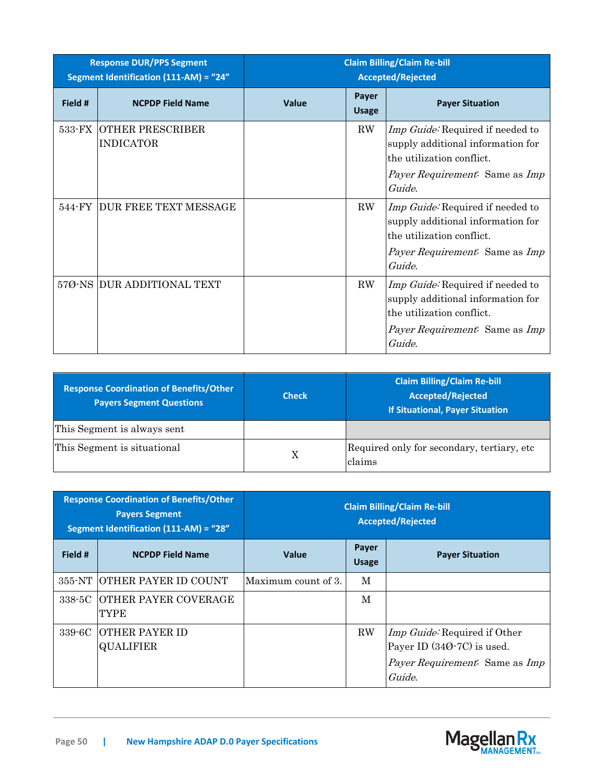|         | <b>Response DUR/PPS Segment</b><br>Segment Identification (111-AM) = "24" | <b>Claim Billing/Claim Re-bill</b><br><b>Accepted/Rejected</b> |                       |                                                                                                                                                                     |
|---------|---------------------------------------------------------------------------|----------------------------------------------------------------|-----------------------|---------------------------------------------------------------------------------------------------------------------------------------------------------------------|
| Field # | <b>NCPDP Field Name</b>                                                   | Value                                                          | Payer<br><b>Usage</b> | <b>Payer Situation</b>                                                                                                                                              |
| 533-FX  | <b>OTHER PRESCRIBER</b><br><b>INDICATOR</b>                               |                                                                | $\rm RW$              | <i>Imp Guide:</i> Required if needed to<br>supply additional information for<br>the utilization conflict.<br><i>Payer Requirement:</i> Same as <i>Imp</i><br>Guide. |
| 544-FY  | DUR FREE TEXT MESSAGE                                                     |                                                                | ${\rm RW}$            | Imp Guide: Required if needed to<br>supply additional information for<br>the utilization conflict.<br><i>Payer Requirement:</i> Same as <i>Imp</i><br>Guide.        |
|         | 570-NS DUR ADDITIONAL TEXT                                                |                                                                | ${\rm RW}$            | Imp Guide: Required if needed to<br>supply additional information for<br>the utilization conflict.<br><i>Payer Requirement.</i> Same as <i>Imp</i><br>Guide.        |

| Response Coordination of Benefits/Other<br><b>Payers Segment Questions</b> | <b>Check</b> | <b>Claim Billing/Claim Re-bill</b><br><b>Accepted/Rejected</b><br><b>If Situational, Payer Situation</b> |
|----------------------------------------------------------------------------|--------------|----------------------------------------------------------------------------------------------------------|
| This Segment is always sent                                                |              |                                                                                                          |
| This Segment is situational                                                | X            | Required only for secondary, tertiary, etc.<br>claims                                                    |

| <b>Response Coordination of Benefits/Other</b><br><b>Payers Segment</b><br>Segment Identification (111-AM) = "28" |                                            | <b>Claim Billing/Claim Re-bill</b><br><b>Accepted/Rejected</b> |                       |                                                                                                                               |
|-------------------------------------------------------------------------------------------------------------------|--------------------------------------------|----------------------------------------------------------------|-----------------------|-------------------------------------------------------------------------------------------------------------------------------|
| Field #                                                                                                           | <b>NCPDP Field Name</b>                    | <b>Value</b>                                                   | Payer<br><b>Usage</b> | <b>Payer Situation</b>                                                                                                        |
|                                                                                                                   | 355-NT OTHER PAYER ID COUNT                | Maximum count of 3.                                            | M                     |                                                                                                                               |
| 338-5C                                                                                                            | <b>IOTHER PAYER COVERAGE</b><br>TYPE       |                                                                | M                     |                                                                                                                               |
| 339-6C                                                                                                            | <b>SOTHER PAYER ID</b><br><b>QUALIFIER</b> |                                                                | RW                    | <i>Imp Guide:</i> Required if Other<br>Payer ID $(340-7C)$ is used.<br><i>Payer Requirement.</i> Same as <i>Imp</i><br>Guide. |

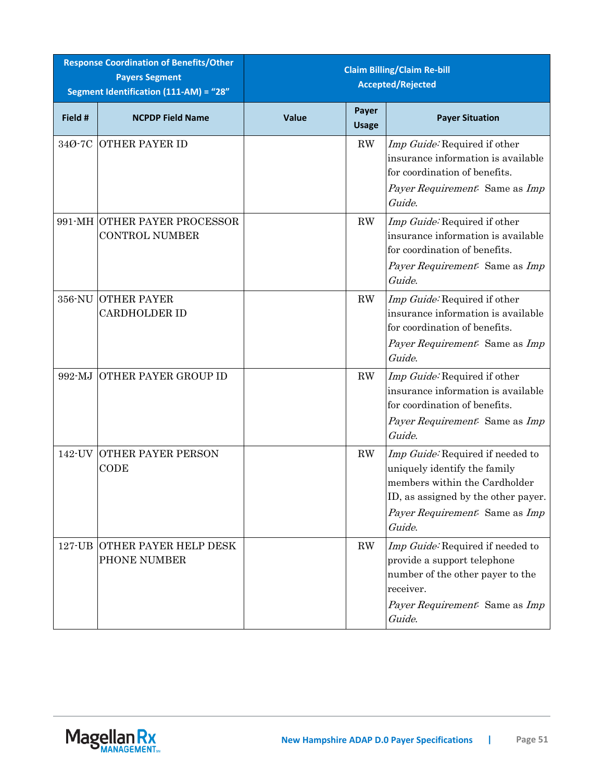|         | <b>Response Coordination of Benefits/Other</b><br><b>Payers Segment</b><br>Segment Identification (111-AM) = "28" | <b>Claim Billing/Claim Re-bill</b><br><b>Accepted/Rejected</b> |                        |                                                                                                                                                                                      |
|---------|-------------------------------------------------------------------------------------------------------------------|----------------------------------------------------------------|------------------------|--------------------------------------------------------------------------------------------------------------------------------------------------------------------------------------|
| Field # | <b>NCPDP Field Name</b>                                                                                           | <b>Value</b>                                                   | Payer<br><b>Usage</b>  | <b>Payer Situation</b>                                                                                                                                                               |
| 34Ø-7C  | <b>OTHER PAYER ID</b>                                                                                             |                                                                | $\mathbf{R}\mathbf{W}$ | Imp Guide: Required if other<br>insurance information is available<br>for coordination of benefits.<br>Payer Requirement: Same as Imp<br>Guide.                                      |
|         | 991-MH OTHER PAYER PROCESSOR<br><b>CONTROL NUMBER</b>                                                             |                                                                | $\mathbf{R}\mathbf{W}$ | Imp Guide: Required if other<br>insurance information is available<br>for coordination of benefits.<br>Payer Requirement: Same as Imp<br>Guide.                                      |
| 356-NU  | <b>OTHER PAYER</b><br><b>CARDHOLDER ID</b>                                                                        |                                                                | RW                     | Imp Guide: Required if other<br>insurance information is available<br>for coordination of benefits.<br>Payer Requirement: Same as Imp<br>Guide.                                      |
| 992-MJ  | <b>OTHER PAYER GROUP ID</b>                                                                                       |                                                                | RW                     | Imp Guide: Required if other<br>insurance information is available<br>for coordination of benefits.<br>Payer Requirement: Same as Imp<br>Guide.                                      |
|         | <b>142-UV OTHER PAYER PERSON</b><br>CODE                                                                          |                                                                | RW                     | Imp Guide: Required if needed to<br>uniquely identify the family<br>members within the Cardholder<br>ID, as assigned by the other payer.<br>Payer Requirement: Same as Imp<br>Guide. |
|         | 127-UB OTHER PAYER HELP DESK<br>PHONE NUMBER                                                                      |                                                                | RW                     | Imp Guide: Required if needed to<br>provide a support telephone<br>number of the other payer to the<br>receiver.<br>Payer Requirement: Same as Imp<br>Guide.                         |

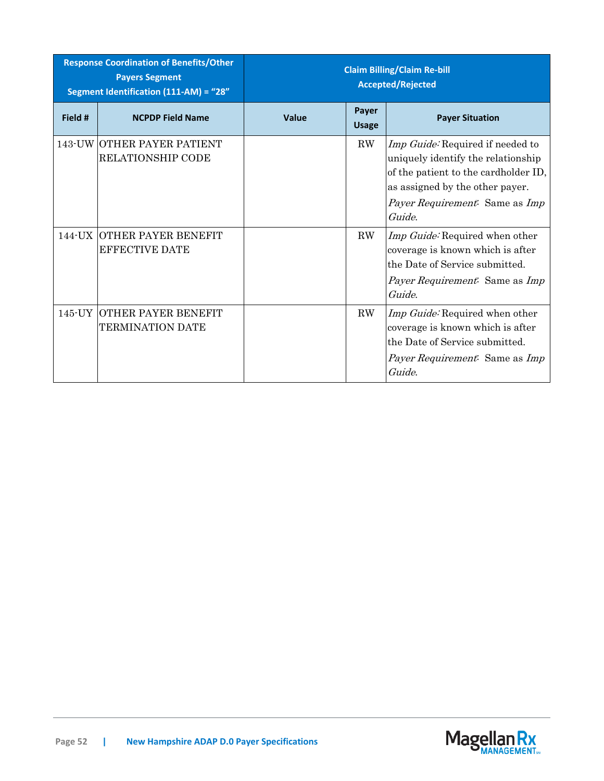| <b>Response Coordination of Benefits/Other</b><br><b>Payers Segment</b><br>Segment Identification (111-AM) = "28" |                                                            | <b>Claim Billing/Claim Re-bill</b><br><b>Accepted/Rejected</b> |                       |                                                                                                                                                                                                             |
|-------------------------------------------------------------------------------------------------------------------|------------------------------------------------------------|----------------------------------------------------------------|-----------------------|-------------------------------------------------------------------------------------------------------------------------------------------------------------------------------------------------------------|
| Field #                                                                                                           | <b>NCPDP Field Name</b>                                    | Value                                                          | Payer<br><b>Usage</b> | <b>Payer Situation</b>                                                                                                                                                                                      |
|                                                                                                                   | 143-UW OTHER PAYER PATIENT<br><b>RELATIONSHIP CODE</b>     |                                                                | $\rm RW$              | Imp Guide: Required if needed to<br>uniquely identify the relationship<br>of the patient to the cardholder ID,<br>as assigned by the other payer.<br><i>Payer Requirement:</i> Same as <i>Imp</i><br>Guide. |
|                                                                                                                   | <b>144-UX OTHER PAYER BENEFIT</b><br><b>EFFECTIVE DATE</b> |                                                                | $\rm RW$              | Imp Guide: Required when other<br>coverage is known which is after<br>the Date of Service submitted.<br>Payer Requirement: Same as Imp<br>Guide.                                                            |
|                                                                                                                   | 145-UY OTHER PAYER BENEFIT<br>TERMINATION DATE             |                                                                | $\rm RW$              | Imp Guide: Required when other<br>coverage is known which is after<br>the Date of Service submitted.<br><i>Payer Requirement:</i> Same as <i>Imp</i><br>Guide.                                              |

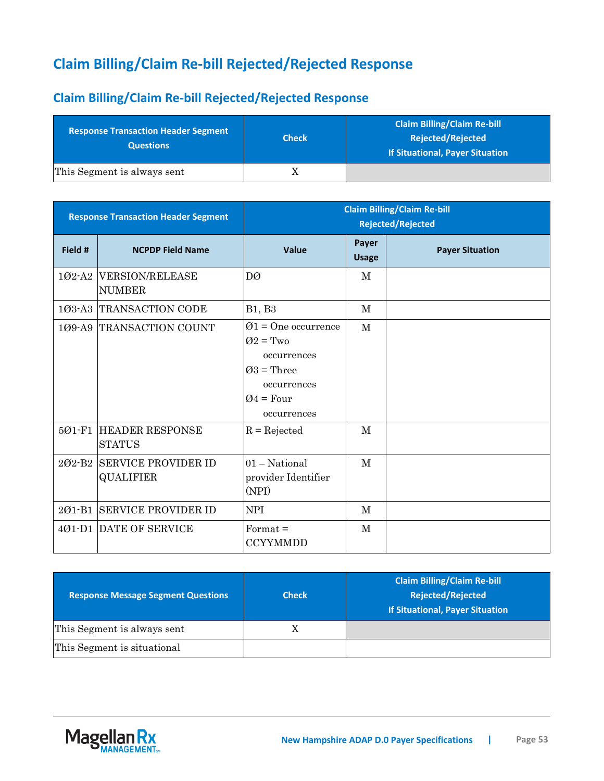# **Claim Billing/Claim Re-bill Rejected/Rejected Response**

### **Claim Billing/Claim Re-bill Rejected/Rejected Response**

| <b>Response Transaction Header Segment</b><br><b>Questions</b> | <b>Check</b> | <b>Claim Billing/Claim Re-bill</b><br><b>Rejected/Rejected</b><br>If Situational, Payer Situation |
|----------------------------------------------------------------|--------------|---------------------------------------------------------------------------------------------------|
| This Segment is always sent                                    |              |                                                                                                   |

|            | <b>Response Transaction Header Segment</b>     | <b>Claim Billing/Claim Re-bill</b><br><b>Rejected/Rejected</b>                                                                        |                       |                        |
|------------|------------------------------------------------|---------------------------------------------------------------------------------------------------------------------------------------|-----------------------|------------------------|
| Field #    | <b>NCPDP Field Name</b>                        | Value                                                                                                                                 | Payer<br><b>Usage</b> | <b>Payer Situation</b> |
|            | 102-A2 VERSION/RELEASE<br><b>NUMBER</b>        | DØ                                                                                                                                    | M                     |                        |
|            | 103-A3 TRANSACTION CODE                        | <b>B1</b> , <b>B3</b>                                                                                                                 | M                     |                        |
|            | 109-A9 TRANSACTION COUNT                       | $\varnothing$ 1 = One occurrence<br>$Q2 = Two$<br>occurrences<br>$\varnothing$ 3 = Three<br>occurrences<br>$Q4 = Four$<br>occurrences | $\mathbf M$           |                        |
| 501-F1     | <b>HEADER RESPONSE</b><br><b>STATUS</b>        | $R =$ Rejected                                                                                                                        | M                     |                        |
|            | 202-B2 SERVICE PROVIDER ID<br><b>QUALIFIER</b> | $01 - National$<br>provider Identifier<br>(NPI)                                                                                       | M                     |                        |
| $201 - B1$ | <b>SERVICE PROVIDER ID</b>                     | <b>NPI</b>                                                                                                                            | M                     |                        |
|            | 401-D1 DATE OF SERVICE                         | $Format =$<br><b>CCYYMMDD</b>                                                                                                         | M                     |                        |

| <b>Response Message Segment Questions</b> | <b>Check</b> | <b>Claim Billing/Claim Re-bill</b><br><b>Rejected/Rejected</b><br><b>If Situational, Payer Situation</b> |
|-------------------------------------------|--------------|----------------------------------------------------------------------------------------------------------|
| This Segment is always sent               |              |                                                                                                          |
| This Segment is situational               |              |                                                                                                          |

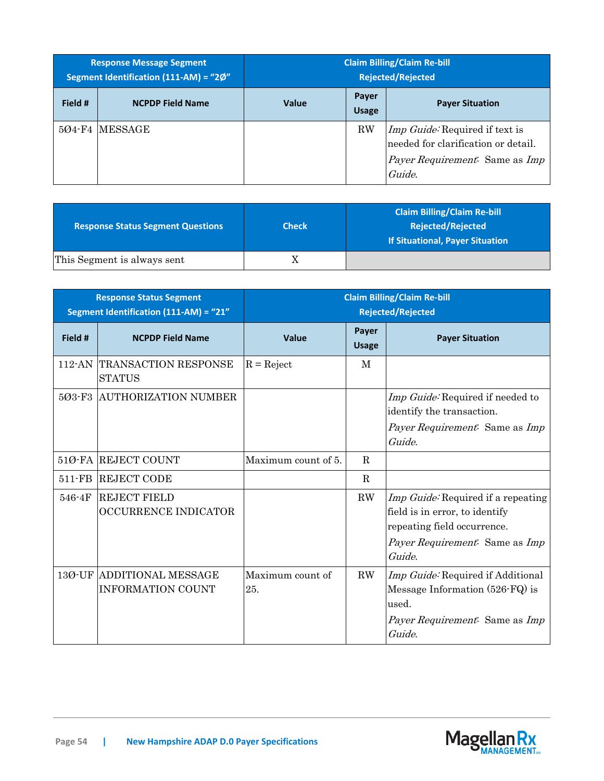| <b>Response Message Segment</b><br>Segment Identification (111-AM) = "2Ø" |                         | <b>Claim Billing/Claim Re-bill</b><br><b>Rejected/Rejected</b> |                       |                                                                                                                                        |
|---------------------------------------------------------------------------|-------------------------|----------------------------------------------------------------|-----------------------|----------------------------------------------------------------------------------------------------------------------------------------|
| Field #                                                                   | <b>NCPDP Field Name</b> | <b>Value</b>                                                   | Payer<br><b>Usage</b> | <b>Payer Situation</b>                                                                                                                 |
|                                                                           | 504-F4 IMESSAGE         |                                                                | <b>RW</b>             | <i>Imp Guide:</i> Required if text is<br>needed for clarification or detail.<br><i>Payer Requirement.</i> Same as <i>Imp</i><br>Guide. |

| <b>Response Status Segment Questions</b> | <b>Check</b> | <b>Claim Billing/Claim Re-bill</b><br><b>Rejected/Rejected</b><br>If Situational, Payer Situation |
|------------------------------------------|--------------|---------------------------------------------------------------------------------------------------|
| This Segment is always sent              | Λ            |                                                                                                   |

| <b>Response Status Segment</b><br>Segment Identification (111-AM) = "21" |                                                       | <b>Claim Billing/Claim Re-bill</b><br><b>Rejected/Rejected</b> |                       |                                                                                                                                                 |
|--------------------------------------------------------------------------|-------------------------------------------------------|----------------------------------------------------------------|-----------------------|-------------------------------------------------------------------------------------------------------------------------------------------------|
| Field #                                                                  | <b>NCPDP Field Name</b>                               | Value                                                          | Payer<br><b>Usage</b> | <b>Payer Situation</b>                                                                                                                          |
| 112-AN                                                                   | <b>TRANSACTION RESPONSE</b><br><b>STATUS</b>          | $R =$ Reject                                                   | M                     |                                                                                                                                                 |
| 503-F3                                                                   | <b>AUTHORIZATION NUMBER</b>                           |                                                                |                       | Imp Guide: Required if needed to<br>identify the transaction.<br>Payer Requirement. Same as Imp<br>Guide.                                       |
|                                                                          | 51Ø-FA REJECT COUNT                                   | Maximum count of 5.                                            | $\mathbf{R}$          |                                                                                                                                                 |
| $511-FB$                                                                 | <b>REJECT CODE</b>                                    |                                                                | $\mathbf R$           |                                                                                                                                                 |
| 546-4F                                                                   | <b>REJECT FIELD</b><br><b>OCCURRENCE INDICATOR</b>    |                                                                | $\rm RW$              | Imp Guide: Required if a repeating<br>field is in error, to identify<br>repeating field occurrence.<br>Payer Requirement: Same as Imp<br>Guide. |
| 13Ø-UF                                                                   | <b>ADDITIONAL MESSAGE</b><br><b>INFORMATION COUNT</b> | Maximum count of<br>25.                                        | $\rm RW$              | Imp Guide: Required if Additional<br>Message Information (526-FQ) is<br>used.<br><i>Payer Requirement.</i> Same as <i>Imp</i><br>Guide.         |

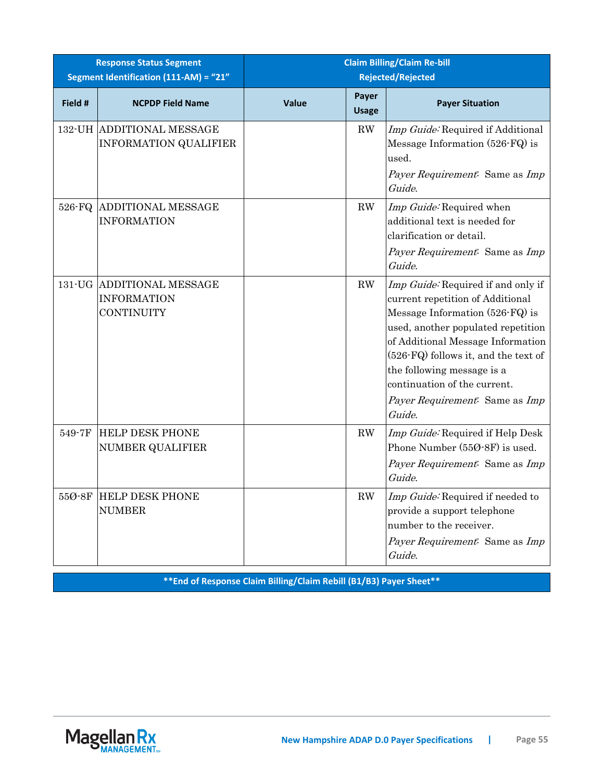|                 | <b>Response Status Segment</b><br>Segment Identification (111-AM) = "21" |              |                        | <b>Claim Billing/Claim Re-bill</b><br><b>Rejected/Rejected</b>                                                                                                                                                                                                                                                                         |
|-----------------|--------------------------------------------------------------------------|--------------|------------------------|----------------------------------------------------------------------------------------------------------------------------------------------------------------------------------------------------------------------------------------------------------------------------------------------------------------------------------------|
| Field #         | <b>NCPDP Field Name</b>                                                  | <b>Value</b> | Payer<br><b>Usage</b>  | <b>Payer Situation</b>                                                                                                                                                                                                                                                                                                                 |
|                 | <b>132-UH ADDITIONAL MESSAGE</b><br><b>INFORMATION QUALIFIER</b>         |              | $\mathbf{R}\mathbf{W}$ | Imp Guide: Required if Additional<br>Message Information (526-FQ) is<br>used.<br>Payer Requirement: Same as Imp<br>Guide.                                                                                                                                                                                                              |
| 526-FQ          | <b>ADDITIONAL MESSAGE</b><br><b>INFORMATION</b>                          |              | $\mathbf{R}\mathbf{W}$ | Imp Guide: Required when<br>additional text is needed for<br>clarification or detail.<br>Payer Requirement: Same as Imp<br>Guide.                                                                                                                                                                                                      |
|                 | 131-UG ADDITIONAL MESSAGE<br><b>INFORMATION</b><br>CONTINUITY            |              | $\mathbf{R}\mathbf{W}$ | Imp Guide: Required if and only if<br>current repetition of Additional<br>Message Information (526-FQ) is<br>used, another populated repetition<br>of Additional Message Information<br>(526-FQ) follows it, and the text of<br>the following message is a<br>continuation of the current.<br>Payer Requirement: Same as Imp<br>Guide. |
| 549-7F          | <b>HELP DESK PHONE</b><br><b>NUMBER QUALIFIER</b>                        |              | $\mathbf{R}\mathbf{W}$ | Imp Guide: Required if Help Desk<br>Phone Number (550-8F) is used.<br>Payer Requirement: Same as Imp<br>Guide.                                                                                                                                                                                                                         |
| $550$ $8F$ $\,$ | <b>HELP DESK PHONE</b><br><b>NUMBER</b>                                  |              | RW                     | Imp Guide: Required if needed to<br>provide a support telephone<br>number to the receiver.<br>Payer Requirement: Same as Imp<br>Guide.                                                                                                                                                                                                 |

**\*\*End of Response Claim Billing/Claim Rebill (B1/B3) Payer Sheet\*\***

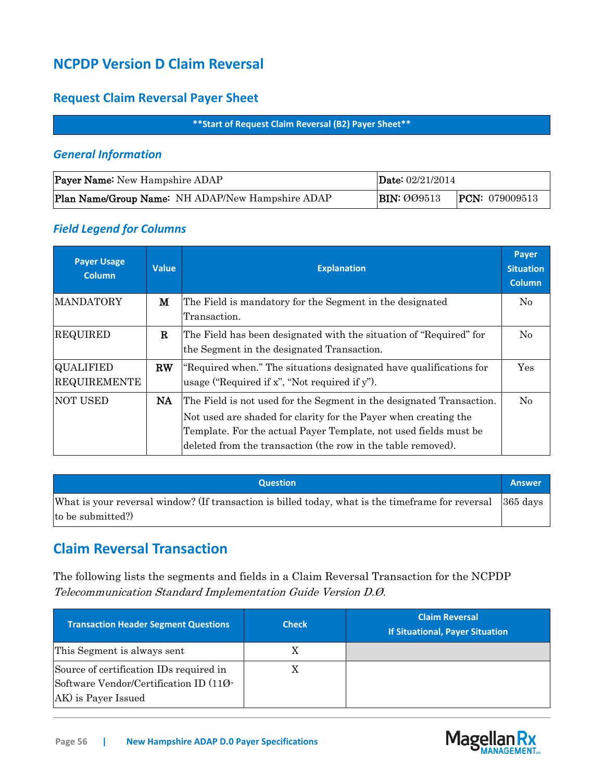## **NCPDP Version D Claim Reversal**

### **Request Claim Reversal Payer Sheet**

#### **\*\*Start of Request Claim Reversal (B2) Payer Sheet\*\***

### *General Information*

| <b>Payer Name:</b> New Hampshire ADAP            | <b>Date:</b> $02/21/2014$ |                         |  |
|--------------------------------------------------|---------------------------|-------------------------|--|
| Plan Name/Group Name: NH ADAP/New Hampshire ADAP | <b>BIN: 009513</b>        | <b>PCN:</b> $079009513$ |  |

### *Field Legend for Columns*

| <b>Payer Usage</b><br><b>Column</b>     | <b>Value</b>           | <b>Explanation</b>                                                                                                                                                                                                                                                          | Payer<br><b>Situation</b><br><b>Column</b> |
|-----------------------------------------|------------------------|-----------------------------------------------------------------------------------------------------------------------------------------------------------------------------------------------------------------------------------------------------------------------------|--------------------------------------------|
| <b>MANDATORY</b>                        | м                      | The Field is mandatory for the Segment in the designated<br>Transaction.                                                                                                                                                                                                    | $\rm No$                                   |
| <b>REQUIRED</b>                         | R                      | The Field has been designated with the situation of "Required" for<br>the Segment in the designated Transaction.                                                                                                                                                            | $\rm No$                                   |
| <b>QUALIFIED</b><br><b>REQUIREMENTE</b> | $\mathbf{R}\mathbf{W}$ | "Required when." The situations designated have qualifications for<br>usage ("Required if x", "Not required if y").                                                                                                                                                         | Yes                                        |
| <b>NOT USED</b>                         | NA.                    | The Field is not used for the Segment in the designated Transaction.<br>Not used are shaded for clarity for the Payer when creating the<br>Template. For the actual Payer Template, not used fields must be<br>deleted from the transaction (the row in the table removed). | No                                         |

| <b>Question</b>                                                                                             | <b>Answer</b> |
|-------------------------------------------------------------------------------------------------------------|---------------|
| What is your reversal window? (If transaction is billed today, what is the time frame for reversal 365 days |               |
| to be submitted?)                                                                                           |               |

## **Claim Reversal Transaction**

The following lists the segments and fields in a Claim Reversal Transaction for the NCPDP Telecommunication Standard Implementation Guide Version D.Ø.

| <b>Fransaction Header Segment Questions</b>                                                              | <b>Check</b> | <b>Claim Reversal</b><br><b>If Situational, Payer Situation</b> |
|----------------------------------------------------------------------------------------------------------|--------------|-----------------------------------------------------------------|
| This Segment is always sent                                                                              | Χ            |                                                                 |
| Source of certification IDs required in<br>Software Vendor/Certification ID (110-<br>AK) is Payer Issued |              |                                                                 |

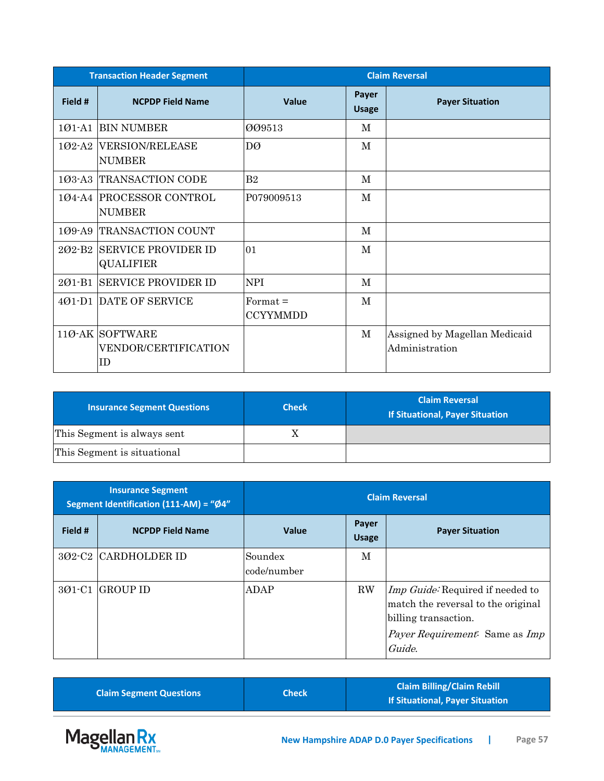|         | <b>Transaction Header Segment</b>                    | <b>Claim Reversal</b>                |                              |                                                 |
|---------|------------------------------------------------------|--------------------------------------|------------------------------|-------------------------------------------------|
| Field # | <b>NCPDP Field Name</b>                              | <b>Value</b>                         | <b>Payer</b><br><b>Usage</b> | <b>Payer Situation</b>                          |
| 101-A1  | <b>BIN NUMBER</b>                                    | 009513                               | М                            |                                                 |
|         | 102-A2 VERSION/RELEASE<br><b>NUMBER</b>              | DØ                                   | М                            |                                                 |
|         | 103-A3 TRANSACTION CODE                              | B <sub>2</sub>                       | M                            |                                                 |
|         | 104-A4 PROCESSOR CONTROL<br><b>NUMBER</b>            | P079009513                           | M                            |                                                 |
|         | 109-A9 TRANSACTION COUNT                             |                                      | M                            |                                                 |
| 202-B2  | <b>SERVICE PROVIDER ID</b><br><b>QUALIFIER</b>       | 01                                   | $\mathbf{M}$                 |                                                 |
| 201-B1  | <b>SERVICE PROVIDER ID</b>                           | <b>NPI</b>                           | М                            |                                                 |
|         | 401-D1 DATE OF SERVICE                               | $\text{Format} =$<br><b>CCYYMMDD</b> | М                            |                                                 |
|         | 110-AK SOFTWARE<br><b>VENDOR/CERTIFICATION</b><br>ID |                                      | $\mathbf M$                  | Assigned by Magellan Medicaid<br>Administration |

| <b>Insurance Segment Questions</b> | <b>Check</b> | <b>Claim Reversal</b><br><b>If Situational, Payer Situation</b> |
|------------------------------------|--------------|-----------------------------------------------------------------|
| This Segment is always sent        | Δ            |                                                                 |
| This Segment is situational        |              |                                                                 |

| <b>Insurance Segment</b><br>Segment Identification (111-AM) = "Ø4" |                         | <b>Claim Reversal</b>  |                       |                                                                                                                                                                 |
|--------------------------------------------------------------------|-------------------------|------------------------|-----------------------|-----------------------------------------------------------------------------------------------------------------------------------------------------------------|
| Field #                                                            | <b>NCPDP Field Name</b> | <b>Value</b>           | Payer<br><b>Usage</b> | <b>Payer Situation</b>                                                                                                                                          |
|                                                                    | 302-C2 CARDHOLDER ID    | Soundex<br>code/number | M                     |                                                                                                                                                                 |
| $301-C1$                                                           | <b>GROUP ID</b>         | ADAP                   | $\rm RW$              | <i>Imp Guide:</i> Required if needed to<br>match the reversal to the original<br>billing transaction.<br><i>Payer Requirement.</i> Same as <i>Imp</i><br>Guide. |

| <b>Claim Segment Questions</b> | Check | <b>Claim Billing/Claim Rebill</b><br>If Situational, Payer Situation |
|--------------------------------|-------|----------------------------------------------------------------------|
|                                |       |                                                                      |

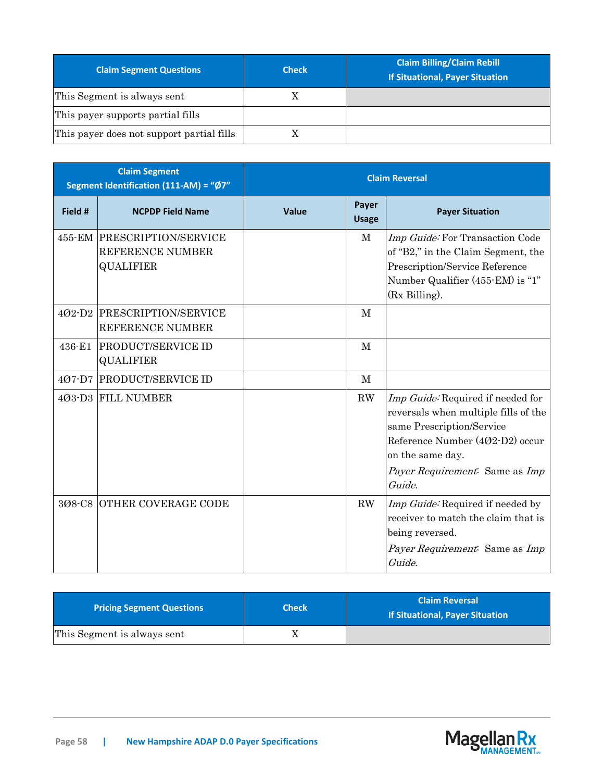| <b>Claim Segment Questions</b>            | <b>Check</b> | <b>Claim Billing/Claim Rebill</b><br>If Situational, Payer Situation |
|-------------------------------------------|--------------|----------------------------------------------------------------------|
| This Segment is always sent               | X            |                                                                      |
| This payer supports partial fills         |              |                                                                      |
| This payer does not support partial fills |              |                                                                      |

|            | <b>Claim Segment</b><br>Segment Identification (111-AM) = "Ø7"      | <b>Claim Reversal</b> |                       |                                                                                                                                                                                                           |
|------------|---------------------------------------------------------------------|-----------------------|-----------------------|-----------------------------------------------------------------------------------------------------------------------------------------------------------------------------------------------------------|
| Field #    | <b>NCPDP Field Name</b>                                             | Value                 | Payer<br><b>Usage</b> | <b>Payer Situation</b>                                                                                                                                                                                    |
|            | 455-EM PRESCRIPTION/SERVICE<br>REFERENCE NUMBER<br><b>QUALIFIER</b> |                       | $\mathbf M$           | Imp Guide: For Transaction Code<br>of "B2," in the Claim Segment, the<br>Prescription/Service Reference<br>Number Qualifier (455-EM) is "1"<br>(Rx Billing).                                              |
|            | 402-D2 PRESCRIPTION/SERVICE<br>REFERENCE NUMBER                     |                       | M                     |                                                                                                                                                                                                           |
| $436 - E1$ | <b>PRODUCT/SERVICE ID</b><br><b>QUALIFIER</b>                       |                       | M                     |                                                                                                                                                                                                           |
| 407-D7     | <b>PRODUCT/SERVICE ID</b>                                           |                       | $\mathbf{M}$          |                                                                                                                                                                                                           |
|            | 4Ø3-D3 FILL NUMBER                                                  |                       | RW                    | Imp Guide: Required if needed for<br>reversals when multiple fills of the<br>same Prescription/Service<br>Reference Number (402-D2) occur<br>on the same day.<br>Payer Requirement: Same as Imp<br>Guide. |
|            | 308-C8 OTHER COVERAGE CODE                                          |                       | ${\rm RW}$            | Imp Guide: Required if needed by<br>receiver to match the claim that is<br>being reversed.<br>Payer Requirement: Same as Imp<br>Guide.                                                                    |

| Pricing Segment Questions   | <b>Check</b> | <b>Claim Reversal</b><br><b>If Situational, Payer Situation</b> |
|-----------------------------|--------------|-----------------------------------------------------------------|
| This Segment is always sent |              |                                                                 |

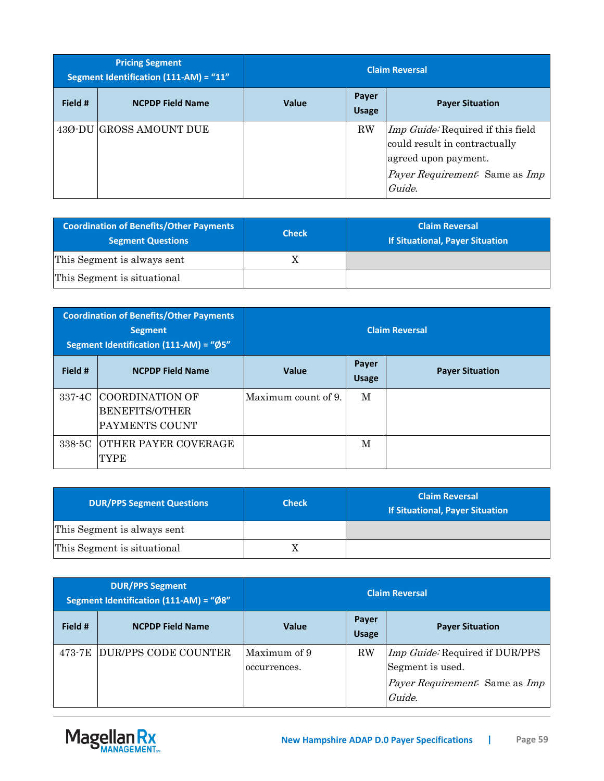|         | <b>Pricing Segment</b><br>Segment Identification (111-AM) = "11" |              |                       | <b>Claim Reversal</b>                                                                                                                  |
|---------|------------------------------------------------------------------|--------------|-----------------------|----------------------------------------------------------------------------------------------------------------------------------------|
| Field # | <b>NCPDP Field Name</b>                                          | <b>Value</b> | Payer<br><b>Usage</b> | <b>Payer Situation</b>                                                                                                                 |
|         | 43Ø-DU GROSS AMOUNT DUE                                          |              | $\rm RW$              | Imp Guide: Required if this field<br>could result in contractually<br>agreed upon payment.<br>Payer Requirement. Same as Imp<br>Guide. |

| <b>Coordination of Benefits/Other Payments</b><br><b>Segment Questions</b> | <b>Check</b> | <b>Claim Reversal</b><br><b>If Situational, Payer Situation</b> |
|----------------------------------------------------------------------------|--------------|-----------------------------------------------------------------|
| This Segment is always sent                                                |              |                                                                 |
| This Segment is situational                                                |              |                                                                 |

|         | <b>Coordination of Benefits/Other Payments</b><br><b>Segment</b><br>Segment Identification (111-AM) = "Ø5" | <b>Claim Reversal</b> |                       |                        |
|---------|------------------------------------------------------------------------------------------------------------|-----------------------|-----------------------|------------------------|
| Field # | <b>NCPDP Field Name</b>                                                                                    | <b>Value</b>          | Payer<br><b>Usage</b> | <b>Payer Situation</b> |
| 337-4C  | COORDINATION OF<br><b>BENEFITS/OTHER</b><br>PAYMENTS COUNT                                                 | Maximum count of 9.   | M                     |                        |
| 338-5C  | <b>OTHER PAYER COVERAGE</b><br>TYPE                                                                        |                       | M                     |                        |

| <b>DUR/PPS Segment Questions</b> | <b>Check</b> | <b>Claim Reversal</b><br>If Situational, Payer Situation |
|----------------------------------|--------------|----------------------------------------------------------|
| This Segment is always sent      |              |                                                          |
| This Segment is situational      |              |                                                          |

|         | <b>DUR/PPS Segment</b><br>Segment Identification (111-AM) = "Ø8" | <b>Claim Reversal</b>        |                       |                                                                                                              |
|---------|------------------------------------------------------------------|------------------------------|-----------------------|--------------------------------------------------------------------------------------------------------------|
| Field # | <b>NCPDP Field Name</b>                                          | <b>Value</b>                 | Payer<br><b>Usage</b> | <b>Payer Situation</b>                                                                                       |
| 473-7E  | DUR/PPS CODE COUNTER                                             | Maximum of 9<br>occurrences. | $\rm RW$              | Imp Guide: Required if DUR/PPS<br>Segment is used.<br><i>Payer Requirement.</i> Same as <i>Imp</i><br>Guide. |

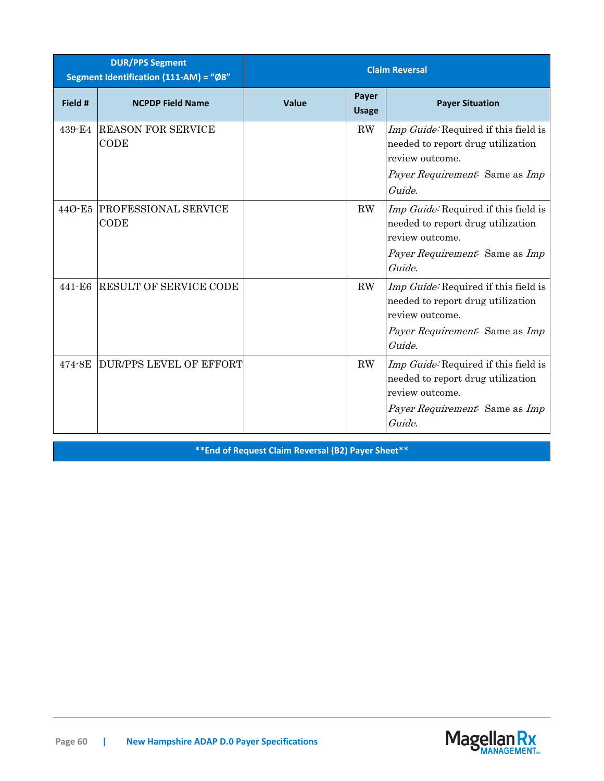|            | <b>DUR/PPS Segment</b><br>Segment Identification (111-AM) = "Ø8" | <b>Claim Reversal</b> |                       |                                                                                                                                                        |
|------------|------------------------------------------------------------------|-----------------------|-----------------------|--------------------------------------------------------------------------------------------------------------------------------------------------------|
| Field #    | <b>NCPDP Field Name</b>                                          | Value                 | Payer<br><b>Usage</b> | <b>Payer Situation</b>                                                                                                                                 |
| 439-E4     | <b>REASON FOR SERVICE</b><br>CODE                                |                       | RW                    | Imp Guide: Required if this field is<br>needed to report drug utilization<br>review outcome.<br>Payer Requirement: Same as Imp<br>Guide.               |
| 44Ø-E5     | <b>PROFESSIONAL SERVICE</b><br>CODE                              |                       | RW                    | Imp Guide: Required if this field is<br>needed to report drug utilization<br>review outcome.<br>Payer Requirement: Same as Imp<br>Guide.               |
| $441 - E6$ | <b>RESULT OF SERVICE CODE</b>                                    |                       | RW                    | Imp Guide: Required if this field is<br>needed to report drug utilization<br>review outcome.<br><i>Payer Requirement.</i> Same as <i>Imp</i><br>Guide. |
| 474-8E     | <b>DUR/PPS LEVEL OF EFFORT</b>                                   |                       | RW                    | Imp Guide: Required if this field is<br>needed to report drug utilization<br>review outcome.<br>Payer Requirement. Same as Imp<br>Guide.               |

**\*\*End of Request Claim Reversal (B2) Payer Sheet\*\***

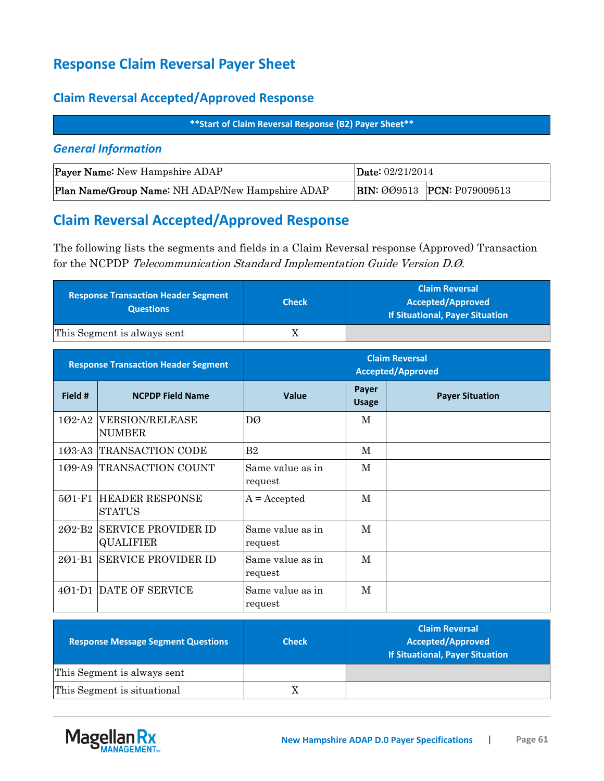## **Response Claim Reversal Payer Sheet**

### **Claim Reversal Accepted/Approved Response**

**\*\*Start of Claim Reversal Response (B2) Payer Sheet\*\***

#### *General Information*

| <b>Payer Name:</b> New Hampshire ADAP            | Date: $02/21/2014$ |                                    |  |
|--------------------------------------------------|--------------------|------------------------------------|--|
| Plan Name/Group Name: NH ADAP/New Hampshire ADAP |                    | <b>BIN: 009513 PCN: P079009513</b> |  |

### **Claim Reversal Accepted/Approved Response**

The following lists the segments and fields in a Claim Reversal response (Approved) Transaction for the NCPDP Telecommunication Standard Implementation Guide Version D.Ø.

| <b>Response Transaction Header Segment</b><br><b>Questions</b> | <b>Check</b> | <b>Claim Reversal</b><br>Accepted/Approved<br><b>If Situational, Payer Situation</b> |
|----------------------------------------------------------------|--------------|--------------------------------------------------------------------------------------|
| This Segment is always sent                                    |              |                                                                                      |

|            | <b>Response Transaction Header Segment</b>     | <b>Claim Reversal</b><br><b>Accepted/Approved</b> |                       |                        |
|------------|------------------------------------------------|---------------------------------------------------|-----------------------|------------------------|
| Field #    | <b>NCPDP Field Name</b>                        | <b>Value</b>                                      | Payer<br><b>Usage</b> | <b>Payer Situation</b> |
| $102-A2$   | <b>VERSION/RELEASE</b><br><b>NUMBER</b>        | DØ                                                | М                     |                        |
|            | 103-A3 TRANSACTION CODE                        | B <sub>2</sub>                                    | M                     |                        |
| 109-A9     | TRANSACTION COUNT                              | Same value as in<br>request                       | M                     |                        |
| $501 - F1$ | <b>HEADER RESPONSE</b><br><b>STATUS</b>        | $A = Accepted$                                    | M                     |                        |
| $202-B2$   | <b>SERVICE PROVIDER ID</b><br><b>QUALIFIER</b> | Same value as in<br>request                       | М                     |                        |
| $201 - B1$ | SERVICE PROVIDER ID                            | Same value as in<br>request                       | M                     |                        |
| $401 - D1$ | DATE OF SERVICE                                | Same value as in<br>request                       | M                     |                        |

| <b>Response Message Segment Questions</b> | <b>Check</b> | <b>Claim Reversal</b><br><b>Accepted/Approved</b><br><b>If Situational, Payer Situation</b> |
|-------------------------------------------|--------------|---------------------------------------------------------------------------------------------|
| This Segment is always sent               |              |                                                                                             |
| This Segment is situational               | X            |                                                                                             |

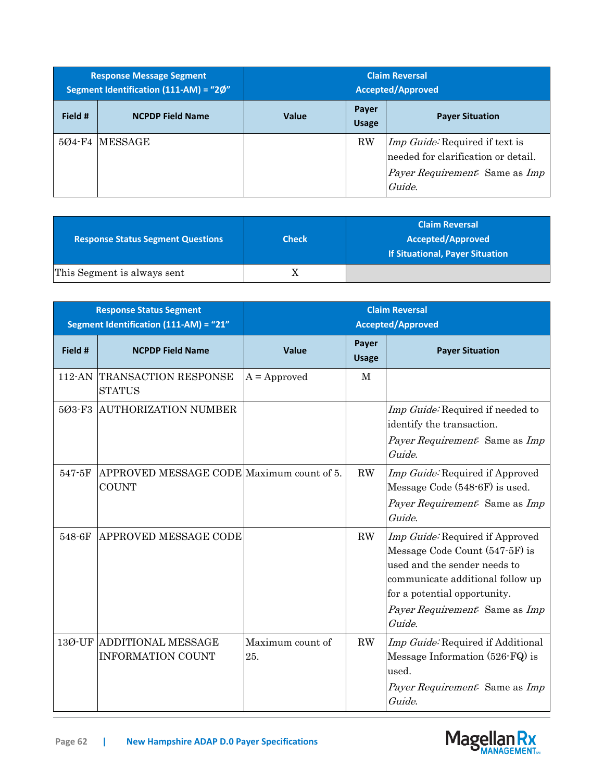|         | <b>Response Message Segment</b><br>Segment Identification (111-AM) = "2Ø" | <b>Claim Reversal</b><br><b>Accepted/Approved</b> |                       |                                                                                                                          |
|---------|---------------------------------------------------------------------------|---------------------------------------------------|-----------------------|--------------------------------------------------------------------------------------------------------------------------|
| Field # | <b>NCPDP Field Name</b>                                                   | <b>Value</b>                                      | Payer<br><b>Usage</b> | <b>Payer Situation</b>                                                                                                   |
|         | 504-F4 MESSAGE                                                            |                                                   | <b>RW</b>             | <i>Imp Guide:</i> Required if text is<br>needed for clarification or detail.<br>Payer Requirement: Same as Imp<br>Guide. |

| <b>Response Status Segment Questions</b> | <b>Check</b> | <b>Claim Reversal</b><br><b>Accepted/Approved</b><br>If Situational, Payer Situation |
|------------------------------------------|--------------|--------------------------------------------------------------------------------------|
| This Segment is always sent              |              |                                                                                      |

|         | <b>Response Status Segment</b><br>Segment Identification (111-AM) = "21" | <b>Claim Reversal</b><br><b>Accepted/Approved</b> |                       |                                                                                                                                                                                                                   |
|---------|--------------------------------------------------------------------------|---------------------------------------------------|-----------------------|-------------------------------------------------------------------------------------------------------------------------------------------------------------------------------------------------------------------|
| Field # | <b>NCPDP Field Name</b>                                                  | <b>Value</b>                                      | Payer<br><b>Usage</b> | <b>Payer Situation</b>                                                                                                                                                                                            |
| 112-AN  | <b>TRANSACTION RESPONSE</b><br><b>STATUS</b>                             | $A =$ Approved                                    | M                     |                                                                                                                                                                                                                   |
|         | 503-F3 AUTHORIZATION NUMBER                                              |                                                   |                       | Imp Guide: Required if needed to<br>identify the transaction.<br>Payer Requirement: Same as Imp<br>Guide.                                                                                                         |
| 547-5F  | APPROVED MESSAGE CODE Maximum count of 5.<br><b>COUNT</b>                |                                                   | $\rm RW$              | Imp Guide: Required if Approved<br>Message Code (548-6F) is used.<br>Payer Requirement: Same as Imp<br>Guide.                                                                                                     |
| 548-6F  | APPROVED MESSAGE CODE                                                    |                                                   | RW                    | Imp Guide: Required if Approved<br>Message Code Count (547-5F) is<br>used and the sender needs to<br>communicate additional follow up<br>for a potential opportunity.<br>Payer Requirement: Same as Imp<br>Guide. |
|         | 130-UF ADDITIONAL MESSAGE<br><b>INFORMATION COUNT</b>                    | Maximum count of<br>25.                           | RW                    | Imp Guide: Required if Additional<br>Message Information (526-FQ) is<br>used.<br>Payer Requirement: Same as Imp<br>Guide.                                                                                         |

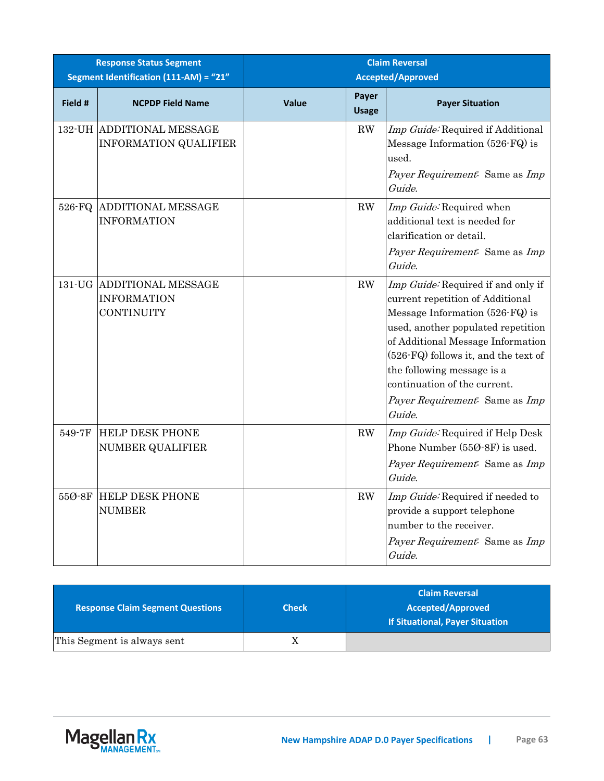|         | <b>Response Status Segment</b><br>Segment Identification (111-AM) = "21" | <b>Claim Reversal</b><br><b>Accepted/Approved</b> |                       |                                                                                                                                                                                                                                                                                                                                        |
|---------|--------------------------------------------------------------------------|---------------------------------------------------|-----------------------|----------------------------------------------------------------------------------------------------------------------------------------------------------------------------------------------------------------------------------------------------------------------------------------------------------------------------------------|
| Field # | <b>NCPDP Field Name</b>                                                  | Value                                             | Payer<br><b>Usage</b> | <b>Payer Situation</b>                                                                                                                                                                                                                                                                                                                 |
|         | 132-UH ADDITIONAL MESSAGE<br><b>INFORMATION QUALIFIER</b>                |                                                   | RW                    | Imp Guide: Required if Additional<br>Message Information (526-FQ) is<br>used.<br>Payer Requirement: Same as Imp<br>Guide.                                                                                                                                                                                                              |
|         | 526-FQ ADDITIONAL MESSAGE<br><b>INFORMATION</b>                          |                                                   | RW                    | Imp Guide: Required when<br>additional text is needed for<br>clarification or detail.<br>Payer Requirement: Same as Imp<br>Guide.                                                                                                                                                                                                      |
|         | 131-UG ADDITIONAL MESSAGE<br><b>INFORMATION</b><br>CONTINUITY            |                                                   | RW                    | Imp Guide: Required if and only if<br>current repetition of Additional<br>Message Information (526-FQ) is<br>used, another populated repetition<br>of Additional Message Information<br>(526-FQ) follows it, and the text of<br>the following message is a<br>continuation of the current.<br>Payer Requirement: Same as Imp<br>Guide. |
| 549-7F  | <b>HELP DESK PHONE</b><br><b>NUMBER QUALIFIER</b>                        |                                                   | RW                    | Imp Guide: Required if Help Desk<br>Phone Number (550-8F) is used.<br>Payer Requirement: Same as Imp<br>Guide.                                                                                                                                                                                                                         |
| 55Ø-8F  | <b>HELP DESK PHONE</b><br><b>NUMBER</b>                                  |                                                   | RW                    | Imp Guide: Required if needed to<br>provide a support telephone<br>number to the receiver.<br>Payer Requirement: Same as Imp<br>Guide.                                                                                                                                                                                                 |

| <b>Response Claim Segment Questions</b> | <b>Check</b> | <b>Claim Reversal</b><br><b>Accepted/Approved</b><br><b>If Situational, Payer Situation</b> |
|-----------------------------------------|--------------|---------------------------------------------------------------------------------------------|
| This Segment is always sent             |              |                                                                                             |

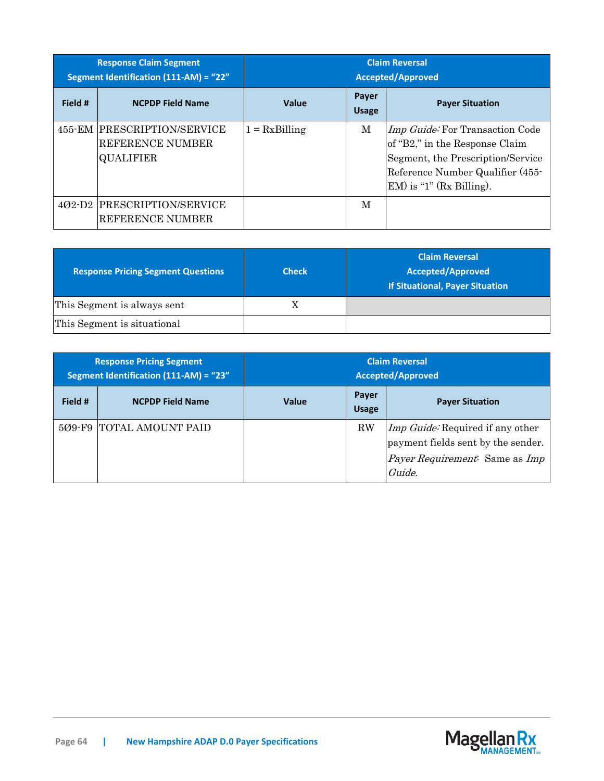| <b>Response Claim Segment</b><br><b>Segment Identification (111-AM) = "22"</b> |                                                                            | <b>Claim Reversal</b><br><b>Accepted/Approved</b> |                       |                                                                                                                                                                                  |  |
|--------------------------------------------------------------------------------|----------------------------------------------------------------------------|---------------------------------------------------|-----------------------|----------------------------------------------------------------------------------------------------------------------------------------------------------------------------------|--|
| Field #                                                                        | <b>NCPDP Field Name</b>                                                    | <b>Value</b>                                      | Payer<br><b>Usage</b> | <b>Payer Situation</b>                                                                                                                                                           |  |
|                                                                                | 455-EM PRESCRIPTION/SERVICE<br><b>REFERENCE NUMBER</b><br><b>QUALIFIER</b> | $1 = RxBilling$                                   | M                     | <i>Imp Guide:</i> For Transaction Code<br>of "B2," in the Response Claim<br>Segment, the Prescription/Service<br>Reference Number Qualifier (455-<br>$EM$ ) is "1" (Rx Billing). |  |
| $402-D2$                                                                       | PRESCRIPTION/SERVICE<br>REFERENCE NUMBER                                   |                                                   | M                     |                                                                                                                                                                                  |  |

| <b>Response Pricing Segment Questions</b> | <b>Check</b> | <b>Claim Reversal</b><br><b>Accepted/Approved</b><br><b>If Situational, Payer Situation</b> |
|-------------------------------------------|--------------|---------------------------------------------------------------------------------------------|
| This Segment is always sent               | X            |                                                                                             |
| This Segment is situational               |              |                                                                                             |

| <b>Response Pricing Segment</b><br>Segment Identification (111-AM) = "23" |                          | <b>Claim Reversal</b><br><b>Accepted/Approved</b> |                       |                                                                                                                           |
|---------------------------------------------------------------------------|--------------------------|---------------------------------------------------|-----------------------|---------------------------------------------------------------------------------------------------------------------------|
| Field #                                                                   | <b>NCPDP Field Name</b>  | <b>Value</b>                                      | Payer<br><b>Usage</b> | <b>Payer Situation</b>                                                                                                    |
| $509-F9$                                                                  | <b>TOTAL AMOUNT PAID</b> |                                                   | $\rm RW$              | <i>Imp Guide:</i> Required if any other<br>payment fields sent by the sender.<br>Payer Requirement: Same as Imp<br>Guide. |

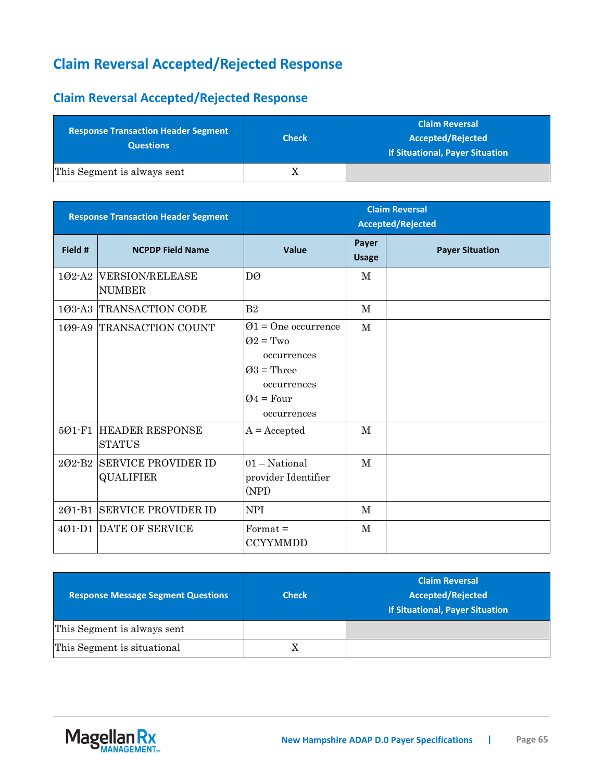# **Claim Reversal Accepted/Rejected Response**

## **Claim Reversal Accepted/Rejected Response**

| <b>Response Transaction Header Segment</b><br><b>Questions</b> | <b>Check</b> | <b>Claim Reversal</b><br><b>Accepted/Rejected</b><br>If Situational, Payer Situation |
|----------------------------------------------------------------|--------------|--------------------------------------------------------------------------------------|
| This Segment is always sent                                    |              |                                                                                      |

| <b>Response Transaction Header Segment</b> |                                                    | <b>Claim Reversal</b><br><b>Accepted/Rejected</b>                                                                                            |                       |                        |
|--------------------------------------------|----------------------------------------------------|----------------------------------------------------------------------------------------------------------------------------------------------|-----------------------|------------------------|
| Field #                                    | <b>NCPDP Field Name</b>                            | Value                                                                                                                                        | Payer<br><b>Usage</b> | <b>Payer Situation</b> |
|                                            | 102-A2 VERSION/RELEASE<br><b>NUMBER</b>            | DØ                                                                                                                                           | M                     |                        |
|                                            | 103-A3 TRANSACTION CODE                            | B <sub>2</sub>                                                                                                                               | $\mathbf{M}$          |                        |
| 501-F1                                     | 109-A9 TRANSACTION COUNT<br><b>HEADER RESPONSE</b> | $\varnothing$ 1 = One occurrence<br>$Q2 = Two$<br>occurrences<br>$Q3$ = Three<br>occurrences<br>$Q4 = Four$<br>occurrences<br>$A = Accepted$ | $\mathbf{M}$<br>M     |                        |
|                                            | <b>STATUS</b>                                      |                                                                                                                                              |                       |                        |
| $202 - B2$                                 | <b>SERVICE PROVIDER ID</b><br><b>QUALIFIER</b>     | $01 - National$<br>provider Identifier<br>(NPI)                                                                                              | M                     |                        |
| 201-B1                                     | <b>SERVICE PROVIDER ID</b>                         | <b>NPI</b>                                                                                                                                   | M                     |                        |
|                                            | 401-D1 DATE OF SERVICE                             | $Format =$<br><b>CCYYMMDD</b>                                                                                                                | M                     |                        |

| <b>Response Message Segment Questions</b> | <b>Check</b> | <b>Claim Reversal</b><br><b>Accepted/Rejected</b><br><b>If Situational, Payer Situation</b> |
|-------------------------------------------|--------------|---------------------------------------------------------------------------------------------|
| This Segment is always sent               |              |                                                                                             |
| This Segment is situational               |              |                                                                                             |

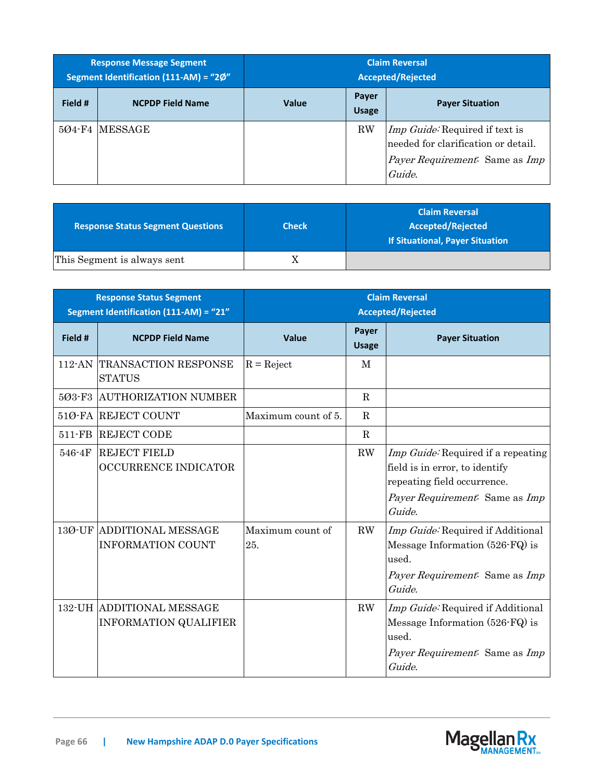| <b>Response Message Segment</b><br>Segment Identification (111-AM) = "2Ø" |                         | <b>Claim Reversal</b><br><b>Accepted/Rejected</b> |                       |                                                                                                                                        |
|---------------------------------------------------------------------------|-------------------------|---------------------------------------------------|-----------------------|----------------------------------------------------------------------------------------------------------------------------------------|
| Field #                                                                   | <b>NCPDP Field Name</b> | <b>Value</b>                                      | Payer<br><b>Usage</b> | <b>Payer Situation</b>                                                                                                                 |
|                                                                           | 504-F4 MESSAGE          |                                                   | <b>RW</b>             | <i>Imp Guide:</i> Required if text is<br>needed for clarification or detail.<br><i>Payer Requirement.</i> Same as <i>Imp</i><br>Guide. |

| <b>Response Status Segment Questions</b> | <b>Check</b> | <b>Claim Reversal</b><br><b>Accepted/Rejected</b><br>If Situational, Payer Situation |
|------------------------------------------|--------------|--------------------------------------------------------------------------------------|
| This Segment is always sent              | Λ            |                                                                                      |

| <b>Response Status Segment</b><br>Segment Identification (111-AM) = "21" |                                                                  | <b>Claim Reversal</b><br><b>Accepted/Rejected</b> |                       |                                                                                                                                                 |
|--------------------------------------------------------------------------|------------------------------------------------------------------|---------------------------------------------------|-----------------------|-------------------------------------------------------------------------------------------------------------------------------------------------|
| Field #                                                                  | <b>NCPDP Field Name</b>                                          | Value                                             | Payer<br><b>Usage</b> | <b>Payer Situation</b>                                                                                                                          |
|                                                                          | 112-AN TRANSACTION RESPONSE<br><b>STATUS</b>                     | $R = Reject$                                      | M                     |                                                                                                                                                 |
| 503-F3                                                                   | <b>AUTHORIZATION NUMBER</b>                                      |                                                   | $\mathbf R$           |                                                                                                                                                 |
|                                                                          | 510-FA REJECT COUNT                                              | Maximum count of 5.                               | $\mathbf R$           |                                                                                                                                                 |
| $511-FB$                                                                 | <b>REJECT CODE</b>                                               |                                                   | $\mathbf R$           |                                                                                                                                                 |
| 546-4F                                                                   | <b>REJECT FIELD</b><br><b>OCCURRENCE INDICATOR</b>               |                                                   | RW                    | Imp Guide: Required if a repeating<br>field is in error, to identify<br>repeating field occurrence.<br>Payer Requirement: Same as Imp<br>Guide. |
|                                                                          | 130-UF ADDITIONAL MESSAGE<br><b>INFORMATION COUNT</b>            | Maximum count of<br>25.                           | RW                    | Imp Guide: Required if Additional<br>Message Information (526-FQ) is<br>used.<br>Payer Requirement: Same as Imp<br>Guide.                       |
|                                                                          | <b>132-UH ADDITIONAL MESSAGE</b><br><b>INFORMATION QUALIFIER</b> |                                                   | RW                    | Imp Guide: Required if Additional<br>Message Information $(526$ -FQ $)$ is<br>used.<br>Payer Requirement. Same as Imp<br>Guide.                 |

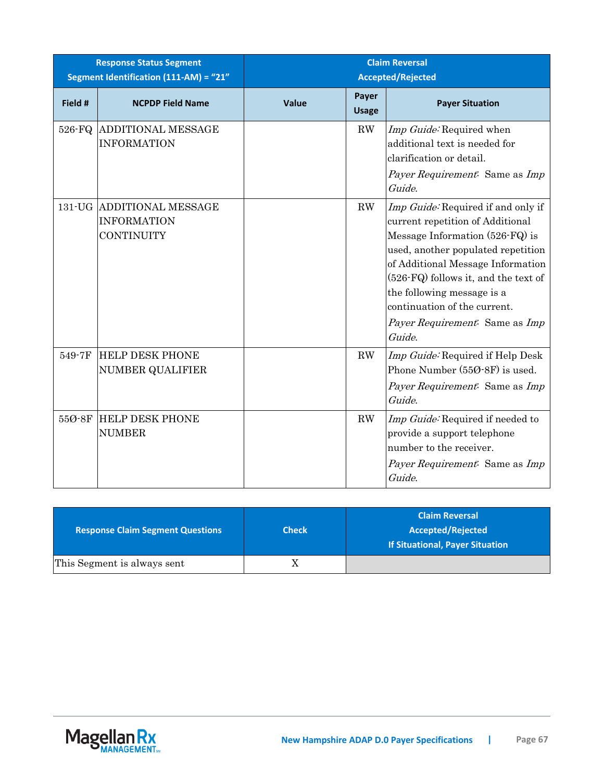| <b>Response Status Segment</b><br>Segment Identification (111-AM) = "21" |                                                                      | <b>Claim Reversal</b><br><b>Accepted/Rejected</b> |                       |                                                                                                                                                                                                                                                                                                                                        |
|--------------------------------------------------------------------------|----------------------------------------------------------------------|---------------------------------------------------|-----------------------|----------------------------------------------------------------------------------------------------------------------------------------------------------------------------------------------------------------------------------------------------------------------------------------------------------------------------------------|
| Field #                                                                  | <b>NCPDP Field Name</b>                                              | Value                                             | Payer<br><b>Usage</b> | <b>Payer Situation</b>                                                                                                                                                                                                                                                                                                                 |
| 526-FQ                                                                   | <b>ADDITIONAL MESSAGE</b><br><b>INFORMATION</b>                      |                                                   | RW                    | Imp Guide: Required when<br>additional text is needed for<br>clarification or detail.<br>Payer Requirement: Same as Imp<br>Guide.                                                                                                                                                                                                      |
|                                                                          | 131-UG ADDITIONAL MESSAGE<br><b>INFORMATION</b><br><b>CONTINUITY</b> |                                                   | RW                    | Imp Guide: Required if and only if<br>current repetition of Additional<br>Message Information (526-FQ) is<br>used, another populated repetition<br>of Additional Message Information<br>(526-FQ) follows it, and the text of<br>the following message is a<br>continuation of the current.<br>Payer Requirement: Same as Imp<br>Guide. |
| 549-7F                                                                   | <b>HELP DESK PHONE</b><br><b>NUMBER QUALIFIER</b>                    |                                                   | RW                    | Imp Guide: Required if Help Desk<br>Phone Number (550-8F) is used.<br>Payer Requirement: Same as Imp<br>Guide.                                                                                                                                                                                                                         |
| 55Ø-8F                                                                   | <b>HELP DESK PHONE</b><br><b>NUMBER</b>                              |                                                   | RW                    | Imp Guide: Required if needed to<br>provide a support telephone<br>number to the receiver.<br>Payer Requirement. Same as Imp<br>Guide.                                                                                                                                                                                                 |

| <b>Response Claim Segment Questions</b> | <b>Check</b> | <b>Claim Reversal</b><br><b>Accepted/Rejected</b><br>If Situational, Payer Situation |
|-----------------------------------------|--------------|--------------------------------------------------------------------------------------|
| This Segment is always sent             |              |                                                                                      |

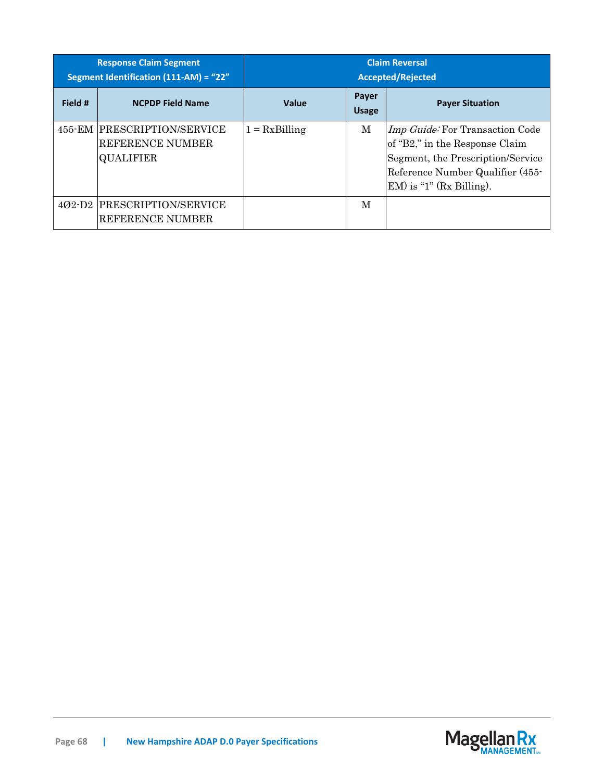| <b>Response Claim Segment</b><br>Segment Identification (111-AM) = "22" |                                                                            | <b>Claim Reversal</b><br><b>Accepted/Rejected</b> |                       |                                                                                                                                                                                  |
|-------------------------------------------------------------------------|----------------------------------------------------------------------------|---------------------------------------------------|-----------------------|----------------------------------------------------------------------------------------------------------------------------------------------------------------------------------|
| Field #                                                                 | <b>NCPDP Field Name</b>                                                    | Value                                             | Payer<br><b>Usage</b> | <b>Payer Situation</b>                                                                                                                                                           |
|                                                                         | 455-EM PRESCRIPTION/SERVICE<br><b>REFERENCE NUMBER</b><br><b>QUALIFIER</b> | $1 = RxBilling$                                   | M                     | <i>Imp Guide:</i> For Transaction Code<br>of "B2," in the Response Claim<br>Segment, the Prescription/Service<br>Reference Number Qualifier (455-<br>$EM$ ) is "1" (Rx Billing). |
| $402-D2$                                                                | <b>PRESCRIPTION/SERVICE</b><br>REFERENCE NUMBER                            |                                                   | M                     |                                                                                                                                                                                  |

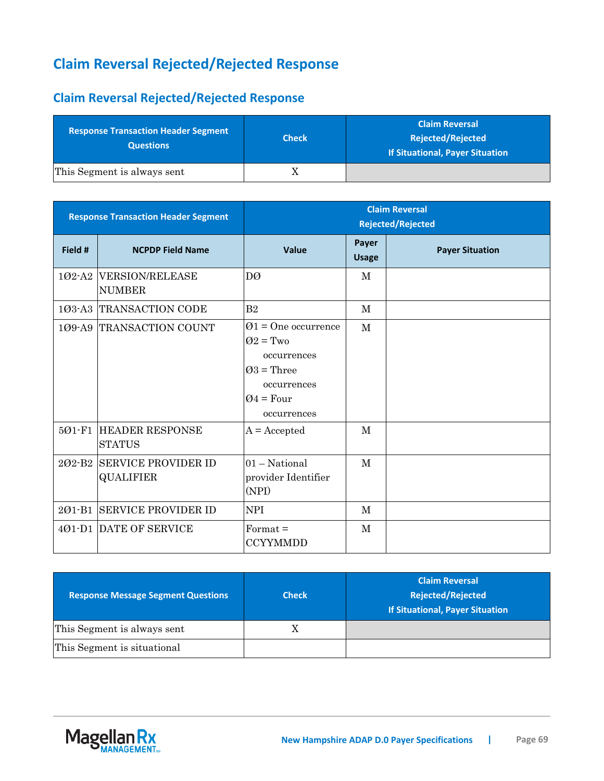# **Claim Reversal Rejected/Rejected Response**

## **Claim Reversal Rejected/Rejected Response**

| <b>Response Transaction Header Segment</b><br><b>Questions</b> | <b>Check</b> | <b>Claim Reversal</b><br><b>Rejected/Rejected</b><br>If Situational, Payer Situation |
|----------------------------------------------------------------|--------------|--------------------------------------------------------------------------------------|
| This Segment is always sent                                    |              |                                                                                      |

| <b>Response Transaction Header Segment</b> |                                                | <b>Claim Reversal</b><br><b>Rejected/Rejected</b>                                                                            |                       |                        |
|--------------------------------------------|------------------------------------------------|------------------------------------------------------------------------------------------------------------------------------|-----------------------|------------------------|
| Field #                                    | <b>NCPDP Field Name</b>                        | Value                                                                                                                        | Payer<br><b>Usage</b> | <b>Payer Situation</b> |
|                                            | 102-A2 VERSION/RELEASE<br><b>NUMBER</b>        | DØ                                                                                                                           | M                     |                        |
|                                            | 103-A3 TRANSACTION CODE                        | B <sub>2</sub>                                                                                                               | M                     |                        |
|                                            | 109-A9 TRANSACTION COUNT                       | $\varnothing$ 1 = One occurrence<br>$Q_2 = Tw_0$<br>occurrences<br>$Q3$ = Three<br>occurrences<br>$Q4 = Four$<br>occurrences | $\mathbf{M}$          |                        |
| 501-F1                                     | <b>HEADER RESPONSE</b><br><b>STATUS</b>        | $A = Accepted$                                                                                                               | M                     |                        |
|                                            | 202-B2 SERVICE PROVIDER ID<br><b>QUALIFIER</b> | 01 - National<br>provider Identifier<br>(NPI)                                                                                | M                     |                        |
| 201-B1                                     | <b>SERVICE PROVIDER ID</b>                     | <b>NPI</b>                                                                                                                   | M                     |                        |
|                                            | 401-D1 DATE OF SERVICE                         | $\text{Format} =$<br><b>CCYYMMDD</b>                                                                                         | M                     |                        |

| <b>Response Message Segment Questions</b> | <b>Check</b> | <b>Claim Reversal</b><br><b>Rejected/Rejected</b><br><b>If Situational, Payer Situation</b> |
|-------------------------------------------|--------------|---------------------------------------------------------------------------------------------|
| This Segment is always sent               |              |                                                                                             |
| This Segment is situational               |              |                                                                                             |

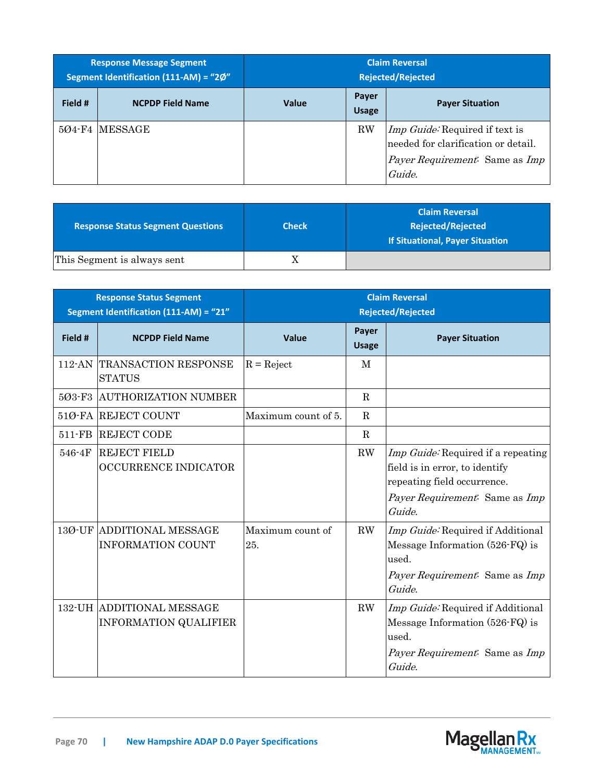| <b>Response Message Segment</b><br>Segment Identification (111-AM) = "2Ø" |                         | <b>Claim Reversal</b><br><b>Rejected/Rejected</b> |                       |                                                                                                                                        |
|---------------------------------------------------------------------------|-------------------------|---------------------------------------------------|-----------------------|----------------------------------------------------------------------------------------------------------------------------------------|
| Field #                                                                   | <b>NCPDP Field Name</b> | <b>Value</b>                                      | Payer<br><b>Usage</b> | <b>Payer Situation</b>                                                                                                                 |
|                                                                           | 504-F4 MESSAGE          |                                                   | <b>RW</b>             | <i>Imp Guide:</i> Required if text is<br>needed for clarification or detail.<br><i>Payer Requirement.</i> Same as <i>Imp</i><br>Guide. |

| <b>Response Status Segment Questions</b> | <b>Check</b> | <b>Claim Reversal</b><br><b>Rejected/Rejected</b><br><b>If Situational, Payer Situation</b> |
|------------------------------------------|--------------|---------------------------------------------------------------------------------------------|
| This Segment is always sent              | Λ            |                                                                                             |

|           | <b>Response Status Segment</b><br>Segment Identification (111-AM) = "21" |                         |                       | <b>Claim Reversal</b><br><b>Rejected/Rejected</b>                                                                                               |
|-----------|--------------------------------------------------------------------------|-------------------------|-----------------------|-------------------------------------------------------------------------------------------------------------------------------------------------|
| Field #   | <b>NCPDP Field Name</b>                                                  | <b>Value</b>            | Payer<br><b>Usage</b> | <b>Payer Situation</b>                                                                                                                          |
| $112$ -AN | <b>TRANSACTION RESPONSE</b><br><b>STATUS</b>                             | $R = Reject$            | M                     |                                                                                                                                                 |
| 503-F3    | <b>AUTHORIZATION NUMBER</b>                                              |                         | $\mathbf R$           |                                                                                                                                                 |
|           | 51Ø-FA REJECT COUNT                                                      | Maximum count of 5.     | $\mathbf R$           |                                                                                                                                                 |
| 511-FB    | <b>REJECT CODE</b>                                                       |                         | $\mathbf R$           |                                                                                                                                                 |
| 546-4F    | <b>REJECT FIELD</b><br><b>OCCURRENCE INDICATOR</b>                       |                         | RW                    | Imp Guide: Required if a repeating<br>field is in error, to identify<br>repeating field occurrence.<br>Payer Requirement. Same as Imp<br>Guide. |
| 13Ø-UF    | <b>ADDITIONAL MESSAGE</b><br><b>INFORMATION COUNT</b>                    | Maximum count of<br>25. | $\rm RW$              | <i>Imp Guide:</i> Required if Additional<br>Message Information (526-FQ) is<br>used.<br>Payer Requirement: Same as Imp<br>Guide.                |
|           | <b>132-UH ADDITIONAL MESSAGE</b><br><b>INFORMATION QUALIFIER</b>         |                         | $\rm RW$              | Imp Guide: Required if Additional<br>Message Information (526-FQ) is<br>used.<br>Payer Requirement: Same as Imp<br>Guide.                       |